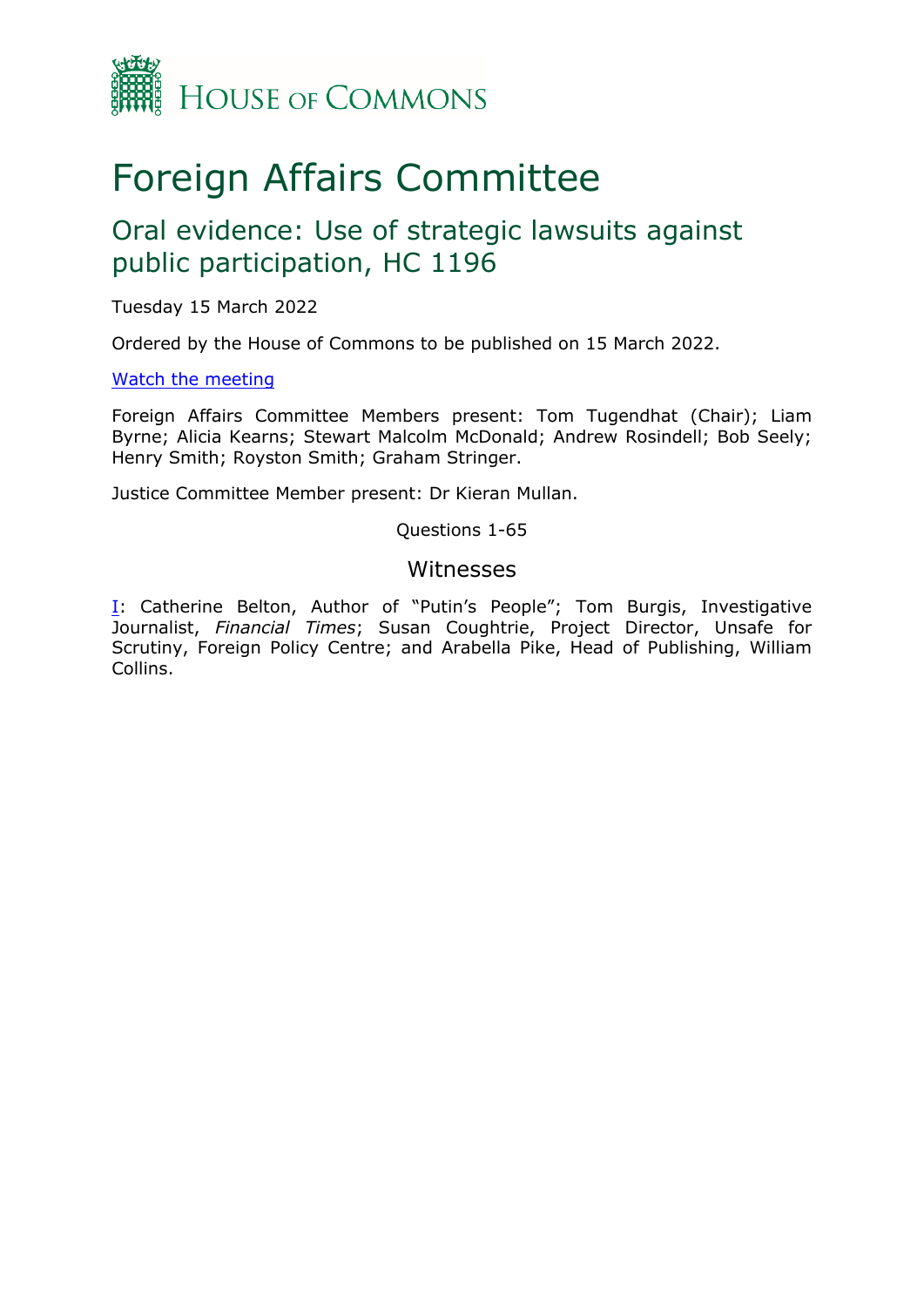

# Foreign Affairs Committee

# Oral evidence: Use of strategic lawsuits against public participation, HC 1196

Tuesday 15 March 2022

Ordered by the House of Commons to be published on 15 March 2022.

#### [Watch](https://parliamentlive.tv/Event/Index/7bf35a30-d1a7-4505-9895-ad65934fbe6c) [the](https://parliamentlive.tv/Event/Index/7bf35a30-d1a7-4505-9895-ad65934fbe6c) [meeting](https://parliamentlive.tv/Event/Index/7bf35a30-d1a7-4505-9895-ad65934fbe6c)

Foreign Affairs Committee Members present: Tom Tugendhat (Chair); Liam Byrne; Alicia Kearns; Stewart Malcolm McDonald; Andrew Rosindell; Bob Seely; Henry Smith; Royston Smith; Graham Stringer.

Justice Committee Member present: Dr Kieran Mullan.

Questions 1-65

### <span id="page-0-0"></span>Witnesses

[I:](#page-0-0) Catherine Belton, Author of "Putin's People"; Tom Burgis, Investigative Journalist, *Financial Times*; Susan Coughtrie, Project Director, Unsafe for Scrutiny, Foreign Policy Centre; and Arabella Pike, Head of Publishing, William Collins.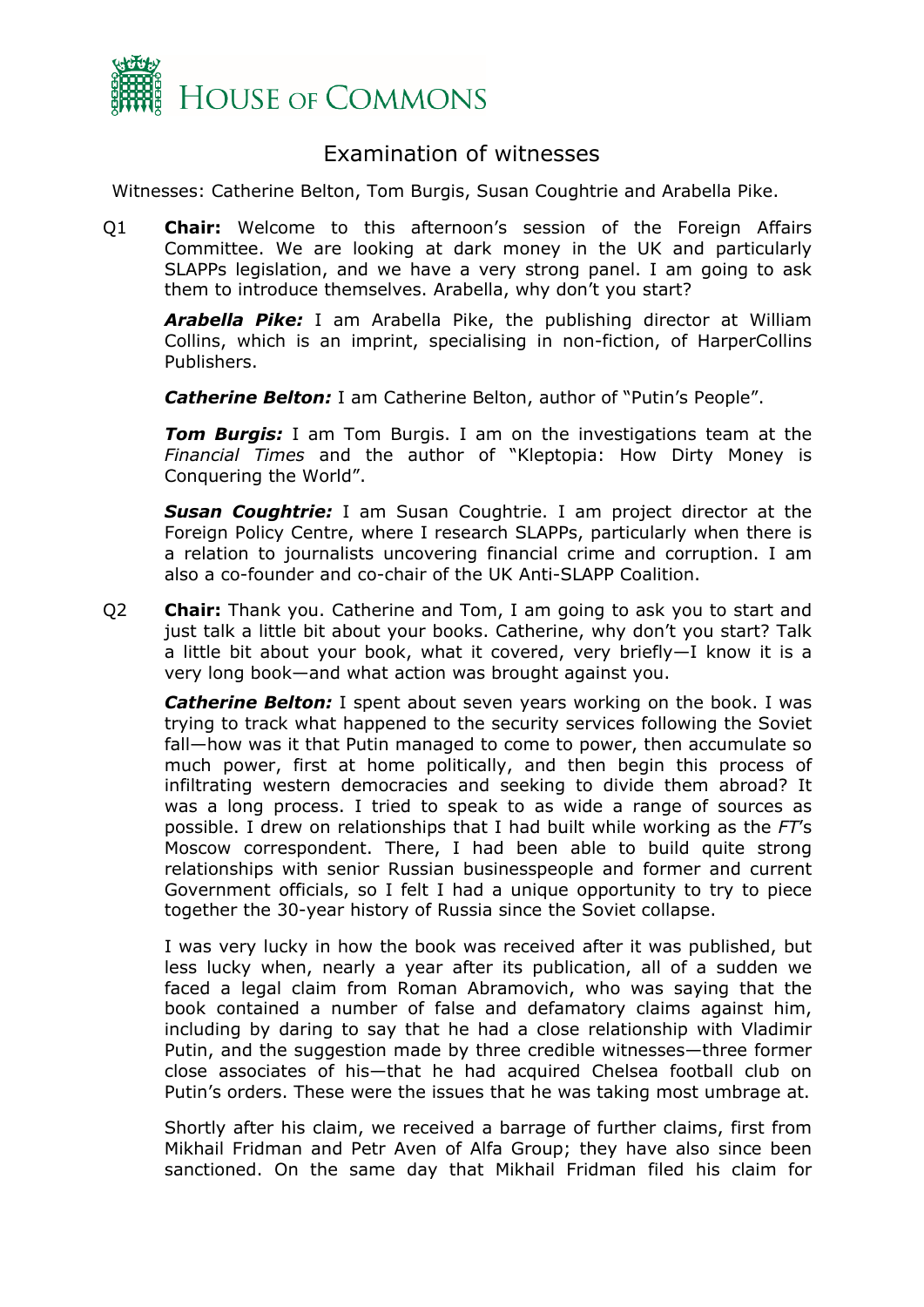

## Examination of witnesses

Witnesses: Catherine Belton, Tom Burgis, Susan Coughtrie and Arabella Pike.

Q1 **Chair:** Welcome to this afternoon's session of the Foreign Affairs Committee. We are looking at dark money in the UK and particularly SLAPPs legislation, and we have a very strong panel. I am going to ask them to introduce themselves. Arabella, why don't you start?

*Arabella Pike:* I am Arabella Pike, the publishing director at William Collins, which is an imprint, specialising in non-fiction, of HarperCollins Publishers.

**Catherine Belton:** I am Catherine Belton, author of "Putin's People".

*Tom Burgis:* I am Tom Burgis. I am on the investigations team at the *Financial Times* and the author of "Kleptopia: How Dirty Money is Conquering the World".

*Susan Coughtrie:* I am Susan Coughtrie. I am project director at the Foreign Policy Centre, where I research SLAPPs, particularly when there is a relation to journalists uncovering financial crime and corruption. I am also a co-founder and co-chair of the UK Anti-SLAPP Coalition.

Q2 **Chair:** Thank you. Catherine and Tom, I am going to ask you to start and just talk a little bit about your books. Catherine, why don't you start? Talk a little bit about your book, what it covered, very briefly—I know it is a very long book—and what action was brought against you.

**Catherine Belton:** I spent about seven years working on the book. I was trying to track what happened to the security services following the Soviet fall—how was it that Putin managed to come to power, then accumulate so much power, first at home politically, and then begin this process of infiltrating western democracies and seeking to divide them abroad? It was a long process. I tried to speak to as wide a range of sources as possible. I drew on relationships that I had built while working as the *FT*'s Moscow correspondent. There, I had been able to build quite strong relationships with senior Russian businesspeople and former and current Government officials, so I felt I had a unique opportunity to try to piece together the 30-year history of Russia since the Soviet collapse.

I was very lucky in how the book was received after it was published, but less lucky when, nearly a year after its publication, all of a sudden we faced a legal claim from Roman Abramovich, who was saying that the book contained a number of false and defamatory claims against him, including by daring to say that he had a close relationship with Vladimir Putin, and the suggestion made by three credible witnesses—three former close associates of his—that he had acquired Chelsea football club on Putin's orders. These were the issues that he was taking most umbrage at.

Shortly after his claim, we received a barrage of further claims, first from Mikhail Fridman and Petr Aven of Alfa Group; they have also since been sanctioned. On the same day that Mikhail Fridman filed his claim for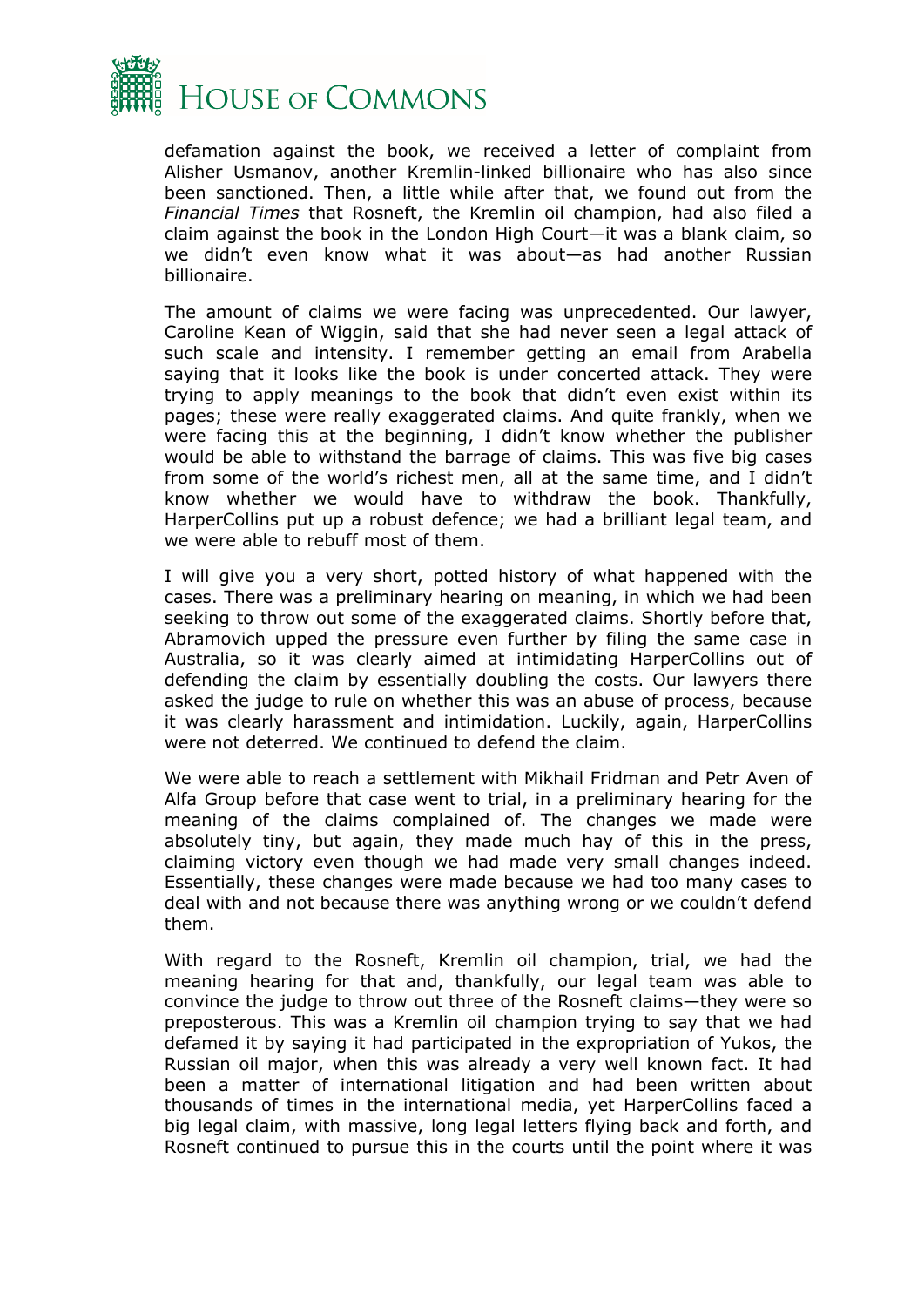

defamation against the book, we received a letter of complaint from Alisher Usmanov, another Kremlin-linked billionaire who has also since been sanctioned. Then, a little while after that, we found out from the *Financial Times* that Rosneft, the Kremlin oil champion, had also filed a claim against the book in the London High Court—it was a blank claim, so we didn't even know what it was about—as had another Russian billionaire.

The amount of claims we were facing was unprecedented. Our lawyer, Caroline Kean of Wiggin, said that she had never seen a legal attack of such scale and intensity. I remember getting an email from Arabella saying that it looks like the book is under concerted attack. They were trying to apply meanings to the book that didn't even exist within its pages; these were really exaggerated claims. And quite frankly, when we were facing this at the beginning, I didn't know whether the publisher would be able to withstand the barrage of claims. This was five big cases from some of the world's richest men, all at the same time, and I didn't know whether we would have to withdraw the book. Thankfully, HarperCollins put up a robust defence; we had a brilliant legal team, and we were able to rebuff most of them.

I will give you a very short, potted history of what happened with the cases. There was a preliminary hearing on meaning, in which we had been seeking to throw out some of the exaggerated claims. Shortly before that, Abramovich upped the pressure even further by filing the same case in Australia, so it was clearly aimed at intimidating HarperCollins out of defending the claim by essentially doubling the costs. Our lawyers there asked the judge to rule on whether this was an abuse of process, because it was clearly harassment and intimidation. Luckily, again, HarperCollins were not deterred. We continued to defend the claim.

We were able to reach a settlement with Mikhail Fridman and Petr Aven of Alfa Group before that case went to trial, in a preliminary hearing for the meaning of the claims complained of. The changes we made were absolutely tiny, but again, they made much hay of this in the press, claiming victory even though we had made very small changes indeed. Essentially, these changes were made because we had too many cases to deal with and not because there was anything wrong or we couldn't defend them.

With regard to the Rosneft, Kremlin oil champion, trial, we had the meaning hearing for that and, thankfully, our legal team was able to convince the judge to throw out three of the Rosneft claims—they were so preposterous. This was a Kremlin oil champion trying to say that we had defamed it by saying it had participated in the expropriation of Yukos, the Russian oil major, when this was already a very well known fact. It had been a matter of international litigation and had been written about thousands of times in the international media, yet HarperCollins faced a big legal claim, with massive, long legal letters flying back and forth, and Rosneft continued to pursue this in the courts until the point where it was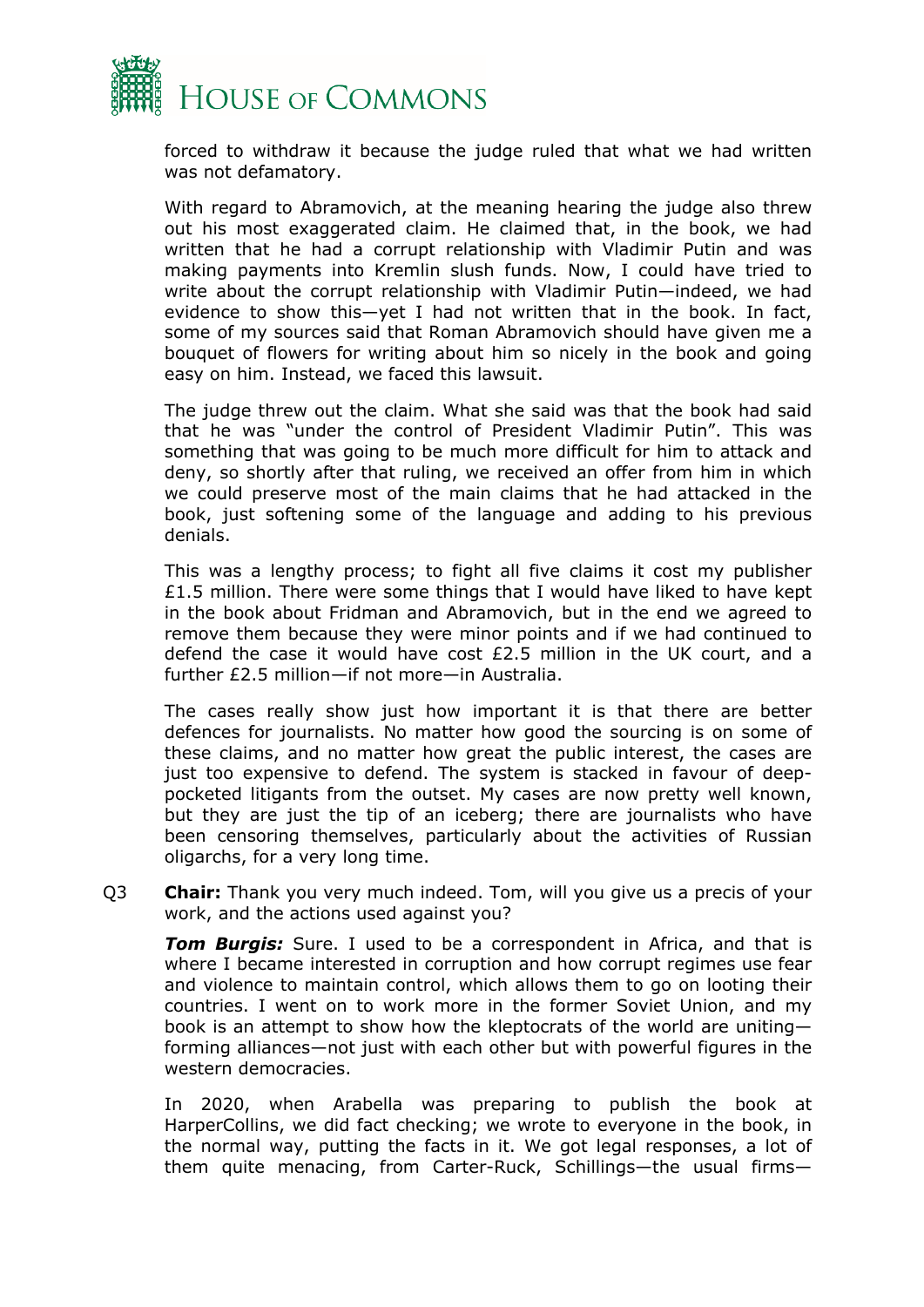

forced to withdraw it because the judge ruled that what we had written was not defamatory.

With regard to Abramovich, at the meaning hearing the judge also threw out his most exaggerated claim. He claimed that, in the book, we had written that he had a corrupt relationship with Vladimir Putin and was making payments into Kremlin slush funds. Now, I could have tried to write about the corrupt relationship with Vladimir Putin—indeed, we had evidence to show this—yet I had not written that in the book. In fact, some of my sources said that Roman Abramovich should have given me a bouquet of flowers for writing about him so nicely in the book and going easy on him. Instead, we faced this lawsuit.

The judge threw out the claim. What she said was that the book had said that he was "under the control of President Vladimir Putin". This was something that was going to be much more difficult for him to attack and deny, so shortly after that ruling, we received an offer from him in which we could preserve most of the main claims that he had attacked in the book, just softening some of the language and adding to his previous denials.

This was a lengthy process; to fight all five claims it cost my publisher £1.5 million. There were some things that I would have liked to have kept in the book about Fridman and Abramovich, but in the end we agreed to remove them because they were minor points and if we had continued to defend the case it would have cost £2.5 million in the UK court, and a further £2.5 million—if not more—in Australia.

The cases really show just how important it is that there are better defences for journalists. No matter how good the sourcing is on some of these claims, and no matter how great the public interest, the cases are just too expensive to defend. The system is stacked in favour of deeppocketed litigants from the outset. My cases are now pretty well known, but they are just the tip of an iceberg; there are journalists who have been censoring themselves, particularly about the activities of Russian oligarchs, for a very long time.

Q3 **Chair:** Thank you very much indeed. Tom, will you give us a precis of your work, and the actions used against you?

*Tom Burgis:* Sure. I used to be a correspondent in Africa, and that is where I became interested in corruption and how corrupt regimes use fear and violence to maintain control, which allows them to go on looting their countries. I went on to work more in the former Soviet Union, and my book is an attempt to show how the kleptocrats of the world are uniting forming alliances—not just with each other but with powerful figures in the western democracies.

In 2020, when Arabella was preparing to publish the book at HarperCollins, we did fact checking; we wrote to everyone in the book, in the normal way, putting the facts in it. We got legal responses, a lot of them quite menacing, from Carter-Ruck, Schillings—the usual firms—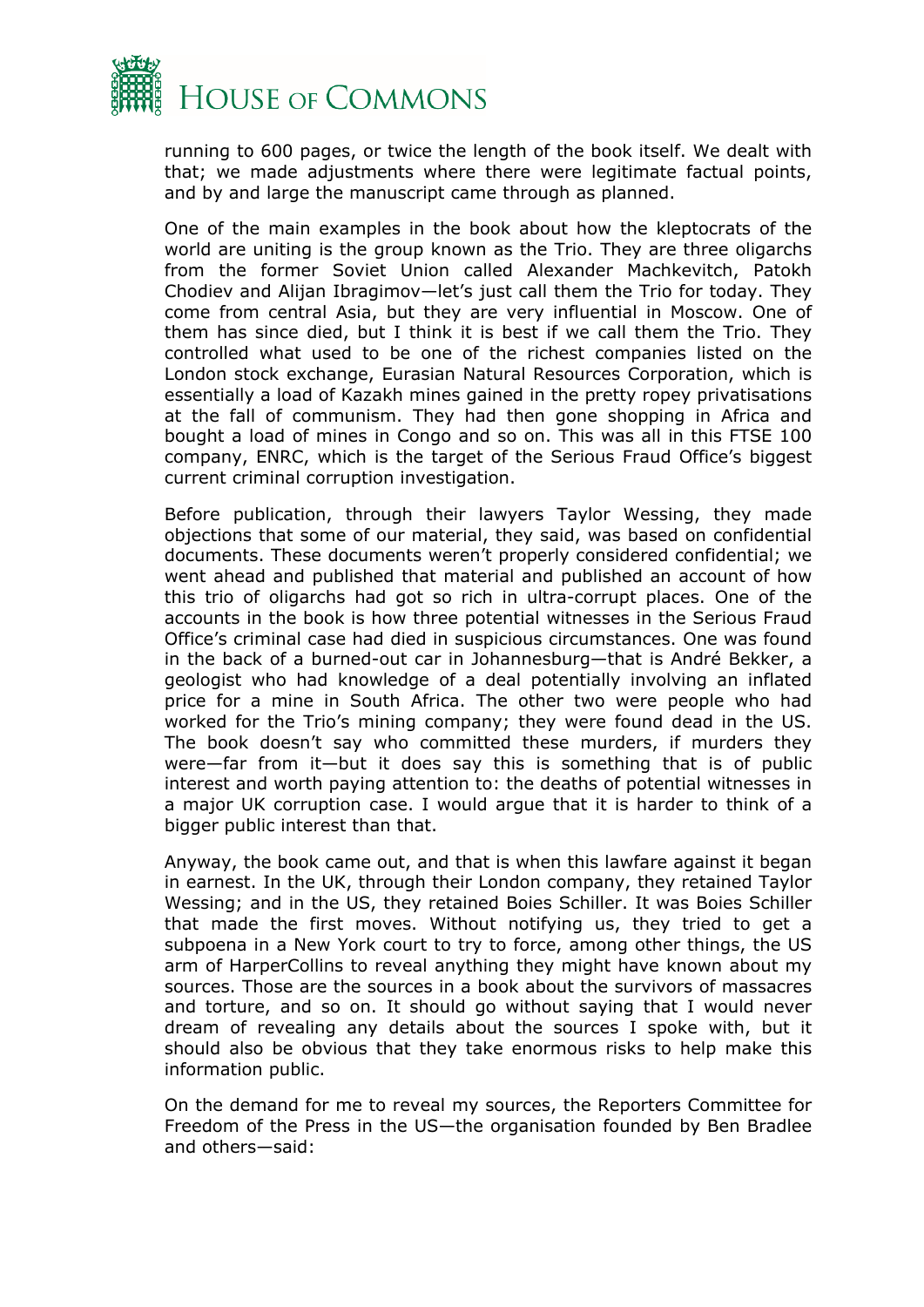

running to 600 pages, or twice the length of the book itself. We dealt with that; we made adjustments where there were legitimate factual points, and by and large the manuscript came through as planned.

One of the main examples in the book about how the kleptocrats of the world are uniting is the group known as the Trio. They are three oligarchs from the former Soviet Union called Alexander Machkevitch, Patokh Chodiev and Alijan Ibragimov—let's just call them the Trio for today. They come from central Asia, but they are very influential in Moscow. One of them has since died, but I think it is best if we call them the Trio. They controlled what used to be one of the richest companies listed on the London stock exchange, Eurasian Natural Resources Corporation, which is essentially a load of Kazakh mines gained in the pretty ropey privatisations at the fall of communism. They had then gone shopping in Africa and bought a load of mines in Congo and so on. This was all in this FTSE 100 company, ENRC, which is the target of the Serious Fraud Office's biggest current criminal corruption investigation.

Before publication, through their lawyers Taylor Wessing, they made objections that some of our material, they said, was based on confidential documents. These documents weren't properly considered confidential; we went ahead and published that material and published an account of how this trio of oligarchs had got so rich in ultra-corrupt places. One of the accounts in the book is how three potential witnesses in the Serious Fraud Office's criminal case had died in suspicious circumstances. One was found in the back of a burned-out car in Johannesburg—that is André Bekker, a geologist who had knowledge of a deal potentially involving an inflated price for a mine in South Africa. The other two were people who had worked for the Trio's mining company; they were found dead in the US. The book doesn't say who committed these murders, if murders they were—far from it—but it does say this is something that is of public interest and worth paying attention to: the deaths of potential witnesses in a major UK corruption case. I would argue that it is harder to think of a bigger public interest than that.

Anyway, the book came out, and that is when this lawfare against it began in earnest. In the UK, through their London company, they retained Taylor Wessing; and in the US, they retained Boies Schiller. It was Boies Schiller that made the first moves. Without notifying us, they tried to get a subpoena in a New York court to try to force, among other things, the US arm of HarperCollins to reveal anything they might have known about my sources. Those are the sources in a book about the survivors of massacres and torture, and so on. It should go without saying that I would never dream of revealing any details about the sources I spoke with, but it should also be obvious that they take enormous risks to help make this information public.

On the demand for me to reveal my sources, the Reporters Committee for Freedom of the Press in the US—the organisation founded by Ben Bradlee and others—said: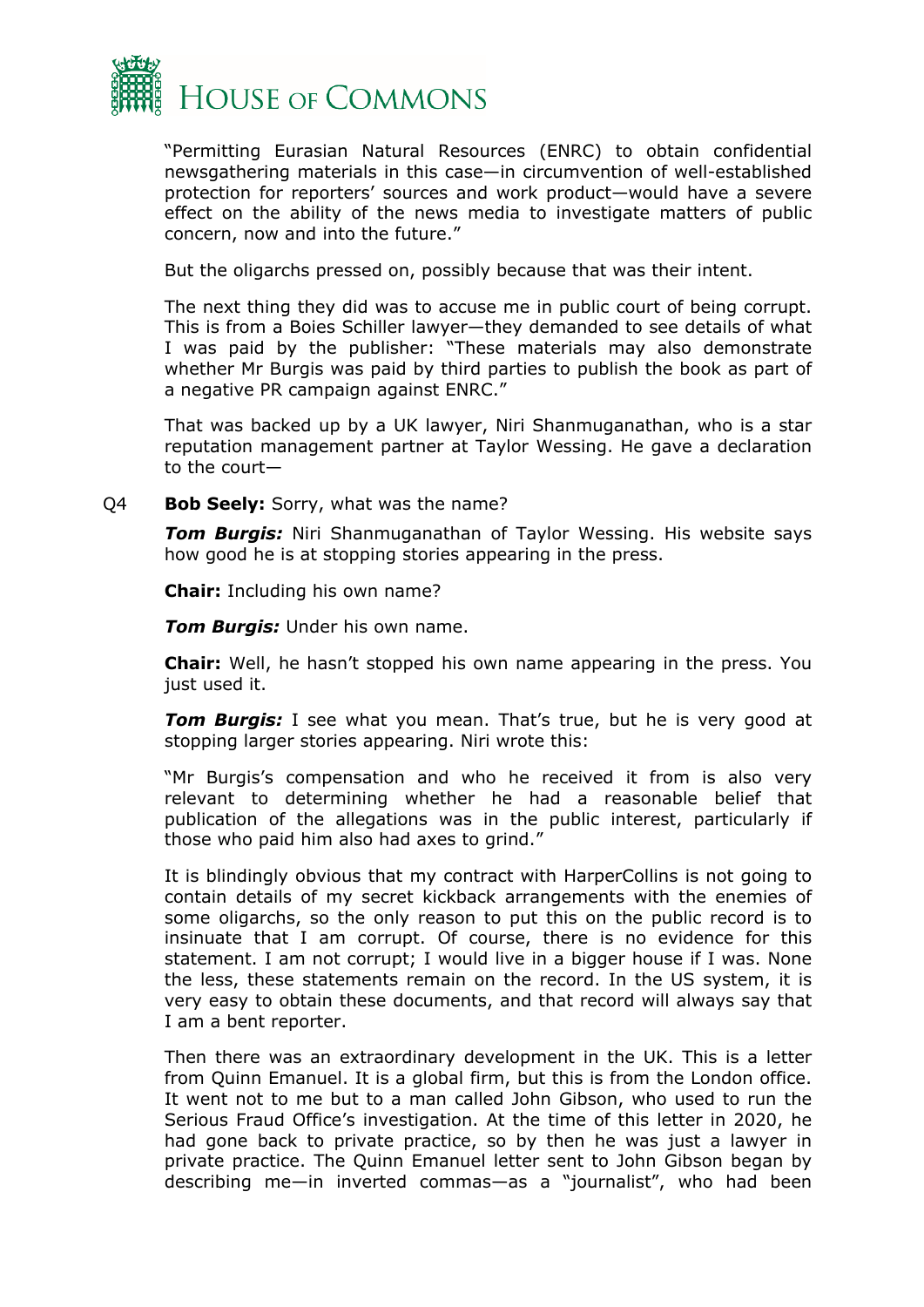

"Permitting Eurasian Natural Resources (ENRC) to obtain confidential newsgathering materials in this case—in circumvention of well-established protection for reporters' sources and work product—would have a severe effect on the ability of the news media to investigate matters of public concern, now and into the future."

But the oligarchs pressed on, possibly because that was their intent.

The next thing they did was to accuse me in public court of being corrupt. This is from a Boies Schiller lawyer—they demanded to see details of what I was paid by the publisher: "These materials may also demonstrate whether Mr Burgis was paid by third parties to publish the book as part of a negative PR campaign against ENRC."

That was backed up by a UK lawyer, Niri Shanmuganathan, who is a star reputation management partner at Taylor Wessing. He gave a declaration to the court—

Q4 **Bob Seely:** Sorry, what was the name?

*Tom Burgis:* Niri Shanmuganathan of Taylor Wessing. His website says how good he is at stopping stories appearing in the press.

**Chair:** Including his own name?

*Tom Burgis:* Under his own name.

**Chair:** Well, he hasn't stopped his own name appearing in the press. You just used it.

*Tom Burgis:* I see what you mean. That's true, but he is very good at stopping larger stories appearing. Niri wrote this:

"Mr Burgis's compensation and who he received it from is also very relevant to determining whether he had a reasonable belief that publication of the allegations was in the public interest, particularly if those who paid him also had axes to grind."

It is blindingly obvious that my contract with HarperCollins is not going to contain details of my secret kickback arrangements with the enemies of some oligarchs, so the only reason to put this on the public record is to insinuate that I am corrupt. Of course, there is no evidence for this statement. I am not corrupt; I would live in a bigger house if I was. None the less, these statements remain on the record. In the US system, it is very easy to obtain these documents, and that record will always say that I am a bent reporter.

Then there was an extraordinary development in the UK. This is a letter from Quinn Emanuel. It is a global firm, but this is from the London office. It went not to me but to a man called John Gibson, who used to run the Serious Fraud Office's investigation. At the time of this letter in 2020, he had gone back to private practice, so by then he was just a lawyer in private practice. The Quinn Emanuel letter sent to John Gibson began by describing me—in inverted commas—as a "journalist", who had been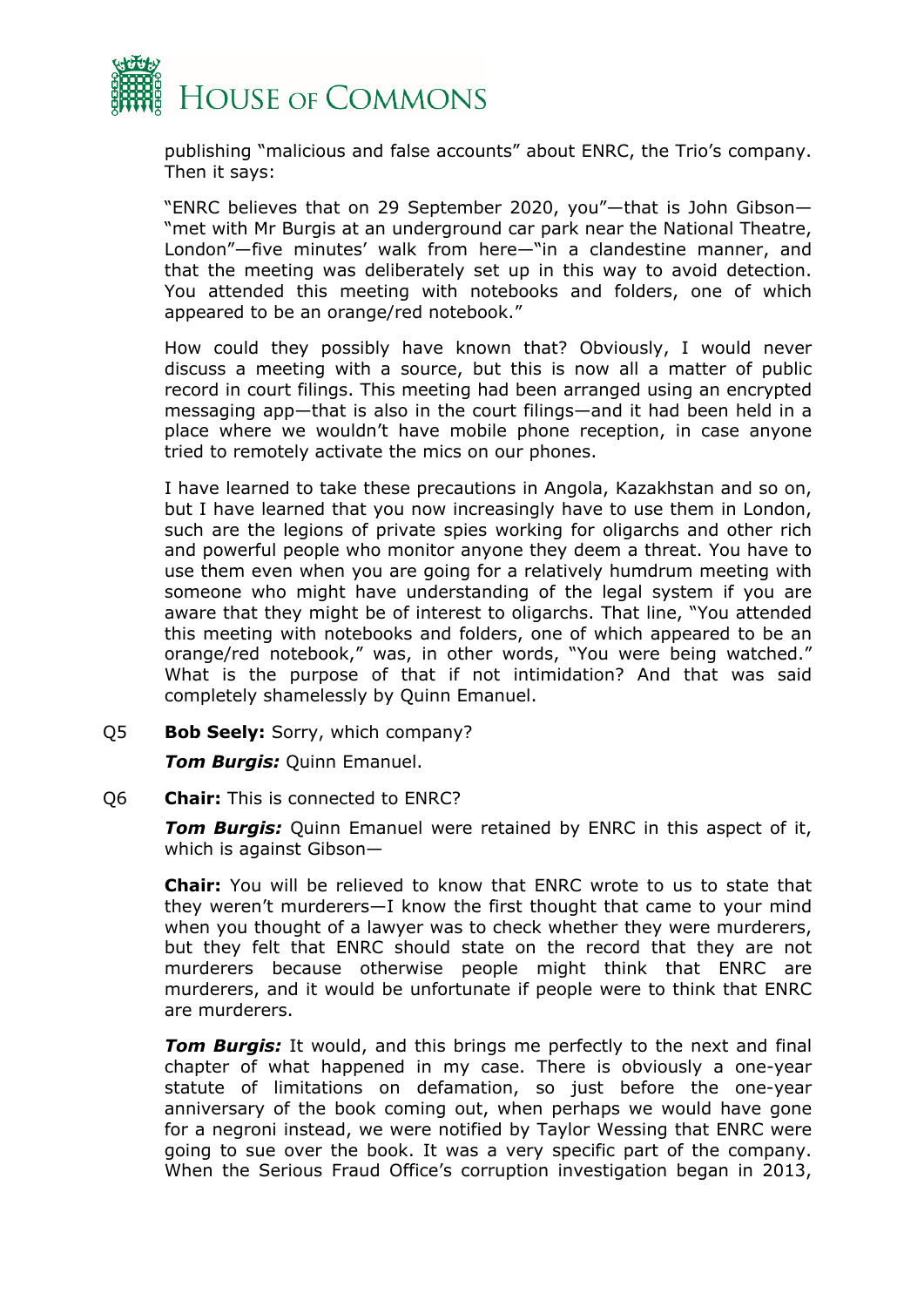

publishing "malicious and false accounts" about ENRC, the Trio's company. Then it says:

"ENRC believes that on 29 September 2020, you"—that is John Gibson— "met with Mr Burgis at an underground car park near the National Theatre, London"—five minutes' walk from here—"in a clandestine manner, and that the meeting was deliberately set up in this way to avoid detection. You attended this meeting with notebooks and folders, one of which appeared to be an orange/red notebook."

How could they possibly have known that? Obviously, I would never discuss a meeting with a source, but this is now all a matter of public record in court filings. This meeting had been arranged using an encrypted messaging app—that is also in the court filings—and it had been held in a place where we wouldn't have mobile phone reception, in case anyone tried to remotely activate the mics on our phones.

I have learned to take these precautions in Angola, Kazakhstan and so on, but I have learned that you now increasingly have to use them in London, such are the legions of private spies working for oligarchs and other rich and powerful people who monitor anyone they deem a threat. You have to use them even when you are going for a relatively humdrum meeting with someone who might have understanding of the legal system if you are aware that they might be of interest to oligarchs. That line, "You attended this meeting with notebooks and folders, one of which appeared to be an orange/red notebook," was, in other words, "You were being watched." What is the purpose of that if not intimidation? And that was said completely shamelessly by Quinn Emanuel.

Q5 **Bob Seely:** Sorry, which company?

*Tom Burgis:* Quinn Emanuel.

#### Q6 **Chair:** This is connected to ENRC?

*Tom Burgis:* Quinn Emanuel were retained by ENRC in this aspect of it, which is against Gibson—

**Chair:** You will be relieved to know that ENRC wrote to us to state that they weren't murderers—I know the first thought that came to your mind when you thought of a lawyer was to check whether they were murderers, but they felt that ENRC should state on the record that they are not murderers because otherwise people might think that ENRC are murderers, and it would be unfortunate if people were to think that ENRC are murderers.

**Tom Burgis:** It would, and this brings me perfectly to the next and final chapter of what happened in my case. There is obviously a one-year statute of limitations on defamation, so just before the one-year anniversary of the book coming out, when perhaps we would have gone for a negroni instead, we were notified by Taylor Wessing that ENRC were going to sue over the book. It was a very specific part of the company. When the Serious Fraud Office's corruption investigation began in 2013,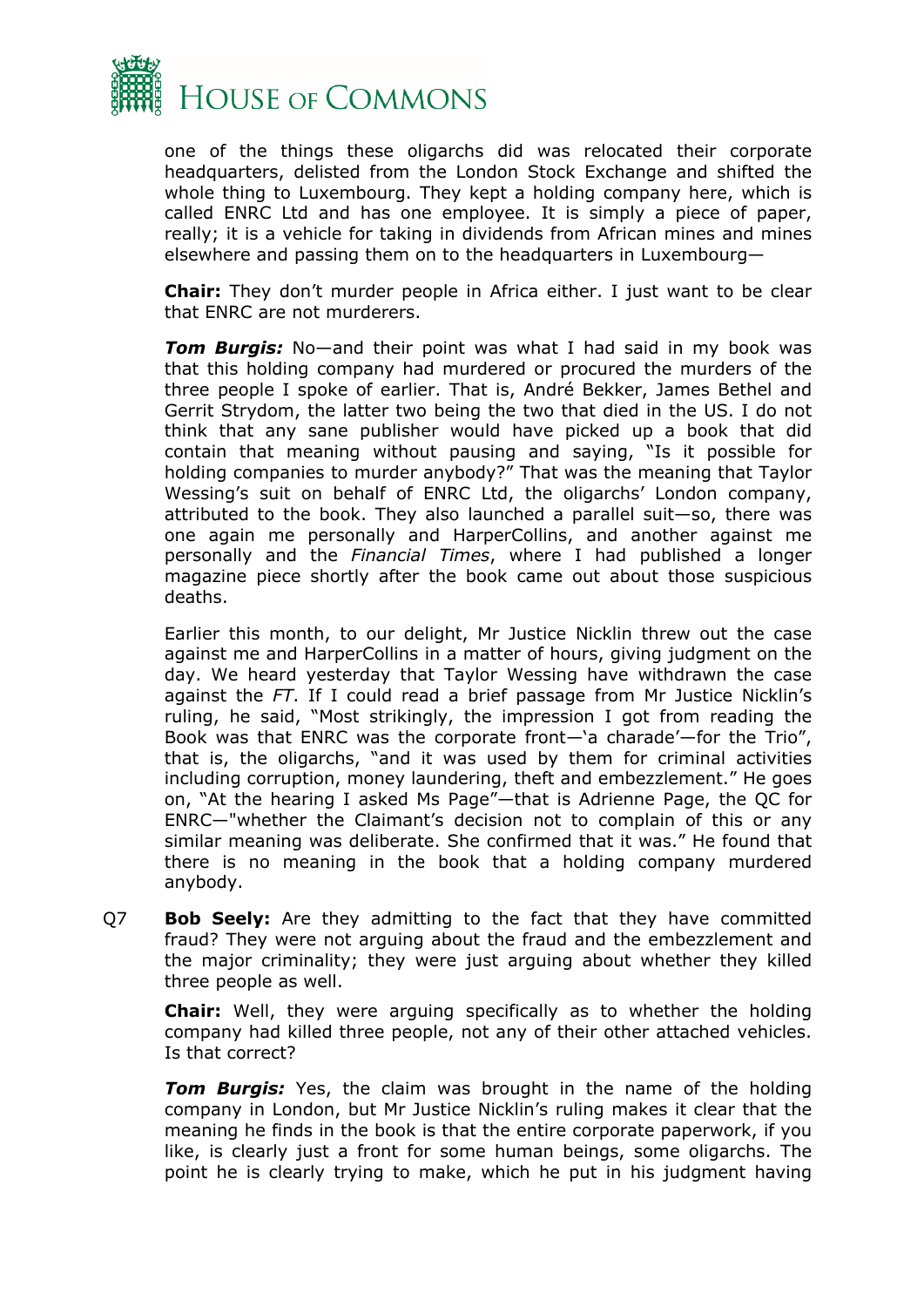

one of the things these oligarchs did was relocated their corporate headquarters, delisted from the London Stock Exchange and shifted the whole thing to Luxembourg. They kept a holding company here, which is called ENRC Ltd and has one employee. It is simply a piece of paper, really; it is a vehicle for taking in dividends from African mines and mines elsewhere and passing them on to the headquarters in Luxembourg—

**Chair:** They don't murder people in Africa either. I just want to be clear that ENRC are not murderers.

*Tom Burgis:* No—and their point was what I had said in my book was that this holding company had murdered or procured the murders of the three people I spoke of earlier. That is, André Bekker, James Bethel and Gerrit Strydom, the latter two being the two that died in the US. I do not think that any sane publisher would have picked up a book that did contain that meaning without pausing and saying, "Is it possible for holding companies to murder anybody?" That was the meaning that Taylor Wessing's suit on behalf of ENRC Ltd, the oligarchs' London company, attributed to the book. They also launched a parallel suit—so, there was one again me personally and HarperCollins, and another against me personally and the *Financial Times*, where I had published a longer magazine piece shortly after the book came out about those suspicious deaths.

Earlier this month, to our delight, Mr Justice Nicklin threw out the case against me and HarperCollins in a matter of hours, giving judgment on the day. We heard yesterday that Taylor Wessing have withdrawn the case against the *FT*. If I could read a brief passage from Mr Justice Nicklin's ruling, he said, "Most strikingly, the impression I got from reading the Book was that ENRC was the corporate front—'a charade'—for the Trio", that is, the oligarchs, "and it was used by them for criminal activities including corruption, money laundering, theft and embezzlement." He goes on, "At the hearing I asked Ms Page"—that is Adrienne Page, the QC for ENRC—"whether the Claimant's decision not to complain of this or any similar meaning was deliberate. She confirmed that it was." He found that there is no meaning in the book that a holding company murdered anybody.

Q7 **Bob Seely:** Are they admitting to the fact that they have committed fraud? They were not arguing about the fraud and the embezzlement and the major criminality; they were just arguing about whether they killed three people as well.

**Chair:** Well, they were arguing specifically as to whether the holding company had killed three people, not any of their other attached vehicles. Is that correct?

*Tom Burgis:* Yes, the claim was brought in the name of the holding company in London, but Mr Justice Nicklin's ruling makes it clear that the meaning he finds in the book is that the entire corporate paperwork, if you like, is clearly just a front for some human beings, some oligarchs. The point he is clearly trying to make, which he put in his judgment having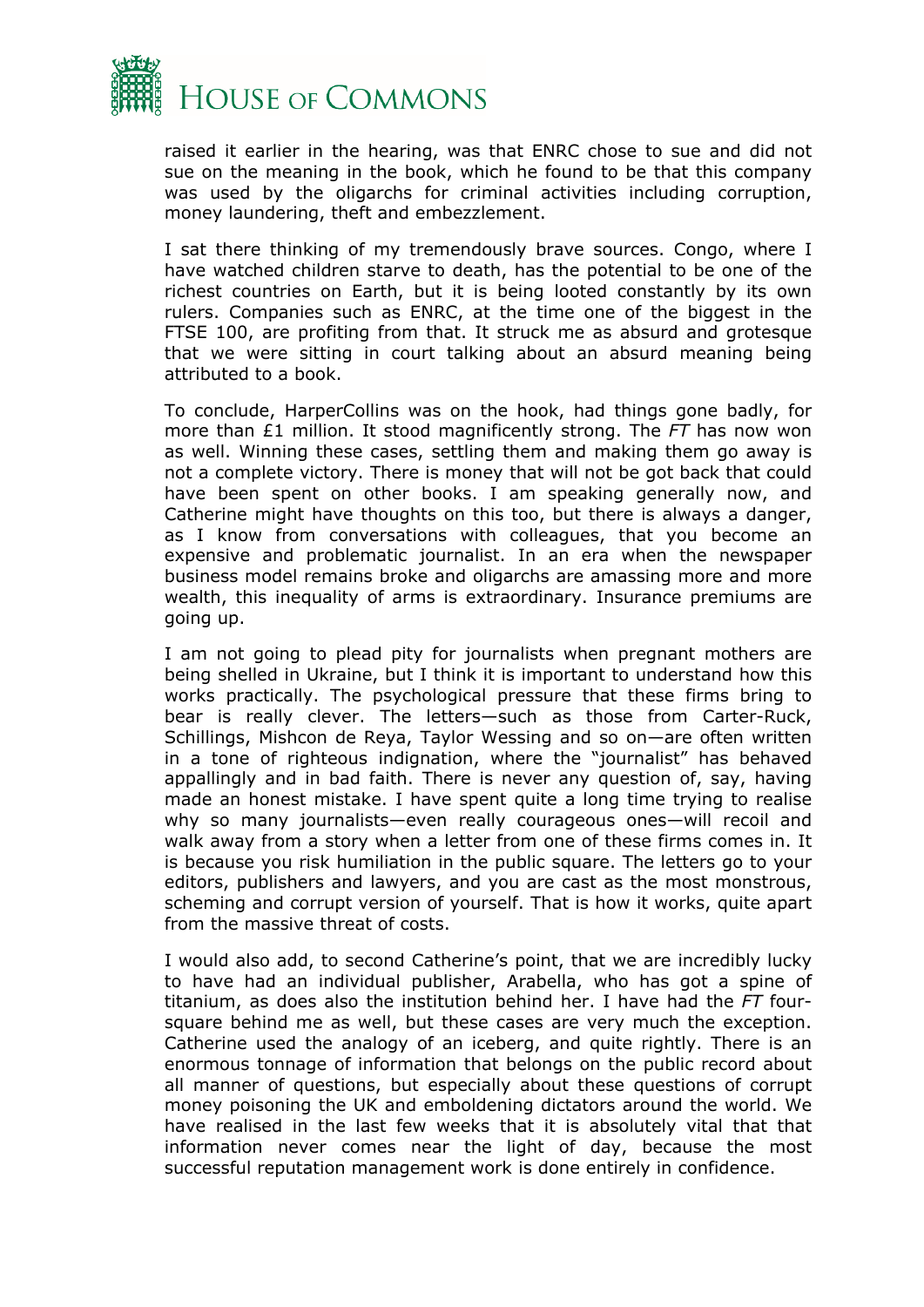

raised it earlier in the hearing, was that ENRC chose to sue and did not sue on the meaning in the book, which he found to be that this company was used by the oligarchs for criminal activities including corruption, money laundering, theft and embezzlement.

I sat there thinking of my tremendously brave sources. Congo, where I have watched children starve to death, has the potential to be one of the richest countries on Earth, but it is being looted constantly by its own rulers. Companies such as ENRC, at the time one of the biggest in the FTSE 100, are profiting from that. It struck me as absurd and grotesque that we were sitting in court talking about an absurd meaning being attributed to a book.

To conclude, HarperCollins was on the hook, had things gone badly, for more than £1 million. It stood magnificently strong. The *FT* has now won as well. Winning these cases, settling them and making them go away is not a complete victory. There is money that will not be got back that could have been spent on other books. I am speaking generally now, and Catherine might have thoughts on this too, but there is always a danger, as I know from conversations with colleagues, that you become an expensive and problematic journalist. In an era when the newspaper business model remains broke and oligarchs are amassing more and more wealth, this inequality of arms is extraordinary. Insurance premiums are going up.

I am not going to plead pity for journalists when pregnant mothers are being shelled in Ukraine, but I think it is important to understand how this works practically. The psychological pressure that these firms bring to bear is really clever. The letters—such as those from Carter-Ruck, Schillings, Mishcon de Reya, Taylor Wessing and so on—are often written in a tone of righteous indignation, where the "journalist" has behaved appallingly and in bad faith. There is never any question of, say, having made an honest mistake. I have spent quite a long time trying to realise why so many journalists—even really courageous ones—will recoil and walk away from a story when a letter from one of these firms comes in. It is because you risk humiliation in the public square. The letters go to your editors, publishers and lawyers, and you are cast as the most monstrous, scheming and corrupt version of yourself. That is how it works, quite apart from the massive threat of costs.

I would also add, to second Catherine's point, that we are incredibly lucky to have had an individual publisher, Arabella, who has got a spine of titanium, as does also the institution behind her. I have had the *FT* foursquare behind me as well, but these cases are very much the exception. Catherine used the analogy of an iceberg, and quite rightly. There is an enormous tonnage of information that belongs on the public record about all manner of questions, but especially about these questions of corrupt money poisoning the UK and emboldening dictators around the world. We have realised in the last few weeks that it is absolutely vital that that information never comes near the light of day, because the most successful reputation management work is done entirely in confidence.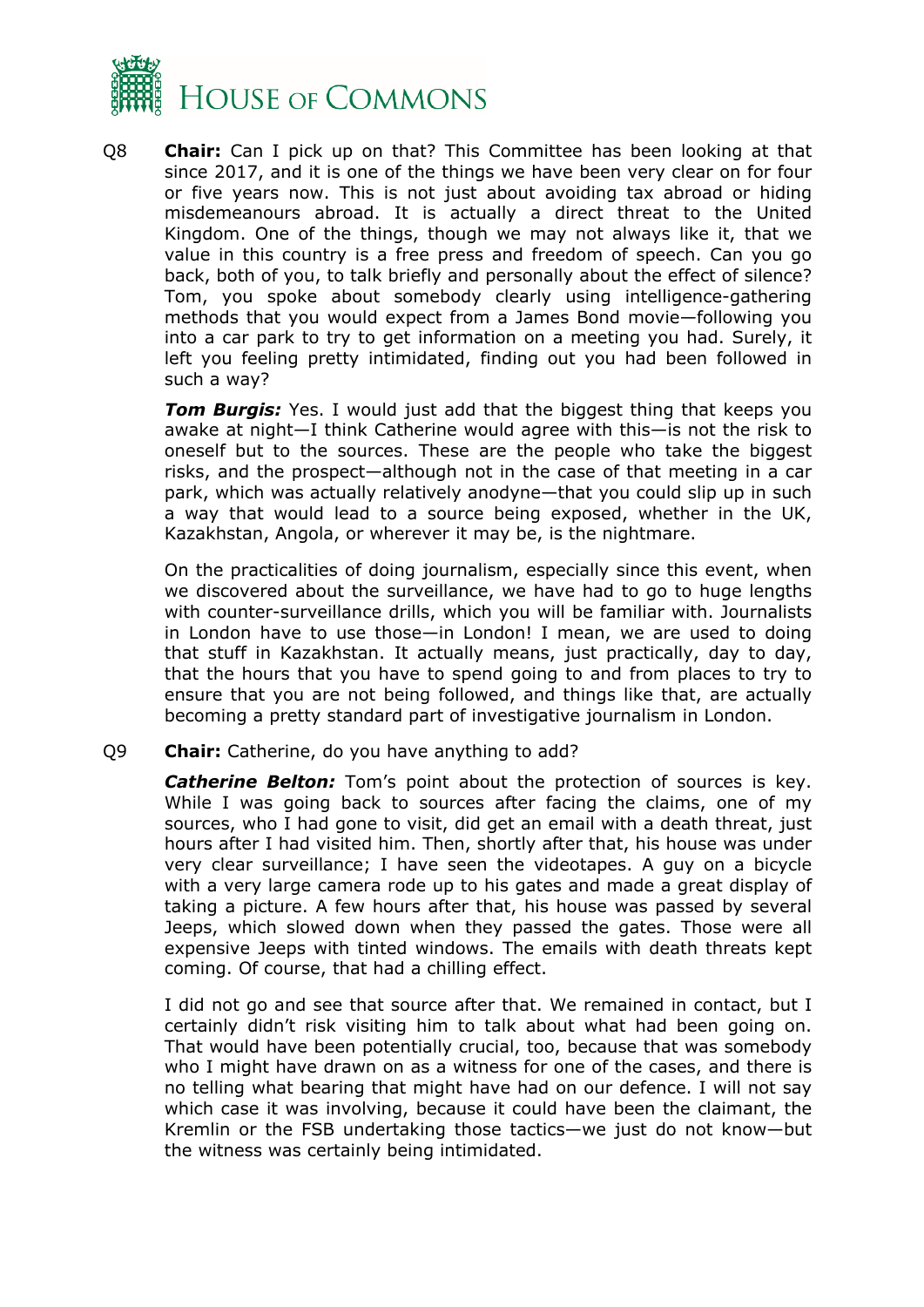

Q8 **Chair:** Can I pick up on that? This Committee has been looking at that since 2017, and it is one of the things we have been very clear on for four or five years now. This is not just about avoiding tax abroad or hiding misdemeanours abroad. It is actually a direct threat to the United Kingdom. One of the things, though we may not always like it, that we value in this country is a free press and freedom of speech. Can you go back, both of you, to talk briefly and personally about the effect of silence? Tom, you spoke about somebody clearly using intelligence-gathering methods that you would expect from a James Bond movie—following you into a car park to try to get information on a meeting you had. Surely, it left you feeling pretty intimidated, finding out you had been followed in such a way?

**Tom Burgis:** Yes. I would just add that the biggest thing that keeps you awake at night—I think Catherine would agree with this—is not the risk to oneself but to the sources. These are the people who take the biggest risks, and the prospect—although not in the case of that meeting in a car park, which was actually relatively anodyne—that you could slip up in such a way that would lead to a source being exposed, whether in the UK, Kazakhstan, Angola, or wherever it may be, is the nightmare.

On the practicalities of doing journalism, especially since this event, when we discovered about the surveillance, we have had to go to huge lengths with counter-surveillance drills, which you will be familiar with. Journalists in London have to use those—in London! I mean, we are used to doing that stuff in Kazakhstan. It actually means, just practically, day to day, that the hours that you have to spend going to and from places to try to ensure that you are not being followed, and things like that, are actually becoming a pretty standard part of investigative journalism in London.

Q9 **Chair:** Catherine, do you have anything to add?

*Catherine Belton:* Tom's point about the protection of sources is key. While I was going back to sources after facing the claims, one of my sources, who I had gone to visit, did get an email with a death threat, just hours after I had visited him. Then, shortly after that, his house was under very clear surveillance; I have seen the videotapes. A guy on a bicycle with a very large camera rode up to his gates and made a great display of taking a picture. A few hours after that, his house was passed by several Jeeps, which slowed down when they passed the gates. Those were all expensive Jeeps with tinted windows. The emails with death threats kept coming. Of course, that had a chilling effect.

I did not go and see that source after that. We remained in contact, but I certainly didn't risk visiting him to talk about what had been going on. That would have been potentially crucial, too, because that was somebody who I might have drawn on as a witness for one of the cases, and there is no telling what bearing that might have had on our defence. I will not say which case it was involving, because it could have been the claimant, the Kremlin or the FSB undertaking those tactics—we just do not know—but the witness was certainly being intimidated.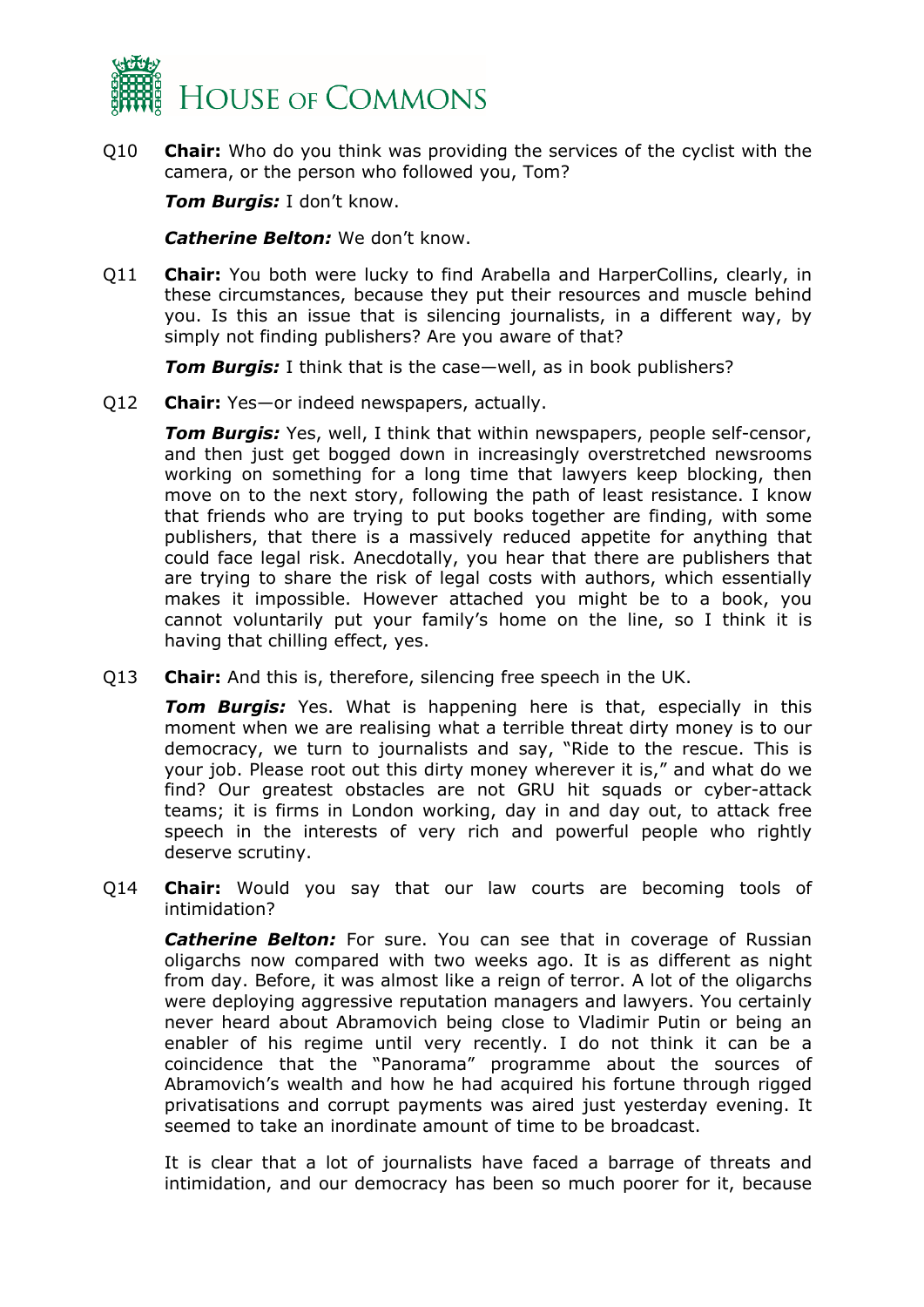

Q10 **Chair:** Who do you think was providing the services of the cyclist with the camera, or the person who followed you, Tom?

*Tom Burgis:* I don't know.

*Catherine Belton:* We don't know.

Q11 **Chair:** You both were lucky to find Arabella and HarperCollins, clearly, in these circumstances, because they put their resources and muscle behind you. Is this an issue that is silencing journalists, in a different way, by simply not finding publishers? Are you aware of that?

*Tom Burgis:* I think that is the case—well, as in book publishers?

Q12 **Chair:** Yes—or indeed newspapers, actually.

*Tom Burgis:* Yes, well, I think that within newspapers, people self-censor, and then just get bogged down in increasingly overstretched newsrooms working on something for a long time that lawyers keep blocking, then move on to the next story, following the path of least resistance. I know that friends who are trying to put books together are finding, with some publishers, that there is a massively reduced appetite for anything that could face legal risk. Anecdotally, you hear that there are publishers that are trying to share the risk of legal costs with authors, which essentially makes it impossible. However attached you might be to a book, you cannot voluntarily put your family's home on the line, so I think it is having that chilling effect, yes.

Q13 **Chair:** And this is, therefore, silencing free speech in the UK.

*Tom Burgis:* Yes. What is happening here is that, especially in this moment when we are realising what a terrible threat dirty money is to our democracy, we turn to journalists and say, "Ride to the rescue. This is your job. Please root out this dirty money wherever it is," and what do we find? Our greatest obstacles are not GRU hit squads or cyber-attack teams; it is firms in London working, day in and day out, to attack free speech in the interests of very rich and powerful people who rightly deserve scrutiny.

Q14 **Chair:** Would you say that our law courts are becoming tools of intimidation?

**Catherine Belton:** For sure. You can see that in coverage of Russian oligarchs now compared with two weeks ago. It is as different as night from day. Before, it was almost like a reign of terror. A lot of the oligarchs were deploying aggressive reputation managers and lawyers. You certainly never heard about Abramovich being close to Vladimir Putin or being an enabler of his regime until very recently. I do not think it can be a coincidence that the "Panorama" programme about the sources of Abramovich's wealth and how he had acquired his fortune through rigged privatisations and corrupt payments was aired just yesterday evening. It seemed to take an inordinate amount of time to be broadcast.

It is clear that a lot of journalists have faced a barrage of threats and intimidation, and our democracy has been so much poorer for it, because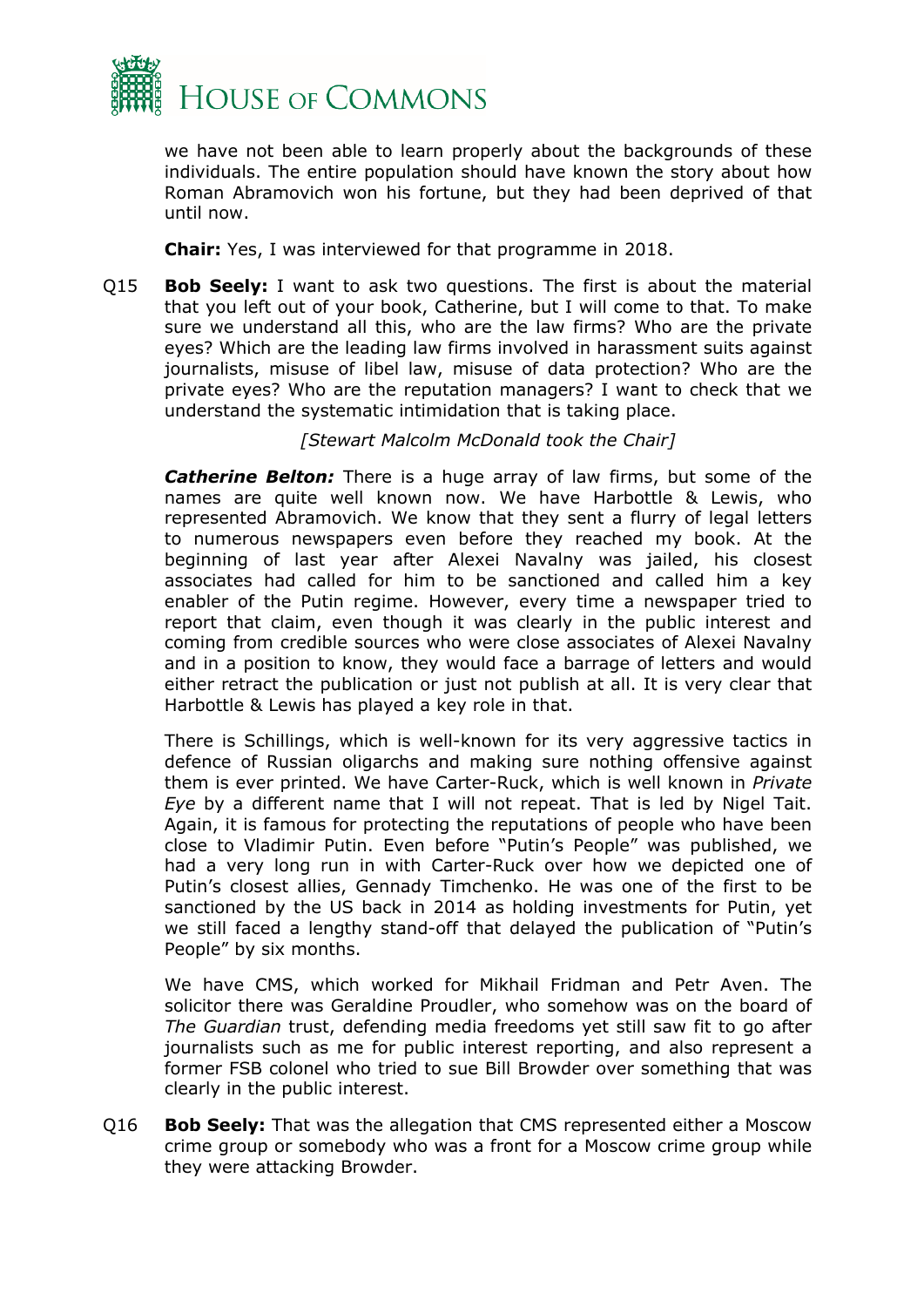

we have not been able to learn properly about the backgrounds of these individuals. The entire population should have known the story about how Roman Abramovich won his fortune, but they had been deprived of that until now.

**Chair:** Yes, I was interviewed for that programme in 2018.

Q15 **Bob Seely:** I want to ask two questions. The first is about the material that you left out of your book, Catherine, but I will come to that. To make sure we understand all this, who are the law firms? Who are the private eyes? Which are the leading law firms involved in harassment suits against journalists, misuse of libel law, misuse of data protection? Who are the private eyes? Who are the reputation managers? I want to check that we understand the systematic intimidation that is taking place.

*[Stewart Malcolm McDonald took the Chair]*

**Catherine Belton:** There is a huge array of law firms, but some of the names are quite well known now. We have Harbottle & Lewis, who represented Abramovich. We know that they sent a flurry of legal letters to numerous newspapers even before they reached my book. At the beginning of last year after Alexei Navalny was jailed, his closest associates had called for him to be sanctioned and called him a key enabler of the Putin regime. However, every time a newspaper tried to report that claim, even though it was clearly in the public interest and coming from credible sources who were close associates of Alexei Navalny and in a position to know, they would face a barrage of letters and would either retract the publication or just not publish at all. It is very clear that Harbottle & Lewis has played a key role in that.

There is Schillings, which is well-known for its very aggressive tactics in defence of Russian oligarchs and making sure nothing offensive against them is ever printed. We have Carter-Ruck, which is well known in *Private Eye* by a different name that I will not repeat. That is led by Nigel Tait. Again, it is famous for protecting the reputations of people who have been close to Vladimir Putin. Even before "Putin's People" was published, we had a very long run in with Carter-Ruck over how we depicted one of Putin's closest allies, Gennady Timchenko. He was one of the first to be sanctioned by the US back in 2014 as holding investments for Putin, yet we still faced a lengthy stand-off that delayed the publication of "Putin's People" by six months.

We have CMS, which worked for Mikhail Fridman and Petr Aven. The solicitor there was Geraldine Proudler, who somehow was on the board of *The Guardian* trust, defending media freedoms yet still saw fit to go after journalists such as me for public interest reporting, and also represent a former FSB colonel who tried to sue Bill Browder over something that was clearly in the public interest.

Q16 **Bob Seely:** That was the allegation that CMS represented either a Moscow crime group or somebody who was a front for a Moscow crime group while they were attacking Browder.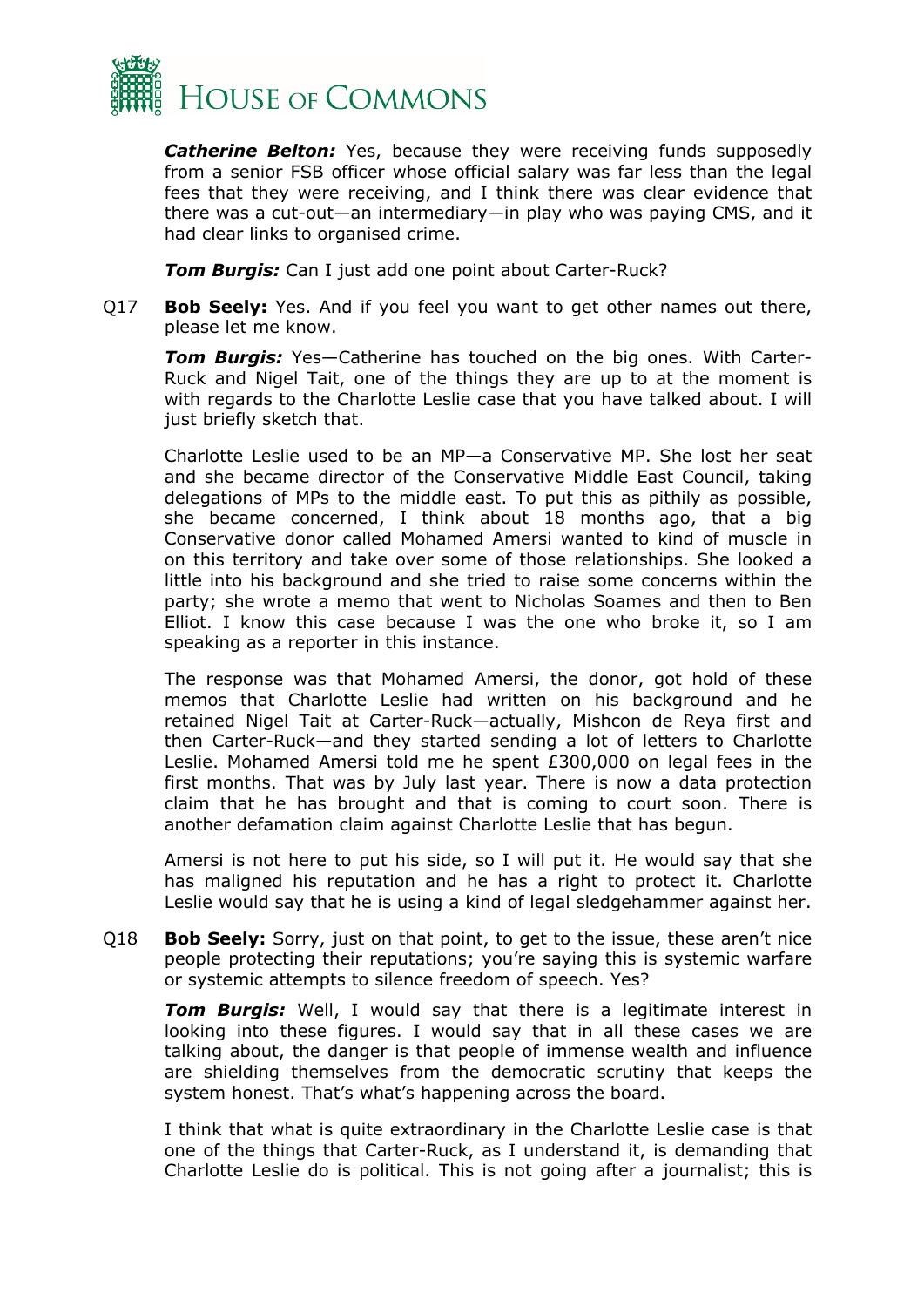

*Catherine Belton:* Yes, because they were receiving funds supposedly from a senior FSB officer whose official salary was far less than the legal fees that they were receiving, and I think there was clear evidence that there was a cut-out—an intermediary—in play who was paying CMS, and it had clear links to organised crime.

*Tom Burgis:* Can I just add one point about Carter-Ruck?

Q17 **Bob Seely:** Yes. And if you feel you want to get other names out there, please let me know.

*Tom Burgis:* Yes—Catherine has touched on the big ones. With Carter-Ruck and Nigel Tait, one of the things they are up to at the moment is with regards to the Charlotte Leslie case that you have talked about. I will just briefly sketch that.

Charlotte Leslie used to be an MP—a Conservative MP. She lost her seat and she became director of the Conservative Middle East Council, taking delegations of MPs to the middle east. To put this as pithily as possible, she became concerned, I think about 18 months ago, that a big Conservative donor called Mohamed Amersi wanted to kind of muscle in on this territory and take over some of those relationships. She looked a little into his background and she tried to raise some concerns within the party; she wrote a memo that went to Nicholas Soames and then to Ben Elliot. I know this case because I was the one who broke it, so I am speaking as a reporter in this instance.

The response was that Mohamed Amersi, the donor, got hold of these memos that Charlotte Leslie had written on his background and he retained Nigel Tait at Carter-Ruck—actually, Mishcon de Reya first and then Carter-Ruck—and they started sending a lot of letters to Charlotte Leslie. Mohamed Amersi told me he spent £300,000 on legal fees in the first months. That was by July last year. There is now a data protection claim that he has brought and that is coming to court soon. There is another defamation claim against Charlotte Leslie that has begun.

Amersi is not here to put his side, so I will put it. He would say that she has maligned his reputation and he has a right to protect it. Charlotte Leslie would say that he is using a kind of legal sledgehammer against her.

Q18 **Bob Seely:** Sorry, just on that point, to get to the issue, these aren't nice people protecting their reputations; you're saying this is systemic warfare or systemic attempts to silence freedom of speech. Yes?

*Tom Burgis:* Well, I would say that there is a legitimate interest in looking into these figures. I would say that in all these cases we are talking about, the danger is that people of immense wealth and influence are shielding themselves from the democratic scrutiny that keeps the system honest. That's what's happening across the board.

I think that what is quite extraordinary in the Charlotte Leslie case is that one of the things that Carter-Ruck, as I understand it, is demanding that Charlotte Leslie do is political. This is not going after a journalist; this is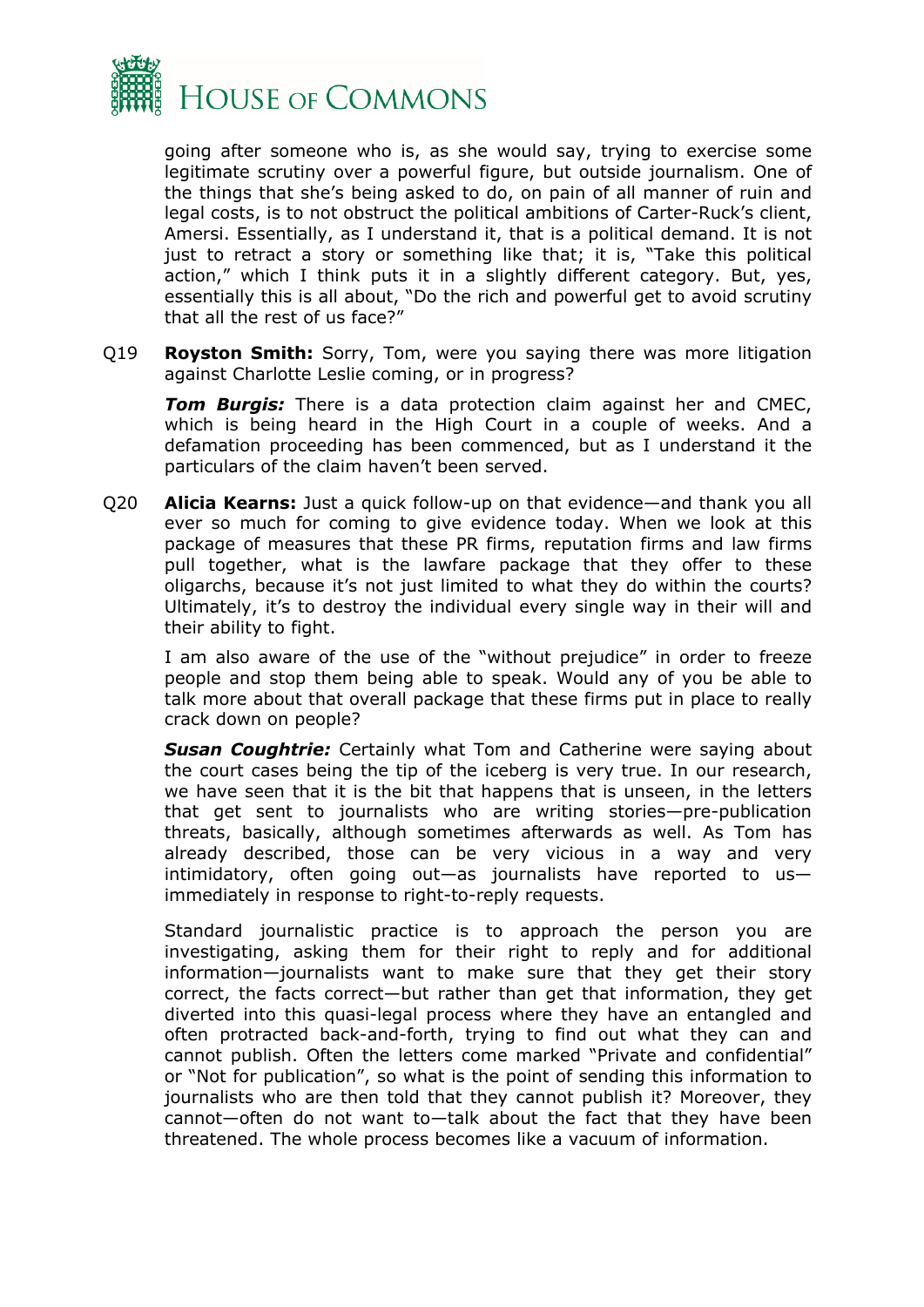

going after someone who is, as she would say, trying to exercise some legitimate scrutiny over a powerful figure, but outside journalism. One of the things that she's being asked to do, on pain of all manner of ruin and legal costs, is to not obstruct the political ambitions of Carter-Ruck's client, Amersi. Essentially, as I understand it, that is a political demand. It is not just to retract a story or something like that; it is, "Take this political action," which I think puts it in a slightly different category. But, yes, essentially this is all about, "Do the rich and powerful get to avoid scrutiny that all the rest of us face?"

Q19 **Royston Smith:** Sorry, Tom, were you saying there was more litigation against Charlotte Leslie coming, or in progress?

*Tom Burgis:* There is a data protection claim against her and CMEC, which is being heard in the High Court in a couple of weeks. And a defamation proceeding has been commenced, but as I understand it the particulars of the claim haven't been served.

Q20 **Alicia Kearns:** Just a quick follow-up on that evidence—and thank you all ever so much for coming to give evidence today. When we look at this package of measures that these PR firms, reputation firms and law firms pull together, what is the lawfare package that they offer to these oligarchs, because it's not just limited to what they do within the courts? Ultimately, it's to destroy the individual every single way in their will and their ability to fight.

I am also aware of the use of the "without prejudice" in order to freeze people and stop them being able to speak. Would any of you be able to talk more about that overall package that these firms put in place to really crack down on people?

*Susan Coughtrie:* Certainly what Tom and Catherine were saying about the court cases being the tip of the iceberg is very true. In our research, we have seen that it is the bit that happens that is unseen, in the letters that get sent to journalists who are writing stories—pre-publication threats, basically, although sometimes afterwards as well. As Tom has already described, those can be very vicious in a way and very intimidatory, often going out—as journalists have reported to us immediately in response to right-to-reply requests.

Standard journalistic practice is to approach the person you are investigating, asking them for their right to reply and for additional information—journalists want to make sure that they get their story correct, the facts correct—but rather than get that information, they get diverted into this quasi-legal process where they have an entangled and often protracted back-and-forth, trying to find out what they can and cannot publish. Often the letters come marked "Private and confidential" or "Not for publication", so what is the point of sending this information to journalists who are then told that they cannot publish it? Moreover, they cannot—often do not want to—talk about the fact that they have been threatened. The whole process becomes like a vacuum of information.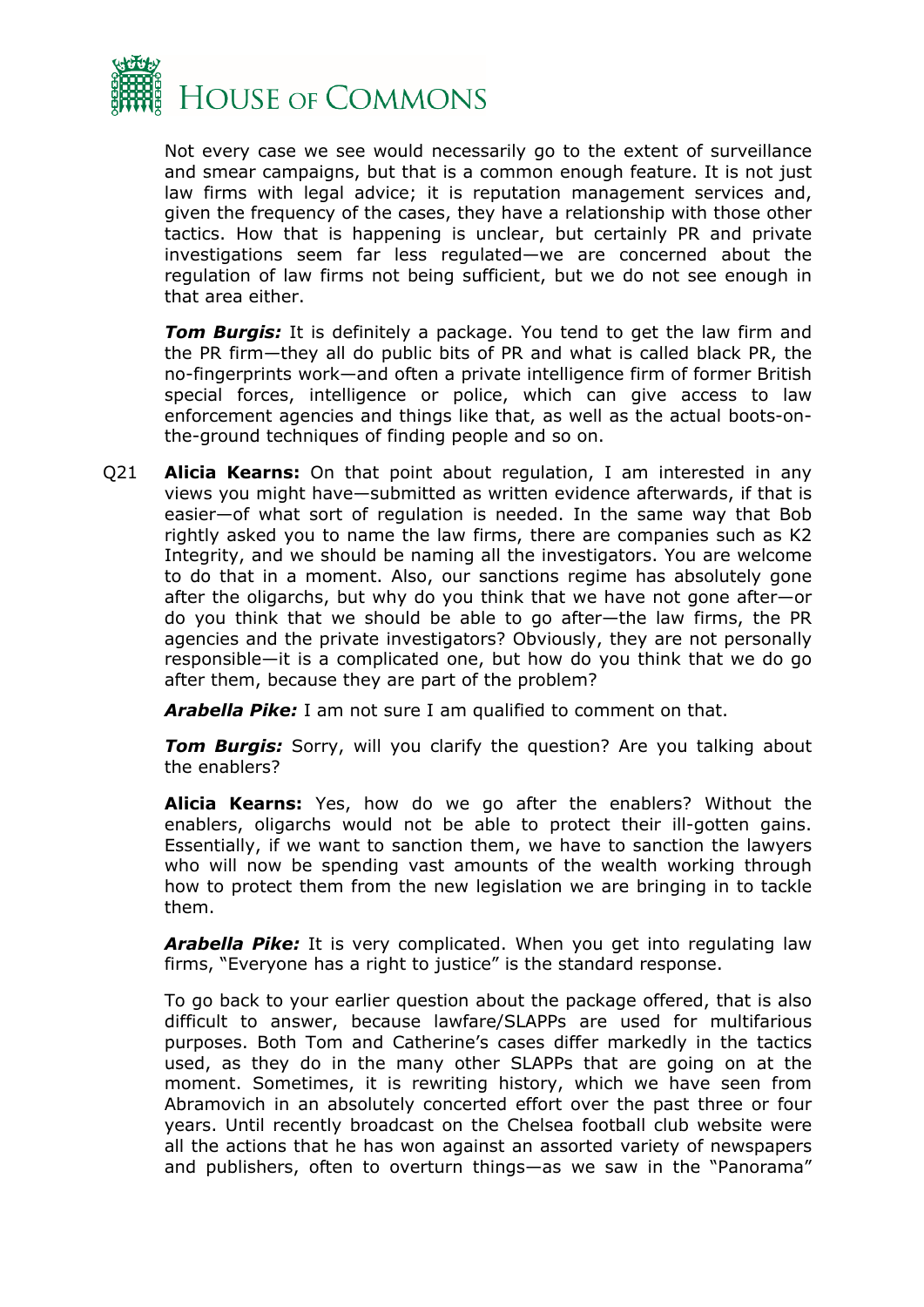

Not every case we see would necessarily go to the extent of surveillance and smear campaigns, but that is a common enough feature. It is not just law firms with legal advice; it is reputation management services and, given the frequency of the cases, they have a relationship with those other tactics. How that is happening is unclear, but certainly PR and private investigations seem far less regulated—we are concerned about the regulation of law firms not being sufficient, but we do not see enough in that area either.

*Tom Burgis:* It is definitely a package. You tend to get the law firm and the PR firm—they all do public bits of PR and what is called black PR, the no-fingerprints work—and often a private intelligence firm of former British special forces, intelligence or police, which can give access to law enforcement agencies and things like that, as well as the actual boots-onthe-ground techniques of finding people and so on.

Q21 **Alicia Kearns:** On that point about regulation, I am interested in any views you might have—submitted as written evidence afterwards, if that is easier—of what sort of regulation is needed. In the same way that Bob rightly asked you to name the law firms, there are companies such as K2 Integrity, and we should be naming all the investigators. You are welcome to do that in a moment. Also, our sanctions regime has absolutely gone after the oligarchs, but why do you think that we have not gone after—or do you think that we should be able to go after—the law firms, the PR agencies and the private investigators? Obviously, they are not personally responsible—it is a complicated one, but how do you think that we do go after them, because they are part of the problem?

*Arabella Pike:* I am not sure I am qualified to comment on that.

**Tom Burgis:** Sorry, will you clarify the question? Are you talking about the enablers?

**Alicia Kearns:** Yes, how do we go after the enablers? Without the enablers, oligarchs would not be able to protect their ill-gotten gains. Essentially, if we want to sanction them, we have to sanction the lawyers who will now be spending vast amounts of the wealth working through how to protect them from the new legislation we are bringing in to tackle them.

*Arabella Pike:* It is very complicated. When you get into regulating law firms, "Everyone has a right to justice" is the standard response.

To go back to your earlier question about the package offered, that is also difficult to answer, because lawfare/SLAPPs are used for multifarious purposes. Both Tom and Catherine's cases differ markedly in the tactics used, as they do in the many other SLAPPs that are going on at the moment. Sometimes, it is rewriting history, which we have seen from Abramovich in an absolutely concerted effort over the past three or four years. Until recently broadcast on the Chelsea football club website were all the actions that he has won against an assorted variety of newspapers and publishers, often to overturn things—as we saw in the "Panorama"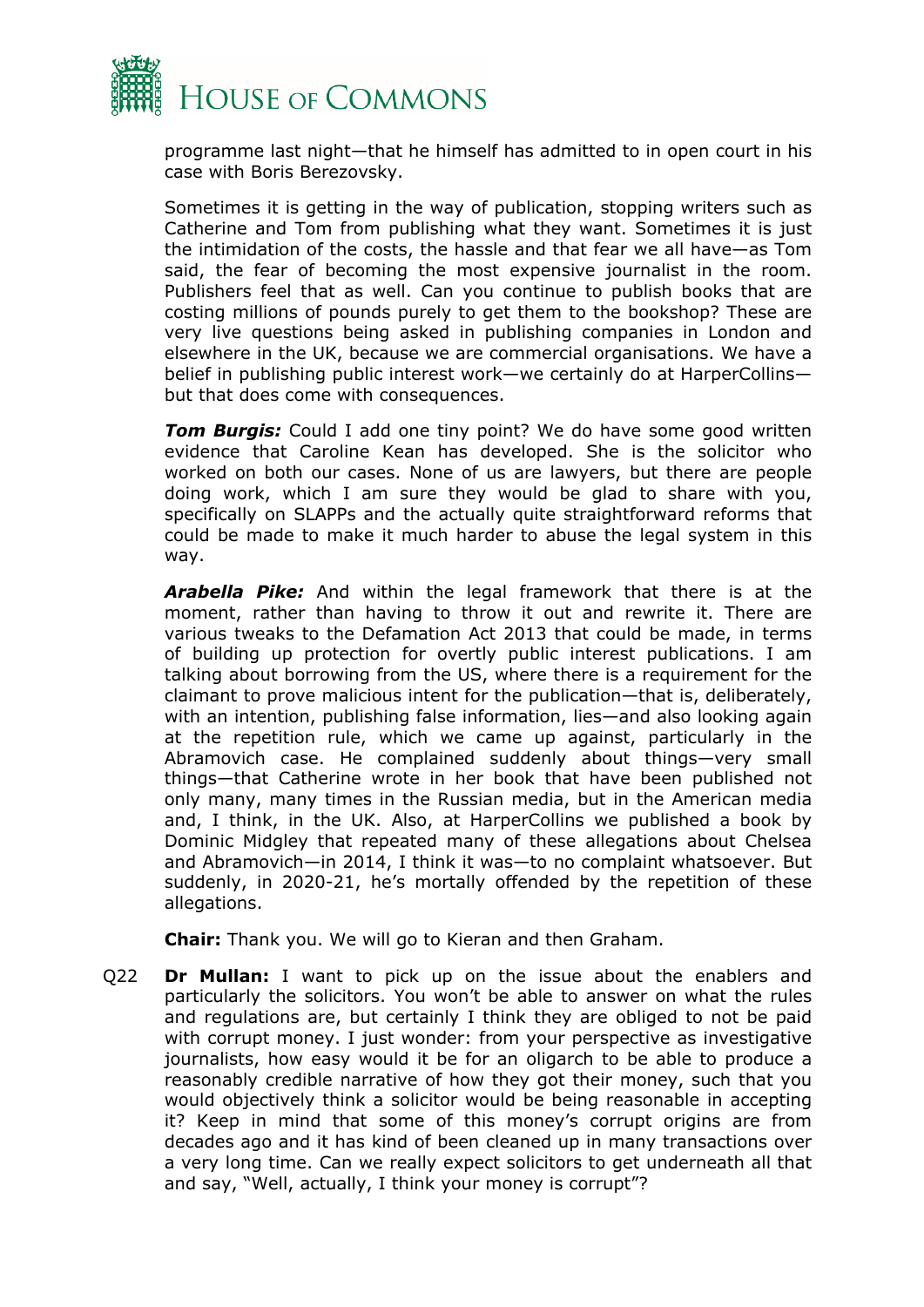

programme last night—that he himself has admitted to in open court in his case with Boris Berezovsky.

Sometimes it is getting in the way of publication, stopping writers such as Catherine and Tom from publishing what they want. Sometimes it is just the intimidation of the costs, the hassle and that fear we all have—as Tom said, the fear of becoming the most expensive journalist in the room. Publishers feel that as well. Can you continue to publish books that are costing millions of pounds purely to get them to the bookshop? These are very live questions being asked in publishing companies in London and elsewhere in the UK, because we are commercial organisations. We have a belief in publishing public interest work—we certainly do at HarperCollins but that does come with consequences.

**Tom Burgis:** Could I add one tiny point? We do have some good written evidence that Caroline Kean has developed. She is the solicitor who worked on both our cases. None of us are lawyers, but there are people doing work, which I am sure they would be glad to share with you, specifically on SLAPPs and the actually quite straightforward reforms that could be made to make it much harder to abuse the legal system in this way.

*Arabella Pike:* And within the legal framework that there is at the moment, rather than having to throw it out and rewrite it. There are various tweaks to the Defamation Act 2013 that could be made, in terms of building up protection for overtly public interest publications. I am talking about borrowing from the US, where there is a requirement for the claimant to prove malicious intent for the publication—that is, deliberately, with an intention, publishing false information, lies—and also looking again at the repetition rule, which we came up against, particularly in the Abramovich case. He complained suddenly about things—very small things—that Catherine wrote in her book that have been published not only many, many times in the Russian media, but in the American media and, I think, in the UK. Also, at HarperCollins we published a book by Dominic Midgley that repeated many of these allegations about Chelsea and Abramovich—in 2014, I think it was—to no complaint whatsoever. But suddenly, in 2020-21, he's mortally offended by the repetition of these allegations.

**Chair:** Thank you. We will go to Kieran and then Graham.

Q22 **Dr Mullan:** I want to pick up on the issue about the enablers and particularly the solicitors. You won't be able to answer on what the rules and regulations are, but certainly I think they are obliged to not be paid with corrupt money. I just wonder: from your perspective as investigative journalists, how easy would it be for an oligarch to be able to produce a reasonably credible narrative of how they got their money, such that you would objectively think a solicitor would be being reasonable in accepting it? Keep in mind that some of this money's corrupt origins are from decades ago and it has kind of been cleaned up in many transactions over a very long time. Can we really expect solicitors to get underneath all that and say, "Well, actually, I think your money is corrupt"?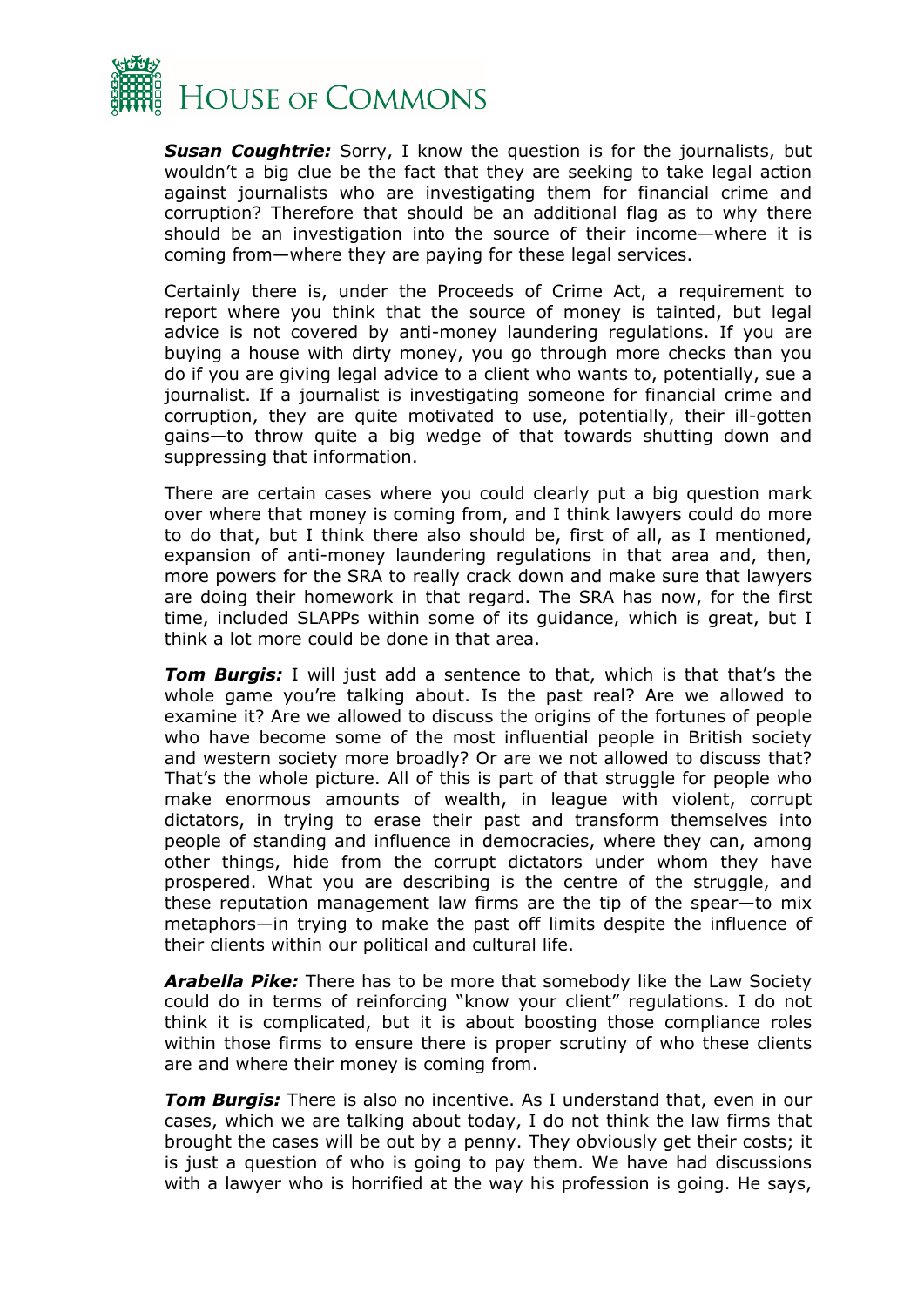

*Susan Coughtrie:* Sorry, I know the question is for the journalists, but wouldn't a big clue be the fact that they are seeking to take legal action against journalists who are investigating them for financial crime and corruption? Therefore that should be an additional flag as to why there should be an investigation into the source of their income—where it is coming from—where they are paying for these legal services.

Certainly there is, under the Proceeds of Crime Act, a requirement to report where you think that the source of money is tainted, but legal advice is not covered by anti-money laundering regulations. If you are buying a house with dirty money, you go through more checks than you do if you are giving legal advice to a client who wants to, potentially, sue a journalist. If a journalist is investigating someone for financial crime and corruption, they are quite motivated to use, potentially, their ill-gotten gains—to throw quite a big wedge of that towards shutting down and suppressing that information.

There are certain cases where you could clearly put a big question mark over where that money is coming from, and I think lawyers could do more to do that, but I think there also should be, first of all, as I mentioned, expansion of anti-money laundering regulations in that area and, then, more powers for the SRA to really crack down and make sure that lawyers are doing their homework in that regard. The SRA has now, for the first time, included SLAPPs within some of its guidance, which is great, but I think a lot more could be done in that area.

*Tom Burgis:* I will just add a sentence to that, which is that that's the whole game you're talking about. Is the past real? Are we allowed to examine it? Are we allowed to discuss the origins of the fortunes of people who have become some of the most influential people in British society and western society more broadly? Or are we not allowed to discuss that? That's the whole picture. All of this is part of that struggle for people who make enormous amounts of wealth, in league with violent, corrupt dictators, in trying to erase their past and transform themselves into people of standing and influence in democracies, where they can, among other things, hide from the corrupt dictators under whom they have prospered. What you are describing is the centre of the struggle, and these reputation management law firms are the tip of the spear—to mix metaphors—in trying to make the past off limits despite the influence of their clients within our political and cultural life.

*Arabella Pike:* There has to be more that somebody like the Law Society could do in terms of reinforcing "know your client" regulations. I do not think it is complicated, but it is about boosting those compliance roles within those firms to ensure there is proper scrutiny of who these clients are and where their money is coming from.

*Tom Burgis:* There is also no incentive. As I understand that, even in our cases, which we are talking about today, I do not think the law firms that brought the cases will be out by a penny. They obviously get their costs; it is just a question of who is going to pay them. We have had discussions with a lawyer who is horrified at the way his profession is going. He says,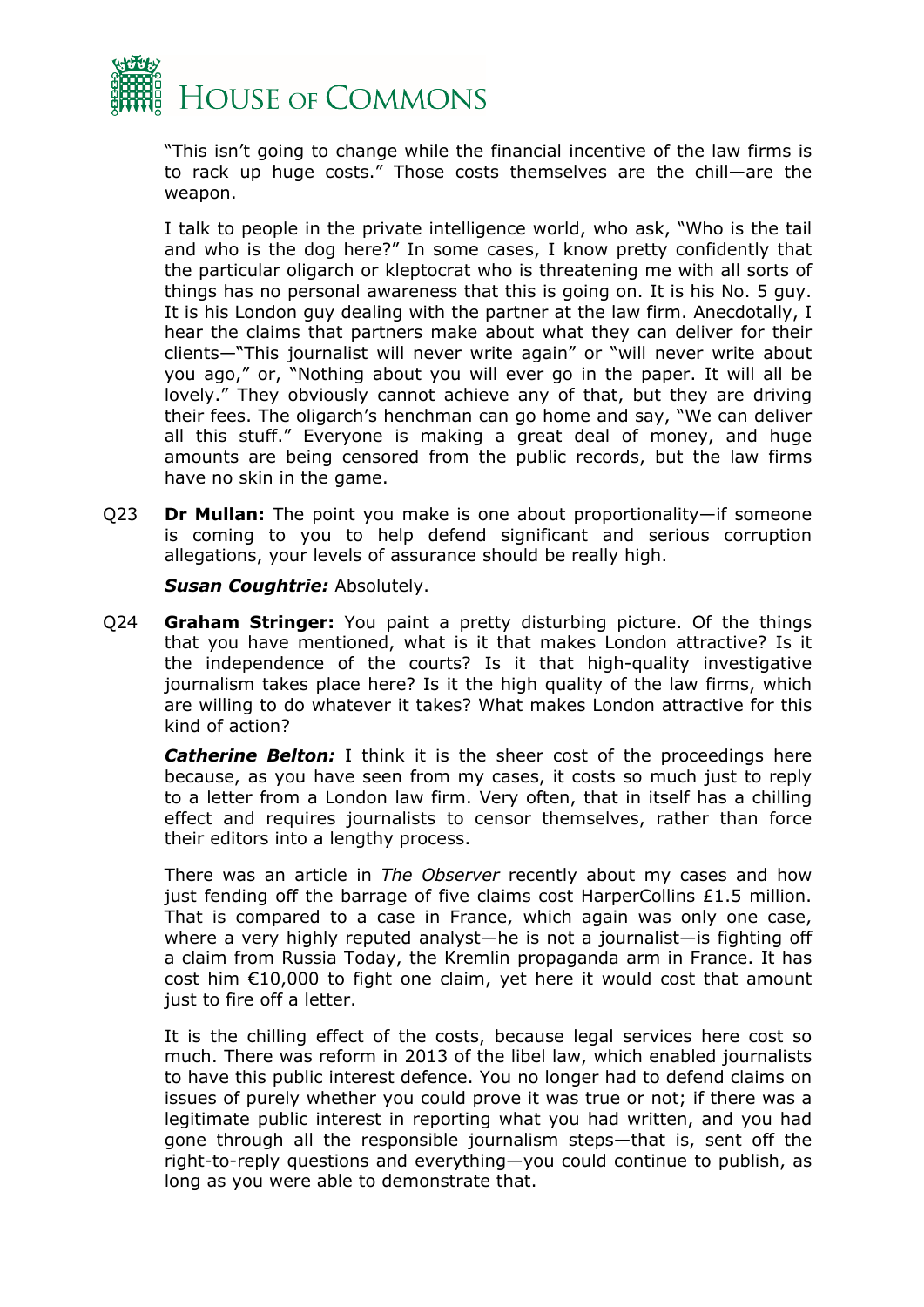

"This isn't going to change while the financial incentive of the law firms is to rack up huge costs." Those costs themselves are the chill—are the weapon.

I talk to people in the private intelligence world, who ask, "Who is the tail and who is the dog here?" In some cases, I know pretty confidently that the particular oligarch or kleptocrat who is threatening me with all sorts of things has no personal awareness that this is going on. It is his No. 5 guy. It is his London guy dealing with the partner at the law firm. Anecdotally, I hear the claims that partners make about what they can deliver for their clients—"This journalist will never write again" or "will never write about you ago," or, "Nothing about you will ever go in the paper. It will all be lovely." They obviously cannot achieve any of that, but they are driving their fees. The oligarch's henchman can go home and say, "We can deliver all this stuff." Everyone is making a great deal of money, and huge amounts are being censored from the public records, but the law firms have no skin in the game.

Q23 **Dr Mullan:** The point you make is one about proportionality—if someone is coming to you to help defend significant and serious corruption allegations, your levels of assurance should be really high.

*Susan Coughtrie:* Absolutely.

Q24 **Graham Stringer:** You paint a pretty disturbing picture. Of the things that you have mentioned, what is it that makes London attractive? Is it the independence of the courts? Is it that high-quality investigative journalism takes place here? Is it the high quality of the law firms, which are willing to do whatever it takes? What makes London attractive for this kind of action?

**Catherine Belton:** I think it is the sheer cost of the proceedings here because, as you have seen from my cases, it costs so much just to reply to a letter from a London law firm. Very often, that in itself has a chilling effect and requires journalists to censor themselves, rather than force their editors into a lengthy process.

There was an article in *The Observer* recently about my cases and how just fending off the barrage of five claims cost HarperCollins £1.5 million. That is compared to a case in France, which again was only one case, where a very highly reputed analyst—he is not a journalist—is fighting off a claim from Russia Today, the Kremlin propaganda arm in France. It has cost him €10,000 to fight one claim, yet here it would cost that amount just to fire off a letter.

It is the chilling effect of the costs, because legal services here cost so much. There was reform in 2013 of the libel law, which enabled journalists to have this public interest defence. You no longer had to defend claims on issues of purely whether you could prove it was true or not; if there was a legitimate public interest in reporting what you had written, and you had gone through all the responsible journalism steps—that is, sent off the right-to-reply questions and everything—you could continue to publish, as long as you were able to demonstrate that.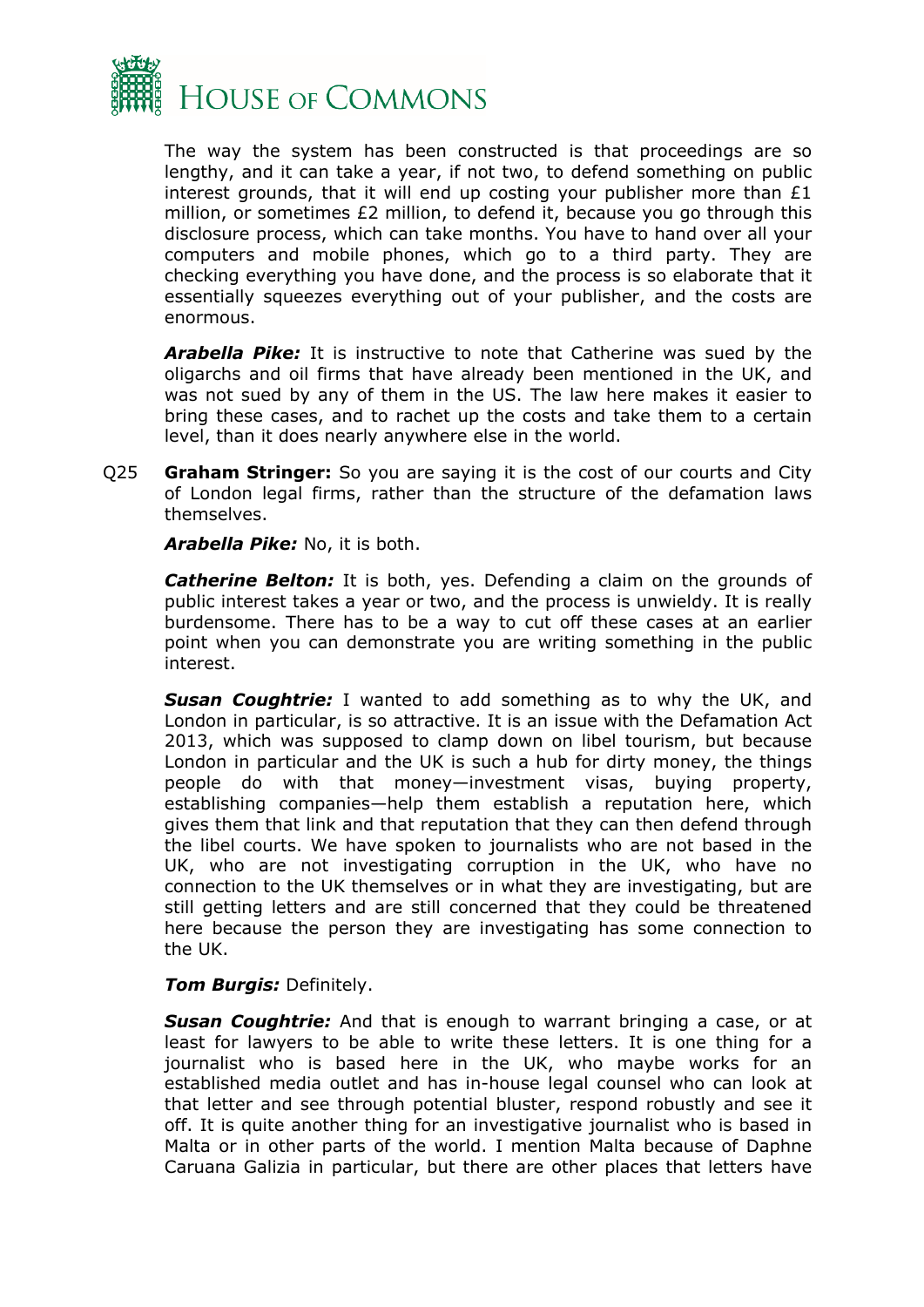

The way the system has been constructed is that proceedings are so lengthy, and it can take a year, if not two, to defend something on public interest grounds, that it will end up costing your publisher more than £1 million, or sometimes £2 million, to defend it, because you go through this disclosure process, which can take months. You have to hand over all your computers and mobile phones, which go to a third party. They are checking everything you have done, and the process is so elaborate that it essentially squeezes everything out of your publisher, and the costs are enormous.

*Arabella Pike:* It is instructive to note that Catherine was sued by the oligarchs and oil firms that have already been mentioned in the UK, and was not sued by any of them in the US. The law here makes it easier to bring these cases, and to rachet up the costs and take them to a certain level, than it does nearly anywhere else in the world.

Q25 **Graham Stringer:** So you are saying it is the cost of our courts and City of London legal firms, rather than the structure of the defamation laws themselves.

*Arabella Pike:* No, it is both.

**Catherine Belton:** It is both, yes. Defending a claim on the grounds of public interest takes a year or two, and the process is unwieldy. It is really burdensome. There has to be a way to cut off these cases at an earlier point when you can demonstrate you are writing something in the public interest.

*Susan Coughtrie:* I wanted to add something as to why the UK, and London in particular, is so attractive. It is an issue with the Defamation Act 2013, which was supposed to clamp down on libel tourism, but because London in particular and the UK is such a hub for dirty money, the things people do with that money—investment visas, buying property, establishing companies—help them establish a reputation here, which gives them that link and that reputation that they can then defend through the libel courts. We have spoken to journalists who are not based in the UK, who are not investigating corruption in the UK, who have no connection to the UK themselves or in what they are investigating, but are still getting letters and are still concerned that they could be threatened here because the person they are investigating has some connection to the UK.

#### *Tom Burgis:* Definitely.

*Susan Coughtrie:* And that is enough to warrant bringing a case, or at least for lawyers to be able to write these letters. It is one thing for a journalist who is based here in the UK, who maybe works for an established media outlet and has in-house legal counsel who can look at that letter and see through potential bluster, respond robustly and see it off. It is quite another thing for an investigative journalist who is based in Malta or in other parts of the world. I mention Malta because of Daphne Caruana Galizia in particular, but there are other places that letters have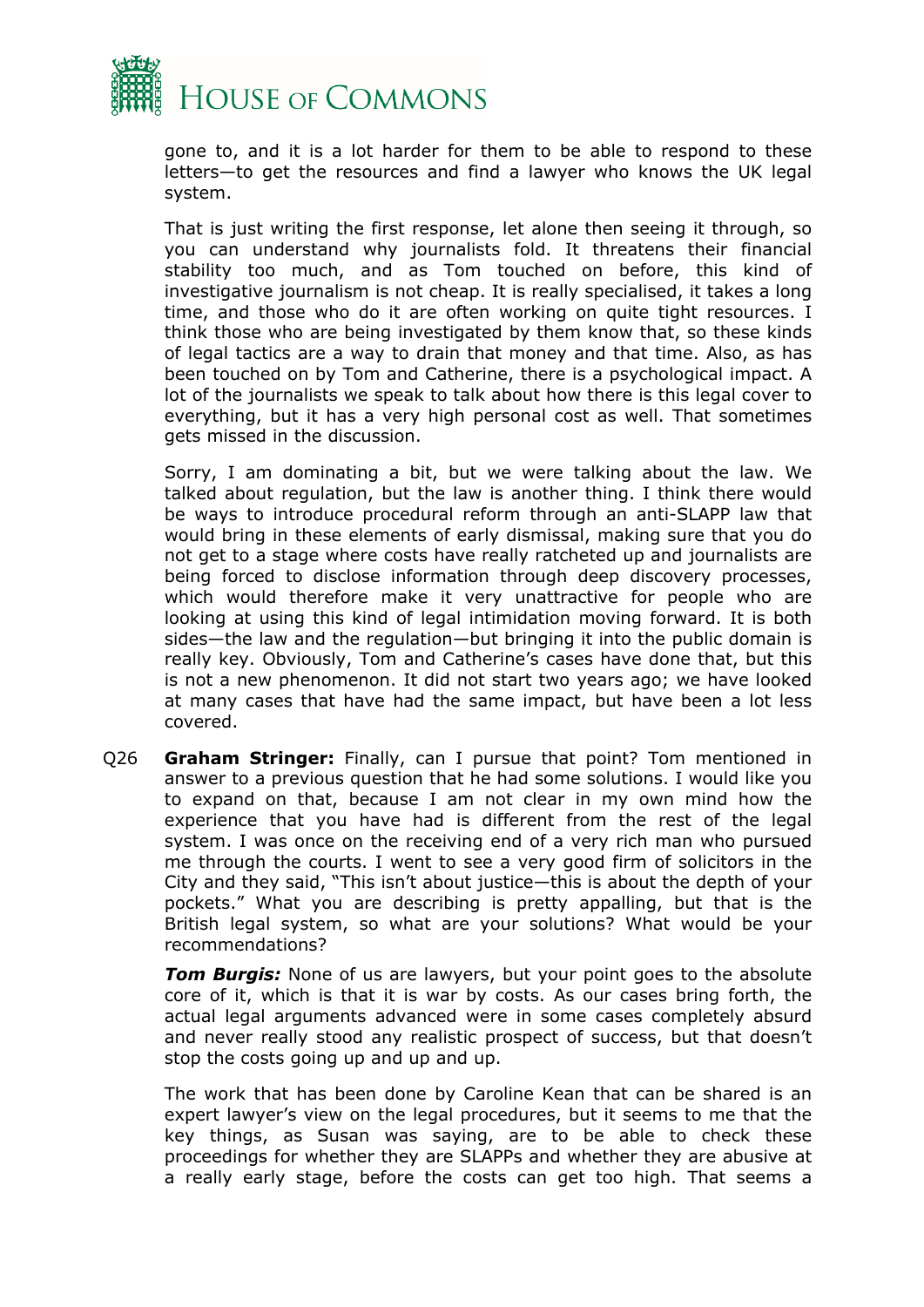

gone to, and it is a lot harder for them to be able to respond to these letters—to get the resources and find a lawyer who knows the UK legal system.

That is just writing the first response, let alone then seeing it through, so you can understand why journalists fold. It threatens their financial stability too much, and as Tom touched on before, this kind of investigative journalism is not cheap. It is really specialised, it takes a long time, and those who do it are often working on quite tight resources. I think those who are being investigated by them know that, so these kinds of legal tactics are a way to drain that money and that time. Also, as has been touched on by Tom and Catherine, there is a psychological impact. A lot of the journalists we speak to talk about how there is this legal cover to everything, but it has a very high personal cost as well. That sometimes gets missed in the discussion.

Sorry, I am dominating a bit, but we were talking about the law. We talked about regulation, but the law is another thing. I think there would be ways to introduce procedural reform through an anti-SLAPP law that would bring in these elements of early dismissal, making sure that you do not get to a stage where costs have really ratcheted up and journalists are being forced to disclose information through deep discovery processes, which would therefore make it very unattractive for people who are looking at using this kind of legal intimidation moving forward. It is both sides—the law and the regulation—but bringing it into the public domain is really key. Obviously, Tom and Catherine's cases have done that, but this is not a new phenomenon. It did not start two years ago; we have looked at many cases that have had the same impact, but have been a lot less covered.

Q26 **Graham Stringer:** Finally, can I pursue that point? Tom mentioned in answer to a previous question that he had some solutions. I would like you to expand on that, because I am not clear in my own mind how the experience that you have had is different from the rest of the legal system. I was once on the receiving end of a very rich man who pursued me through the courts. I went to see a very good firm of solicitors in the City and they said, "This isn't about justice—this is about the depth of your pockets." What you are describing is pretty appalling, but that is the British legal system, so what are your solutions? What would be your recommendations?

*Tom Burgis:* None of us are lawyers, but your point goes to the absolute core of it, which is that it is war by costs. As our cases bring forth, the actual legal arguments advanced were in some cases completely absurd and never really stood any realistic prospect of success, but that doesn't stop the costs going up and up and up.

The work that has been done by Caroline Kean that can be shared is an expert lawyer's view on the legal procedures, but it seems to me that the key things, as Susan was saying, are to be able to check these proceedings for whether they are SLAPPs and whether they are abusive at a really early stage, before the costs can get too high. That seems a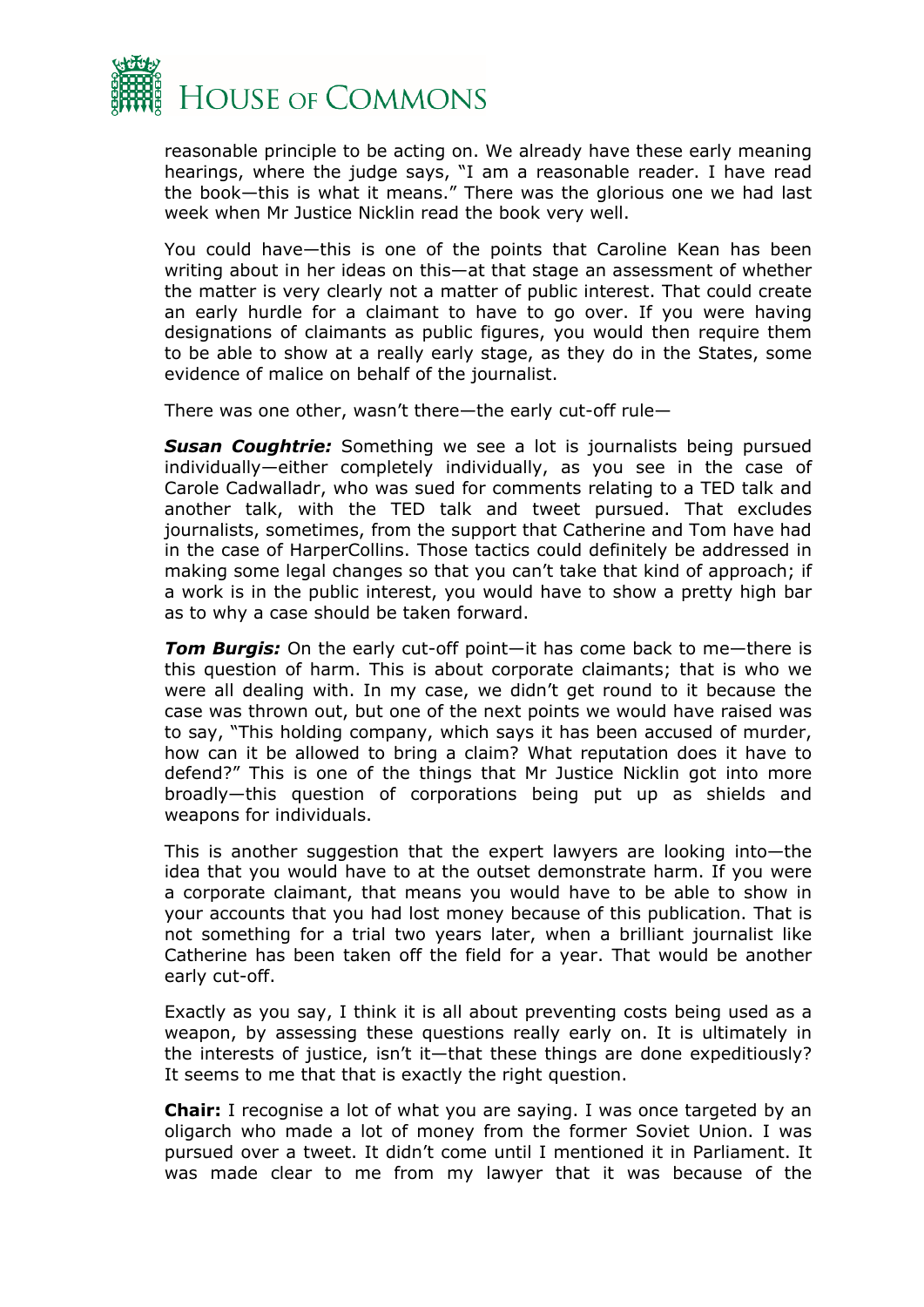

reasonable principle to be acting on. We already have these early meaning hearings, where the judge says, "I am a reasonable reader. I have read the book—this is what it means." There was the glorious one we had last week when Mr Justice Nicklin read the book very well.

You could have—this is one of the points that Caroline Kean has been writing about in her ideas on this—at that stage an assessment of whether the matter is very clearly not a matter of public interest. That could create an early hurdle for a claimant to have to go over. If you were having designations of claimants as public figures, you would then require them to be able to show at a really early stage, as they do in the States, some evidence of malice on behalf of the journalist.

There was one other, wasn't there—the early cut-off rule—

*Susan Coughtrie:* Something we see a lot is journalists being pursued individually—either completely individually, as you see in the case of Carole Cadwalladr, who was sued for comments relating to a TED talk and another talk, with the TED talk and tweet pursued. That excludes journalists, sometimes, from the support that Catherine and Tom have had in the case of HarperCollins. Those tactics could definitely be addressed in making some legal changes so that you can't take that kind of approach; if a work is in the public interest, you would have to show a pretty high bar as to why a case should be taken forward.

*Tom Burgis:* On the early cut-off point—it has come back to me—there is this question of harm. This is about corporate claimants; that is who we were all dealing with. In my case, we didn't get round to it because the case was thrown out, but one of the next points we would have raised was to say, "This holding company, which says it has been accused of murder, how can it be allowed to bring a claim? What reputation does it have to defend?" This is one of the things that Mr Justice Nicklin got into more broadly—this question of corporations being put up as shields and weapons for individuals.

This is another suggestion that the expert lawyers are looking into—the idea that you would have to at the outset demonstrate harm. If you were a corporate claimant, that means you would have to be able to show in your accounts that you had lost money because of this publication. That is not something for a trial two years later, when a brilliant journalist like Catherine has been taken off the field for a year. That would be another early cut-off.

Exactly as you say, I think it is all about preventing costs being used as a weapon, by assessing these questions really early on. It is ultimately in the interests of justice, isn't it—that these things are done expeditiously? It seems to me that that is exactly the right question.

**Chair:** I recognise a lot of what you are saying. I was once targeted by an oligarch who made a lot of money from the former Soviet Union. I was pursued over a tweet. It didn't come until I mentioned it in Parliament. It was made clear to me from my lawyer that it was because of the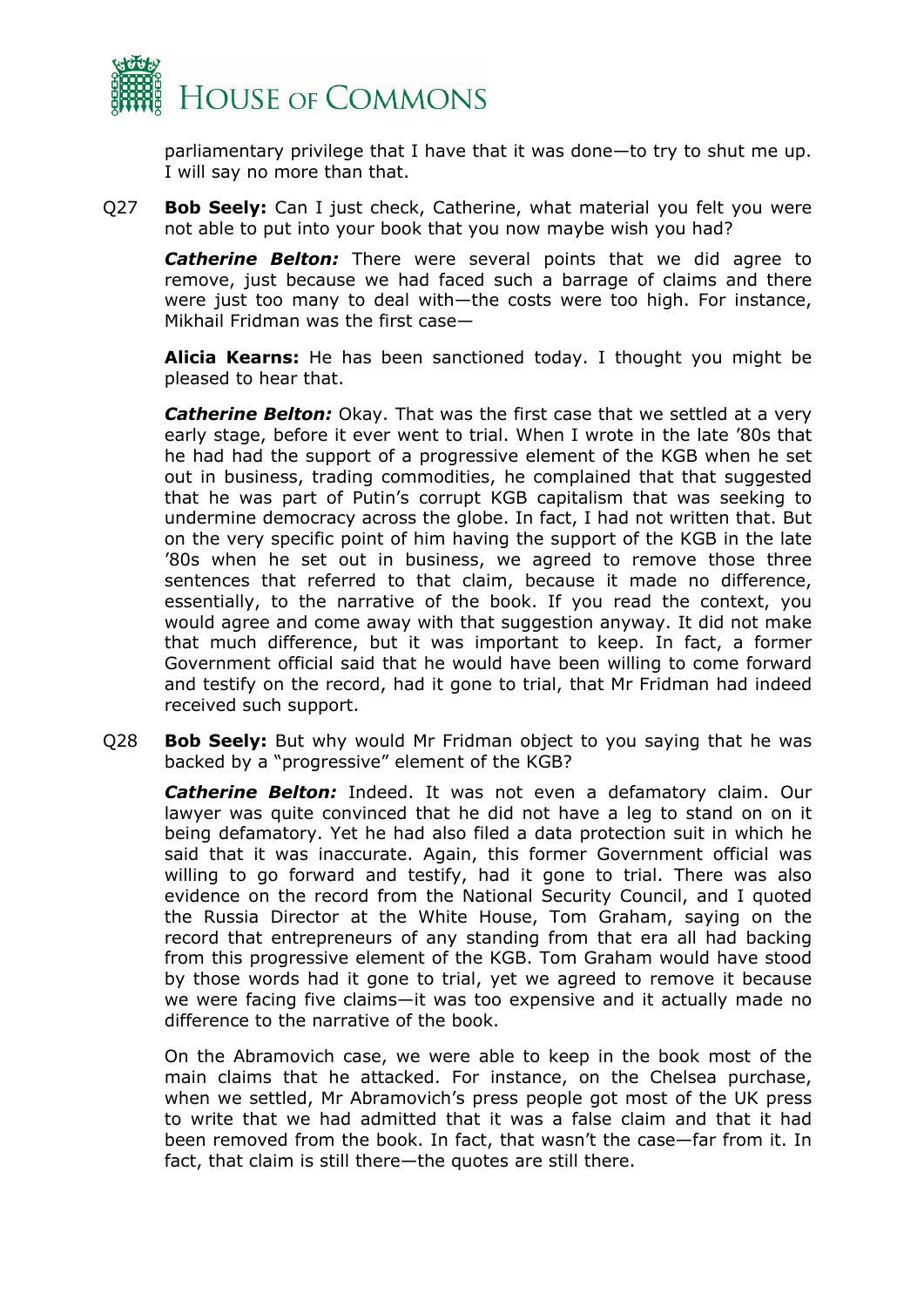

parliamentary privilege that I have that it was done—to try to shut me up. I will say no more than that.

Q27 **Bob Seely:** Can I just check, Catherine, what material you felt you were not able to put into your book that you now maybe wish you had?

**Catherine Belton:** There were several points that we did agree to remove, just because we had faced such a barrage of claims and there were just too many to deal with—the costs were too high. For instance, Mikhail Fridman was the first case—

**Alicia Kearns:** He has been sanctioned today. I thought you might be pleased to hear that.

*Catherine Belton:* Okay. That was the first case that we settled at a very early stage, before it ever went to trial. When I wrote in the late '80s that he had had the support of a progressive element of the KGB when he set out in business, trading commodities, he complained that that suggested that he was part of Putin's corrupt KGB capitalism that was seeking to undermine democracy across the globe. In fact, I had not written that. But on the very specific point of him having the support of the KGB in the late '80s when he set out in business, we agreed to remove those three sentences that referred to that claim, because it made no difference, essentially, to the narrative of the book. If you read the context, you would agree and come away with that suggestion anyway. It did not make that much difference, but it was important to keep. In fact, a former Government official said that he would have been willing to come forward and testify on the record, had it gone to trial, that Mr Fridman had indeed received such support.

Q28 **Bob Seely:** But why would Mr Fridman object to you saying that he was backed by a "progressive" element of the KGB?

*Catherine Belton:* Indeed. It was not even a defamatory claim. Our lawyer was quite convinced that he did not have a leg to stand on on it being defamatory. Yet he had also filed a data protection suit in which he said that it was inaccurate. Again, this former Government official was willing to go forward and testify, had it gone to trial. There was also evidence on the record from the National Security Council, and I quoted the Russia Director at the White House, Tom Graham, saying on the record that entrepreneurs of any standing from that era all had backing from this progressive element of the KGB. Tom Graham would have stood by those words had it gone to trial, yet we agreed to remove it because we were facing five claims—it was too expensive and it actually made no difference to the narrative of the book.

On the Abramovich case, we were able to keep in the book most of the main claims that he attacked. For instance, on the Chelsea purchase, when we settled, Mr Abramovich's press people got most of the UK press to write that we had admitted that it was a false claim and that it had been removed from the book. In fact, that wasn't the case—far from it. In fact, that claim is still there—the quotes are still there.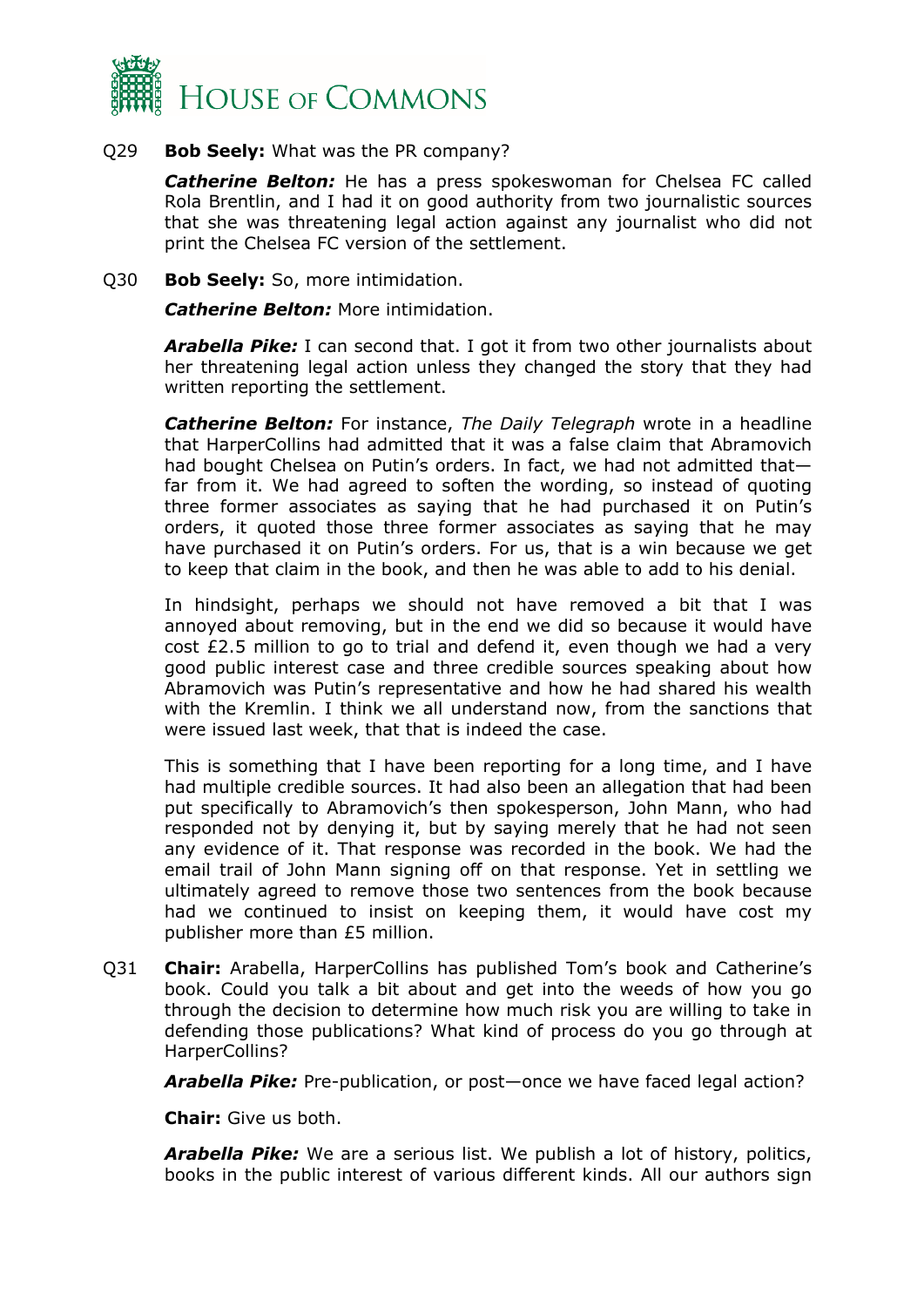

#### Q29 **Bob Seely:** What was the PR company?

*Catherine Belton:* He has a press spokeswoman for Chelsea FC called Rola Brentlin, and I had it on good authority from two journalistic sources that she was threatening legal action against any journalist who did not print the Chelsea FC version of the settlement.

#### Q30 **Bob Seely:** So, more intimidation.

*Catherine Belton:* More intimidation.

*Arabella Pike:* I can second that. I got it from two other journalists about her threatening legal action unless they changed the story that they had written reporting the settlement.

*Catherine Belton:* For instance, *The Daily Telegraph* wrote in a headline that HarperCollins had admitted that it was a false claim that Abramovich had bought Chelsea on Putin's orders. In fact, we had not admitted that far from it. We had agreed to soften the wording, so instead of quoting three former associates as saying that he had purchased it on Putin's orders, it quoted those three former associates as saying that he may have purchased it on Putin's orders. For us, that is a win because we get to keep that claim in the book, and then he was able to add to his denial.

In hindsight, perhaps we should not have removed a bit that I was annoyed about removing, but in the end we did so because it would have cost £2.5 million to go to trial and defend it, even though we had a very good public interest case and three credible sources speaking about how Abramovich was Putin's representative and how he had shared his wealth with the Kremlin. I think we all understand now, from the sanctions that were issued last week, that that is indeed the case.

This is something that I have been reporting for a long time, and I have had multiple credible sources. It had also been an allegation that had been put specifically to Abramovich's then spokesperson, John Mann, who had responded not by denying it, but by saying merely that he had not seen any evidence of it. That response was recorded in the book. We had the email trail of John Mann signing off on that response. Yet in settling we ultimately agreed to remove those two sentences from the book because had we continued to insist on keeping them, it would have cost my publisher more than £5 million.

Q31 **Chair:** Arabella, HarperCollins has published Tom's book and Catherine's book. Could you talk a bit about and get into the weeds of how you go through the decision to determine how much risk you are willing to take in defending those publications? What kind of process do you go through at HarperCollins?

*Arabella Pike:* Pre-publication, or post—once we have faced legal action?

**Chair:** Give us both.

*Arabella Pike:* We are a serious list. We publish a lot of history, politics, books in the public interest of various different kinds. All our authors sign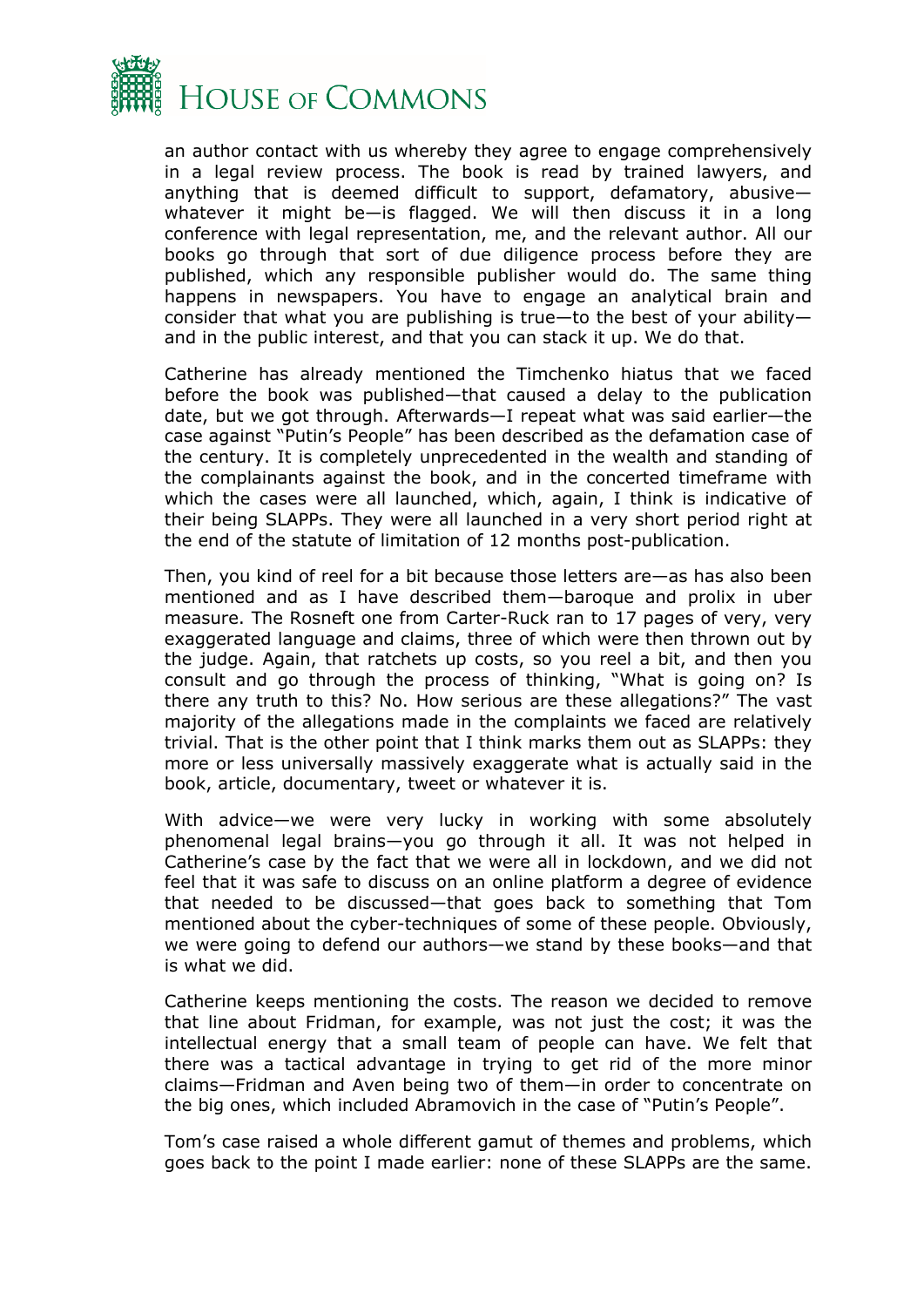

an author contact with us whereby they agree to engage comprehensively in a legal review process. The book is read by trained lawyers, and anything that is deemed difficult to support, defamatory, abusive whatever it might be—is flagged. We will then discuss it in a long conference with legal representation, me, and the relevant author. All our books go through that sort of due diligence process before they are published, which any responsible publisher would do. The same thing happens in newspapers. You have to engage an analytical brain and consider that what you are publishing is true—to the best of your ability and in the public interest, and that you can stack it up. We do that.

Catherine has already mentioned the Timchenko hiatus that we faced before the book was published—that caused a delay to the publication date, but we got through. Afterwards—I repeat what was said earlier—the case against "Putin's People" has been described as the defamation case of the century. It is completely unprecedented in the wealth and standing of the complainants against the book, and in the concerted timeframe with which the cases were all launched, which, again, I think is indicative of their being SLAPPs. They were all launched in a very short period right at the end of the statute of limitation of 12 months post-publication.

Then, you kind of reel for a bit because those letters are—as has also been mentioned and as I have described them—baroque and prolix in uber measure. The Rosneft one from Carter-Ruck ran to 17 pages of very, very exaggerated language and claims, three of which were then thrown out by the judge. Again, that ratchets up costs, so you reel a bit, and then you consult and go through the process of thinking, "What is going on? Is there any truth to this? No. How serious are these allegations?" The vast majority of the allegations made in the complaints we faced are relatively trivial. That is the other point that I think marks them out as SLAPPs: they more or less universally massively exaggerate what is actually said in the book, article, documentary, tweet or whatever it is.

With advice—we were very lucky in working with some absolutely phenomenal legal brains—you go through it all. It was not helped in Catherine's case by the fact that we were all in lockdown, and we did not feel that it was safe to discuss on an online platform a degree of evidence that needed to be discussed—that goes back to something that Tom mentioned about the cyber-techniques of some of these people. Obviously, we were going to defend our authors—we stand by these books—and that is what we did.

Catherine keeps mentioning the costs. The reason we decided to remove that line about Fridman, for example, was not just the cost; it was the intellectual energy that a small team of people can have. We felt that there was a tactical advantage in trying to get rid of the more minor claims—Fridman and Aven being two of them—in order to concentrate on the big ones, which included Abramovich in the case of "Putin's People".

Tom's case raised a whole different gamut of themes and problems, which goes back to the point I made earlier: none of these SLAPPs are the same.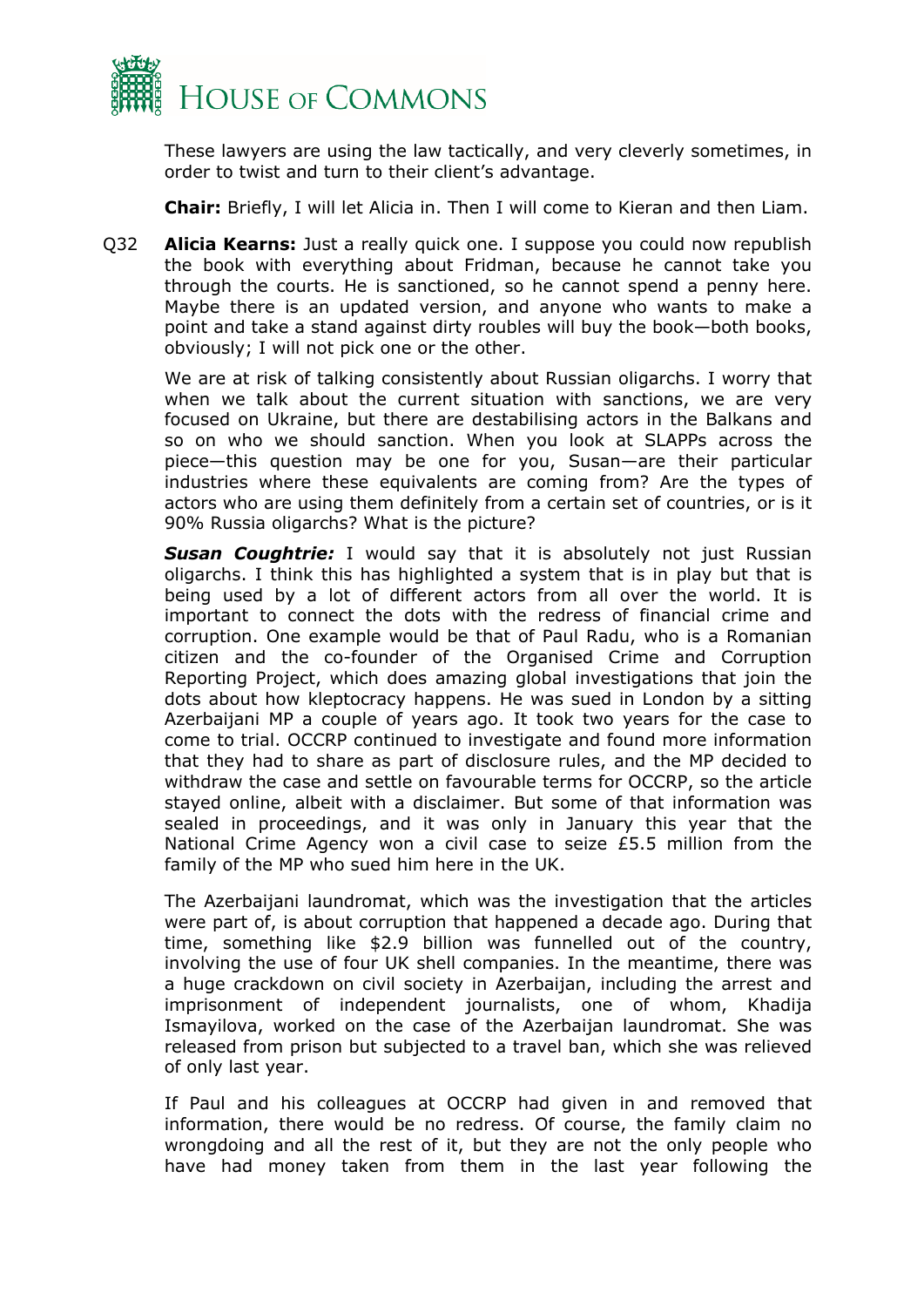

These lawyers are using the law tactically, and very cleverly sometimes, in order to twist and turn to their client's advantage.

**Chair:** Briefly, I will let Alicia in. Then I will come to Kieran and then Liam.

Q32 **Alicia Kearns:** Just a really quick one. I suppose you could now republish the book with everything about Fridman, because he cannot take you through the courts. He is sanctioned, so he cannot spend a penny here. Maybe there is an updated version, and anyone who wants to make a point and take a stand against dirty roubles will buy the book—both books, obviously; I will not pick one or the other.

We are at risk of talking consistently about Russian oligarchs. I worry that when we talk about the current situation with sanctions, we are very focused on Ukraine, but there are destabilising actors in the Balkans and so on who we should sanction. When you look at SLAPPs across the piece—this question may be one for you, Susan—are their particular industries where these equivalents are coming from? Are the types of actors who are using them definitely from a certain set of countries, or is it 90% Russia oligarchs? What is the picture?

*Susan Coughtrie:* I would say that it is absolutely not just Russian oligarchs. I think this has highlighted a system that is in play but that is being used by a lot of different actors from all over the world. It is important to connect the dots with the redress of financial crime and corruption. One example would be that of Paul Radu, who is a Romanian citizen and the co-founder of the Organised Crime and Corruption Reporting Project, which does amazing global investigations that join the dots about how kleptocracy happens. He was sued in London by a sitting Azerbaijani MP a couple of years ago. It took two years for the case to come to trial. OCCRP continued to investigate and found more information that they had to share as part of disclosure rules, and the MP decided to withdraw the case and settle on favourable terms for OCCRP, so the article stayed online, albeit with a disclaimer. But some of that information was sealed in proceedings, and it was only in January this year that the National Crime Agency won a civil case to seize £5.5 million from the family of the MP who sued him here in the UK.

The Azerbaijani laundromat, which was the investigation that the articles were part of, is about corruption that happened a decade ago. During that time, something like \$2.9 billion was funnelled out of the country, involving the use of four UK shell companies. In the meantime, there was a huge crackdown on civil society in Azerbaijan, including the arrest and imprisonment of independent journalists, one of whom, Khadija Ismayilova, worked on the case of the Azerbaijan laundromat. She was released from prison but subjected to a travel ban, which she was relieved of only last year.

If Paul and his colleagues at OCCRP had given in and removed that information, there would be no redress. Of course, the family claim no wrongdoing and all the rest of it, but they are not the only people who have had money taken from them in the last year following the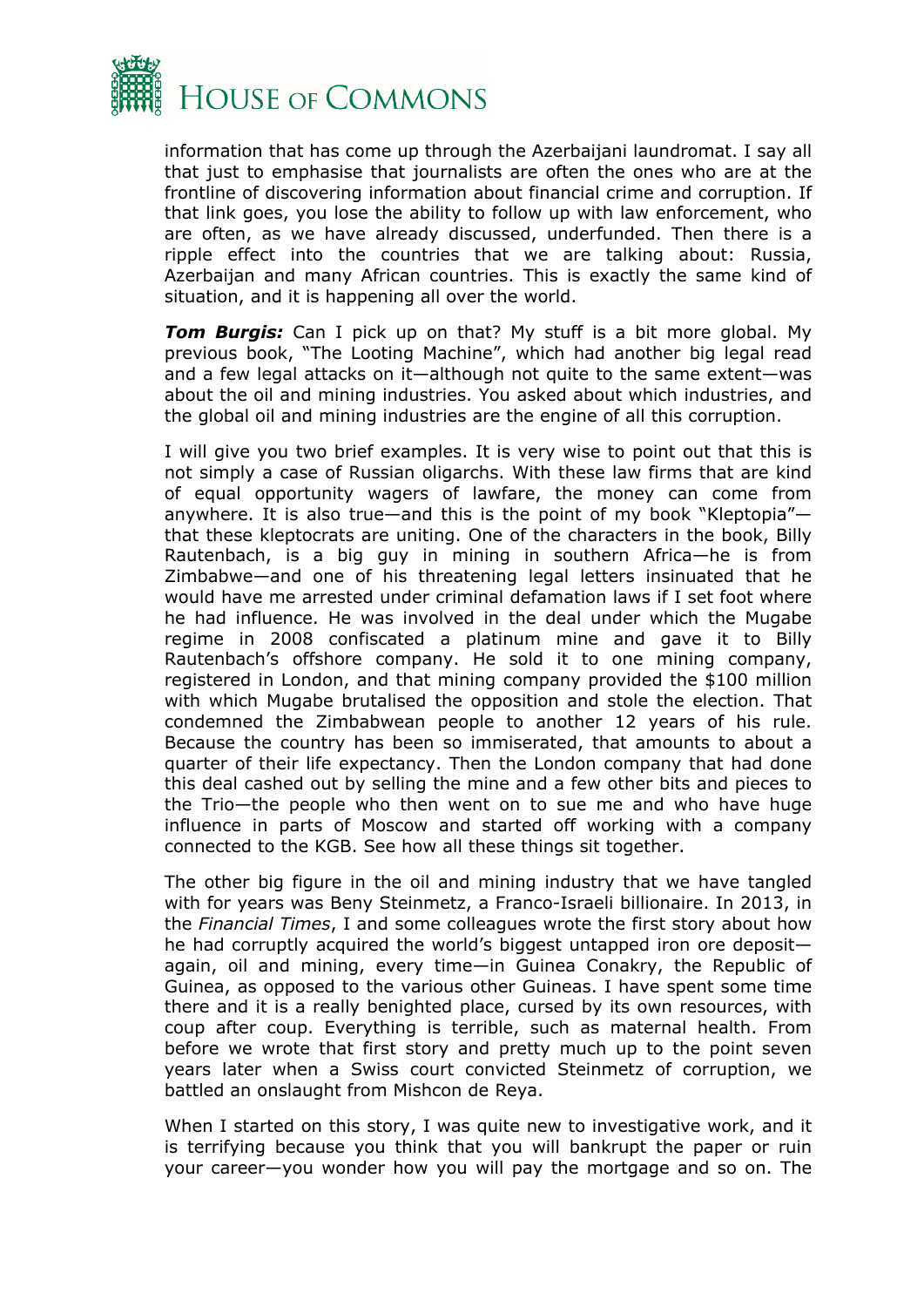

information that has come up through the Azerbaijani laundromat. I say all that just to emphasise that journalists are often the ones who are at the frontline of discovering information about financial crime and corruption. If that link goes, you lose the ability to follow up with law enforcement, who are often, as we have already discussed, underfunded. Then there is a ripple effect into the countries that we are talking about: Russia, Azerbaijan and many African countries. This is exactly the same kind of situation, and it is happening all over the world.

*Tom Burgis:* Can I pick up on that? My stuff is a bit more global. My previous book, "The Looting Machine", which had another big legal read and a few legal attacks on it—although not quite to the same extent—was about the oil and mining industries. You asked about which industries, and the global oil and mining industries are the engine of all this corruption.

I will give you two brief examples. It is very wise to point out that this is not simply a case of Russian oligarchs. With these law firms that are kind of equal opportunity wagers of lawfare, the money can come from anywhere. It is also true—and this is the point of my book "Kleptopia" that these kleptocrats are uniting. One of the characters in the book, Billy Rautenbach, is a big guy in mining in southern Africa—he is from Zimbabwe—and one of his threatening legal letters insinuated that he would have me arrested under criminal defamation laws if I set foot where he had influence. He was involved in the deal under which the Mugabe regime in 2008 confiscated a platinum mine and gave it to Billy Rautenbach's offshore company. He sold it to one mining company, registered in London, and that mining company provided the \$100 million with which Mugabe brutalised the opposition and stole the election. That condemned the Zimbabwean people to another 12 years of his rule. Because the country has been so immiserated, that amounts to about a quarter of their life expectancy. Then the London company that had done this deal cashed out by selling the mine and a few other bits and pieces to the Trio—the people who then went on to sue me and who have huge influence in parts of Moscow and started off working with a company connected to the KGB. See how all these things sit together.

The other big figure in the oil and mining industry that we have tangled with for years was Beny Steinmetz, a Franco-Israeli billionaire. In 2013, in the *Financial Times*, I and some colleagues wrote the first story about how he had corruptly acquired the world's biggest untapped iron ore deposit again, oil and mining, every time—in Guinea Conakry, the Republic of Guinea, as opposed to the various other Guineas. I have spent some time there and it is a really benighted place, cursed by its own resources, with coup after coup. Everything is terrible, such as maternal health. From before we wrote that first story and pretty much up to the point seven years later when a Swiss court convicted Steinmetz of corruption, we battled an onslaught from Mishcon de Reya.

When I started on this story, I was quite new to investigative work, and it is terrifying because you think that you will bankrupt the paper or ruin your career—you wonder how you will pay the mortgage and so on. The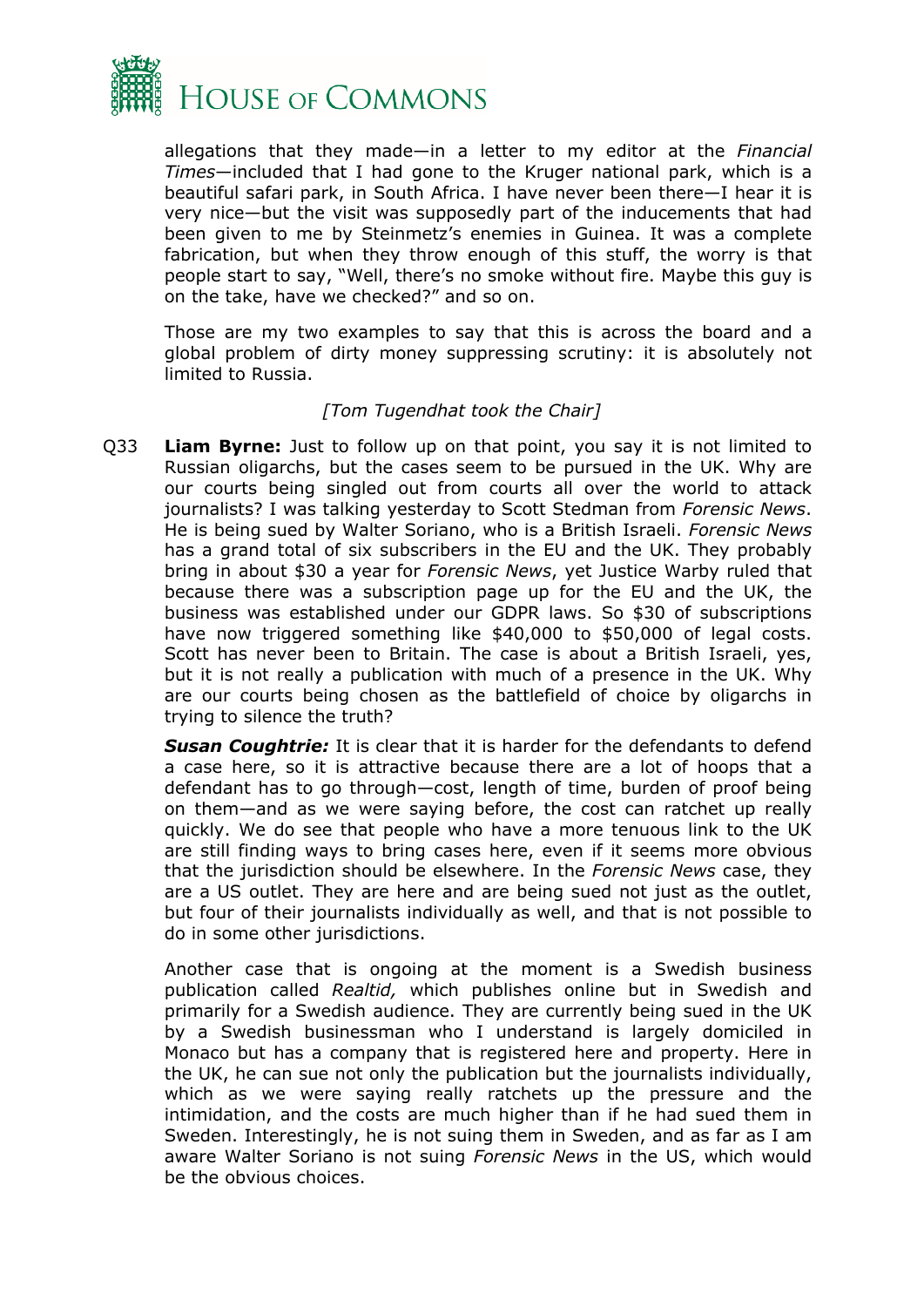

allegations that they made—in a letter to my editor at the *Financial Times*—included that I had gone to the Kruger national park, which is a beautiful safari park, in South Africa. I have never been there—I hear it is very nice—but the visit was supposedly part of the inducements that had been given to me by Steinmetz's enemies in Guinea. It was a complete fabrication, but when they throw enough of this stuff, the worry is that people start to say, "Well, there's no smoke without fire. Maybe this guy is on the take, have we checked?" and so on.

Those are my two examples to say that this is across the board and a global problem of dirty money suppressing scrutiny: it is absolutely not limited to Russia.

#### *[Tom Tugendhat took the Chair]*

Q33 **Liam Byrne:** Just to follow up on that point, you say it is not limited to Russian oligarchs, but the cases seem to be pursued in the UK. Why are our courts being singled out from courts all over the world to attack journalists? I was talking yesterday to Scott Stedman from *Forensic News*. He is being sued by Walter Soriano, who is a British Israeli. *Forensic News* has a grand total of six subscribers in the EU and the UK. They probably bring in about \$30 a year for *Forensic News*, yet Justice Warby ruled that because there was a subscription page up for the EU and the UK, the business was established under our GDPR laws. So \$30 of subscriptions have now triggered something like \$40,000 to \$50,000 of legal costs. Scott has never been to Britain. The case is about a British Israeli, yes, but it is not really a publication with much of a presence in the UK. Why are our courts being chosen as the battlefield of choice by oligarchs in trying to silence the truth?

*Susan Coughtrie:* It is clear that it is harder for the defendants to defend a case here, so it is attractive because there are a lot of hoops that a defendant has to go through—cost, length of time, burden of proof being on them—and as we were saying before, the cost can ratchet up really quickly. We do see that people who have a more tenuous link to the UK are still finding ways to bring cases here, even if it seems more obvious that the jurisdiction should be elsewhere. In the *Forensic News* case, they are a US outlet. They are here and are being sued not just as the outlet, but four of their journalists individually as well, and that is not possible to do in some other jurisdictions.

Another case that is ongoing at the moment is a Swedish business publication called *Realtid,* which publishes online but in Swedish and primarily for a Swedish audience. They are currently being sued in the UK by a Swedish businessman who I understand is largely domiciled in Monaco but has a company that is registered here and property. Here in the UK, he can sue not only the publication but the journalists individually, which as we were saying really ratchets up the pressure and the intimidation, and the costs are much higher than if he had sued them in Sweden. Interestingly, he is not suing them in Sweden, and as far as I am aware Walter Soriano is not suing *Forensic News* in the US, which would be the obvious choices.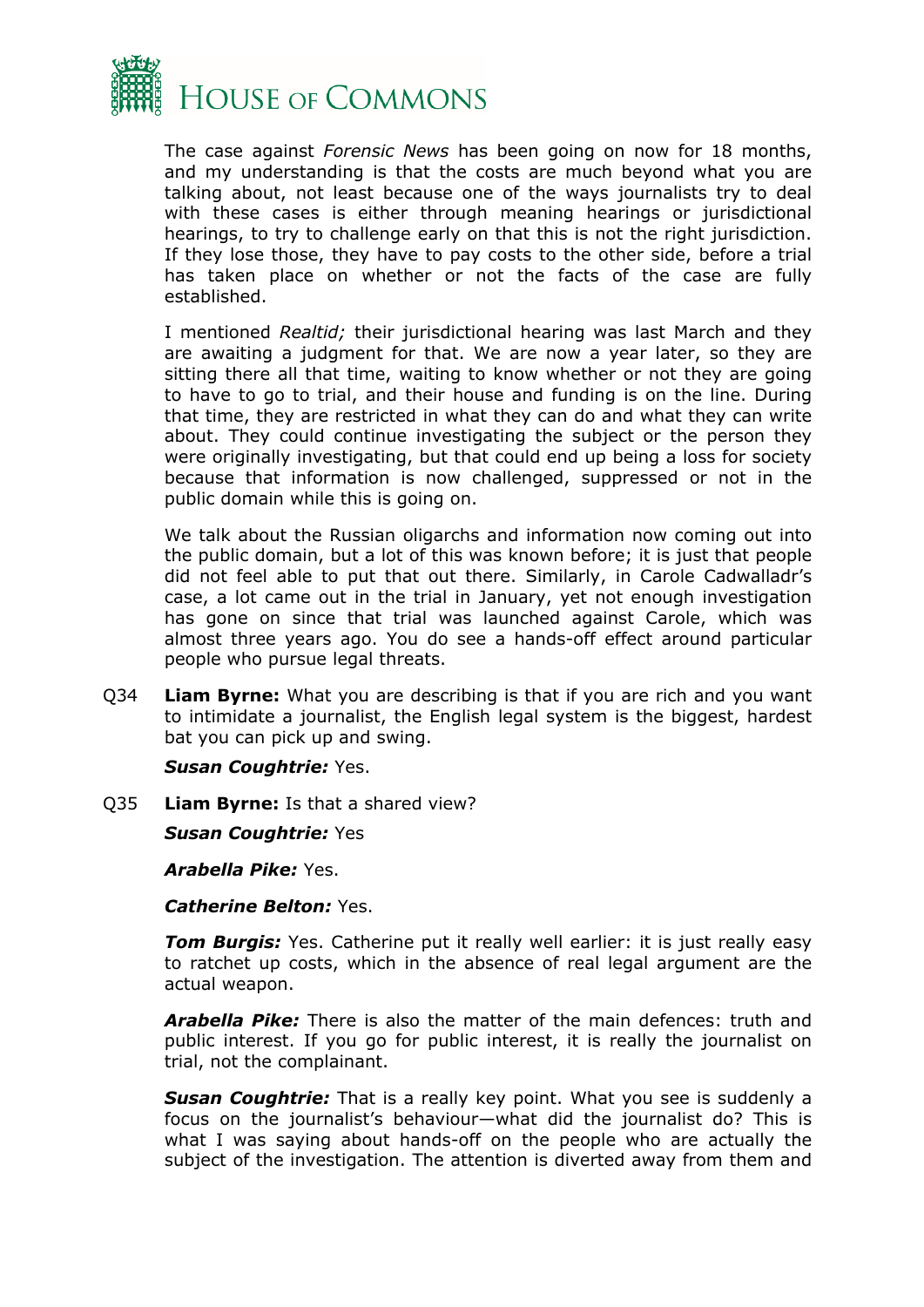

The case against *Forensic News* has been going on now for 18 months, and my understanding is that the costs are much beyond what you are talking about, not least because one of the ways journalists try to deal with these cases is either through meaning hearings or jurisdictional hearings, to try to challenge early on that this is not the right jurisdiction. If they lose those, they have to pay costs to the other side, before a trial has taken place on whether or not the facts of the case are fully established.

I mentioned *Realtid;* their jurisdictional hearing was last March and they are awaiting a judgment for that. We are now a year later, so they are sitting there all that time, waiting to know whether or not they are going to have to go to trial, and their house and funding is on the line. During that time, they are restricted in what they can do and what they can write about. They could continue investigating the subject or the person they were originally investigating, but that could end up being a loss for society because that information is now challenged, suppressed or not in the public domain while this is going on.

We talk about the Russian oligarchs and information now coming out into the public domain, but a lot of this was known before; it is just that people did not feel able to put that out there. Similarly, in Carole Cadwalladr's case, a lot came out in the trial in January, yet not enough investigation has gone on since that trial was launched against Carole, which was almost three years ago. You do see a hands-off effect around particular people who pursue legal threats.

Q34 **Liam Byrne:** What you are describing is that if you are rich and you want to intimidate a journalist, the English legal system is the biggest, hardest bat you can pick up and swing.

*Susan Coughtrie:* Yes.

Q35 **Liam Byrne:** Is that a shared view?

*Susan Coughtrie:* Yes

*Arabella Pike:* Yes.

*Catherine Belton:* Yes.

*Tom Burgis:* Yes. Catherine put it really well earlier: it is just really easy to ratchet up costs, which in the absence of real legal argument are the actual weapon.

*Arabella Pike:* There is also the matter of the main defences: truth and public interest. If you go for public interest, it is really the journalist on trial, not the complainant.

*Susan Coughtrie:* That is a really key point. What you see is suddenly a focus on the journalist's behaviour—what did the journalist do? This is what I was saying about hands-off on the people who are actually the subject of the investigation. The attention is diverted away from them and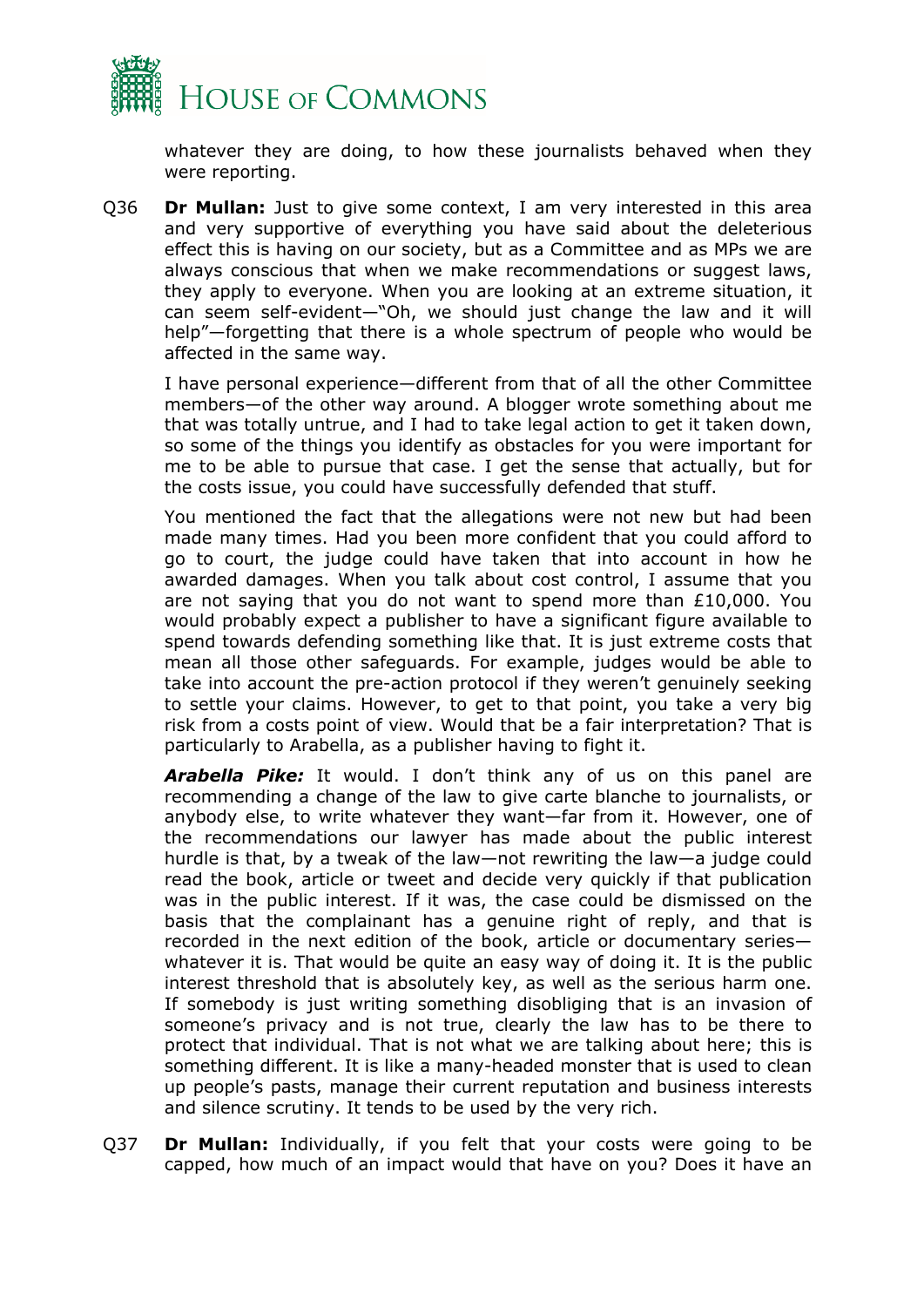

whatever they are doing, to how these journalists behaved when they were reporting.

Q36 **Dr Mullan:** Just to give some context, I am very interested in this area and very supportive of everything you have said about the deleterious effect this is having on our society, but as a Committee and as MPs we are always conscious that when we make recommendations or suggest laws, they apply to everyone. When you are looking at an extreme situation, it can seem self-evident—"Oh, we should just change the law and it will help"—forgetting that there is a whole spectrum of people who would be affected in the same way.

I have personal experience—different from that of all the other Committee members—of the other way around. A blogger wrote something about me that was totally untrue, and I had to take legal action to get it taken down, so some of the things you identify as obstacles for you were important for me to be able to pursue that case. I get the sense that actually, but for the costs issue, you could have successfully defended that stuff.

You mentioned the fact that the allegations were not new but had been made many times. Had you been more confident that you could afford to go to court, the judge could have taken that into account in how he awarded damages. When you talk about cost control, I assume that you are not saying that you do not want to spend more than £10,000. You would probably expect a publisher to have a significant figure available to spend towards defending something like that. It is just extreme costs that mean all those other safeguards. For example, judges would be able to take into account the pre-action protocol if they weren't genuinely seeking to settle your claims. However, to get to that point, you take a very big risk from a costs point of view. Would that be a fair interpretation? That is particularly to Arabella, as a publisher having to fight it.

*Arabella Pike:* It would. I don't think any of us on this panel are recommending a change of the law to give carte blanche to journalists, or anybody else, to write whatever they want—far from it. However, one of the recommendations our lawyer has made about the public interest hurdle is that, by a tweak of the law—not rewriting the law—a judge could read the book, article or tweet and decide very quickly if that publication was in the public interest. If it was, the case could be dismissed on the basis that the complainant has a genuine right of reply, and that is recorded in the next edition of the book, article or documentary series whatever it is. That would be quite an easy way of doing it. It is the public interest threshold that is absolutely key, as well as the serious harm one. If somebody is just writing something disobliging that is an invasion of someone's privacy and is not true, clearly the law has to be there to protect that individual. That is not what we are talking about here; this is something different. It is like a many-headed monster that is used to clean up people's pasts, manage their current reputation and business interests and silence scrutiny. It tends to be used by the very rich.

Q37 **Dr Mullan:** Individually, if you felt that your costs were going to be capped, how much of an impact would that have on you? Does it have an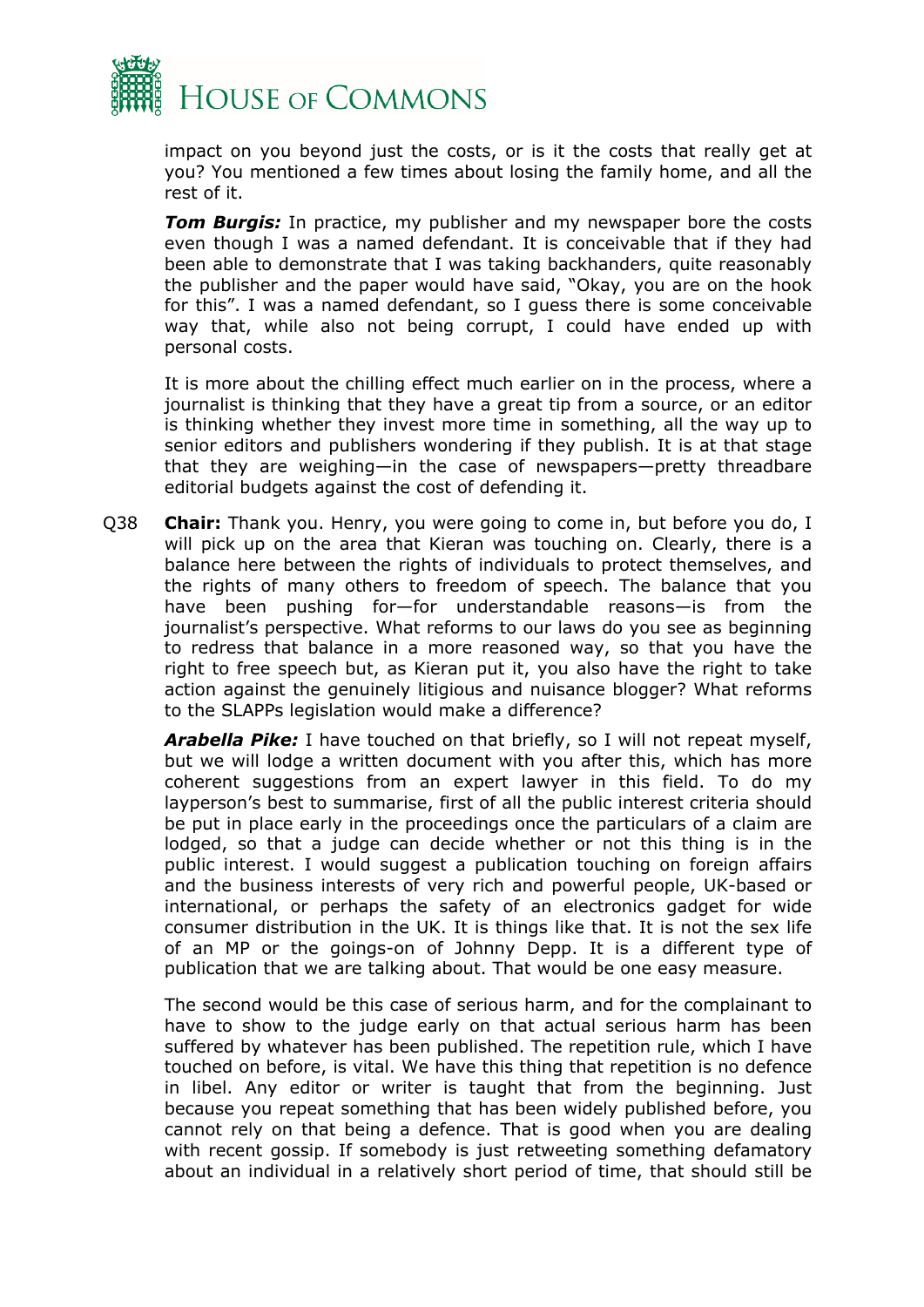

impact on you beyond just the costs, or is it the costs that really get at you? You mentioned a few times about losing the family home, and all the rest of it.

*Tom Burgis:* In practice, my publisher and my newspaper bore the costs even though I was a named defendant. It is conceivable that if they had been able to demonstrate that I was taking backhanders, quite reasonably the publisher and the paper would have said, "Okay, you are on the hook for this". I was a named defendant, so I guess there is some conceivable way that, while also not being corrupt, I could have ended up with personal costs.

It is more about the chilling effect much earlier on in the process, where a journalist is thinking that they have a great tip from a source, or an editor is thinking whether they invest more time in something, all the way up to senior editors and publishers wondering if they publish. It is at that stage that they are weighing—in the case of newspapers—pretty threadbare editorial budgets against the cost of defending it.

Q38 **Chair:** Thank you. Henry, you were going to come in, but before you do, I will pick up on the area that Kieran was touching on. Clearly, there is a balance here between the rights of individuals to protect themselves, and the rights of many others to freedom of speech. The balance that you have been pushing for—for understandable reasons—is from the journalist's perspective. What reforms to our laws do you see as beginning to redress that balance in a more reasoned way, so that you have the right to free speech but, as Kieran put it, you also have the right to take action against the genuinely litigious and nuisance blogger? What reforms to the SLAPPs legislation would make a difference?

*Arabella Pike:* I have touched on that briefly, so I will not repeat myself, but we will lodge a written document with you after this, which has more coherent suggestions from an expert lawyer in this field. To do my layperson's best to summarise, first of all the public interest criteria should be put in place early in the proceedings once the particulars of a claim are lodged, so that a judge can decide whether or not this thing is in the public interest. I would suggest a publication touching on foreign affairs and the business interests of very rich and powerful people, UK-based or international, or perhaps the safety of an electronics gadget for wide consumer distribution in the UK. It is things like that. It is not the sex life of an MP or the goings-on of Johnny Depp. It is a different type of publication that we are talking about. That would be one easy measure.

The second would be this case of serious harm, and for the complainant to have to show to the judge early on that actual serious harm has been suffered by whatever has been published. The repetition rule, which I have touched on before, is vital. We have this thing that repetition is no defence in libel. Any editor or writer is taught that from the beginning. Just because you repeat something that has been widely published before, you cannot rely on that being a defence. That is good when you are dealing with recent gossip. If somebody is just retweeting something defamatory about an individual in a relatively short period of time, that should still be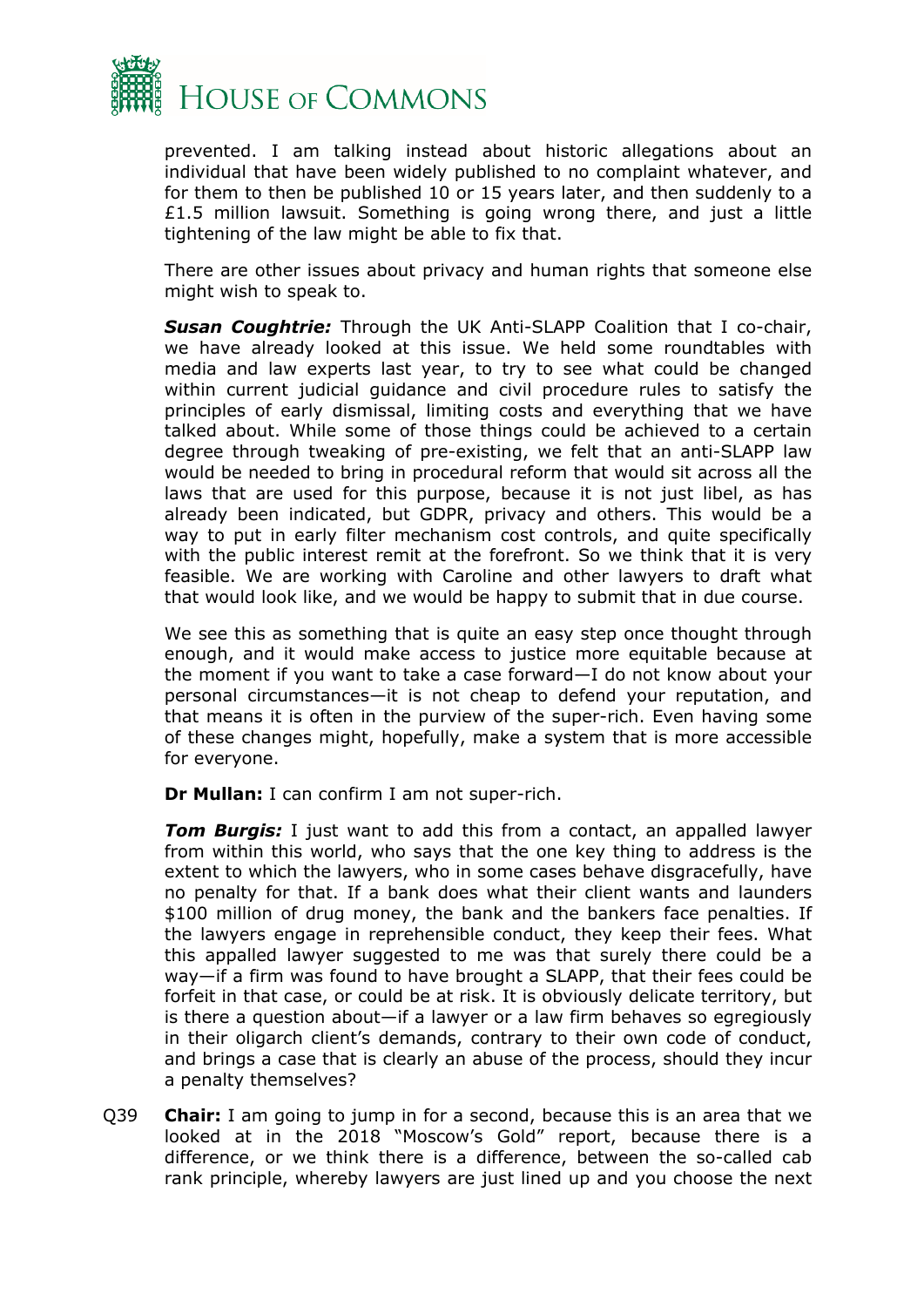

prevented. I am talking instead about historic allegations about an individual that have been widely published to no complaint whatever, and for them to then be published 10 or 15 years later, and then suddenly to a £1.5 million lawsuit. Something is going wrong there, and just a little tightening of the law might be able to fix that.

There are other issues about privacy and human rights that someone else might wish to speak to.

*Susan Coughtrie:* Through the UK Anti-SLAPP Coalition that I co-chair, we have already looked at this issue. We held some roundtables with media and law experts last year, to try to see what could be changed within current judicial guidance and civil procedure rules to satisfy the principles of early dismissal, limiting costs and everything that we have talked about. While some of those things could be achieved to a certain degree through tweaking of pre-existing, we felt that an anti-SLAPP law would be needed to bring in procedural reform that would sit across all the laws that are used for this purpose, because it is not just libel, as has already been indicated, but GDPR, privacy and others. This would be a way to put in early filter mechanism cost controls, and quite specifically with the public interest remit at the forefront. So we think that it is very feasible. We are working with Caroline and other lawyers to draft what that would look like, and we would be happy to submit that in due course.

We see this as something that is quite an easy step once thought through enough, and it would make access to justice more equitable because at the moment if you want to take a case forward—I do not know about your personal circumstances—it is not cheap to defend your reputation, and that means it is often in the purview of the super-rich. Even having some of these changes might, hopefully, make a system that is more accessible for everyone.

**Dr Mullan:** I can confirm I am not super-rich.

*Tom Burgis:* I just want to add this from a contact, an appalled lawyer from within this world, who says that the one key thing to address is the extent to which the lawyers, who in some cases behave disgracefully, have no penalty for that. If a bank does what their client wants and launders \$100 million of drug money, the bank and the bankers face penalties. If the lawyers engage in reprehensible conduct, they keep their fees. What this appalled lawyer suggested to me was that surely there could be a way—if a firm was found to have brought a SLAPP, that their fees could be forfeit in that case, or could be at risk. It is obviously delicate territory, but is there a question about—if a lawyer or a law firm behaves so egregiously in their oligarch client's demands, contrary to their own code of conduct, and brings a case that is clearly an abuse of the process, should they incur a penalty themselves?

Q39 **Chair:** I am going to jump in for a second, because this is an area that we looked at in the 2018 "Moscow's Gold" report, because there is a difference, or we think there is a difference, between the so-called cab rank principle, whereby lawyers are just lined up and you choose the next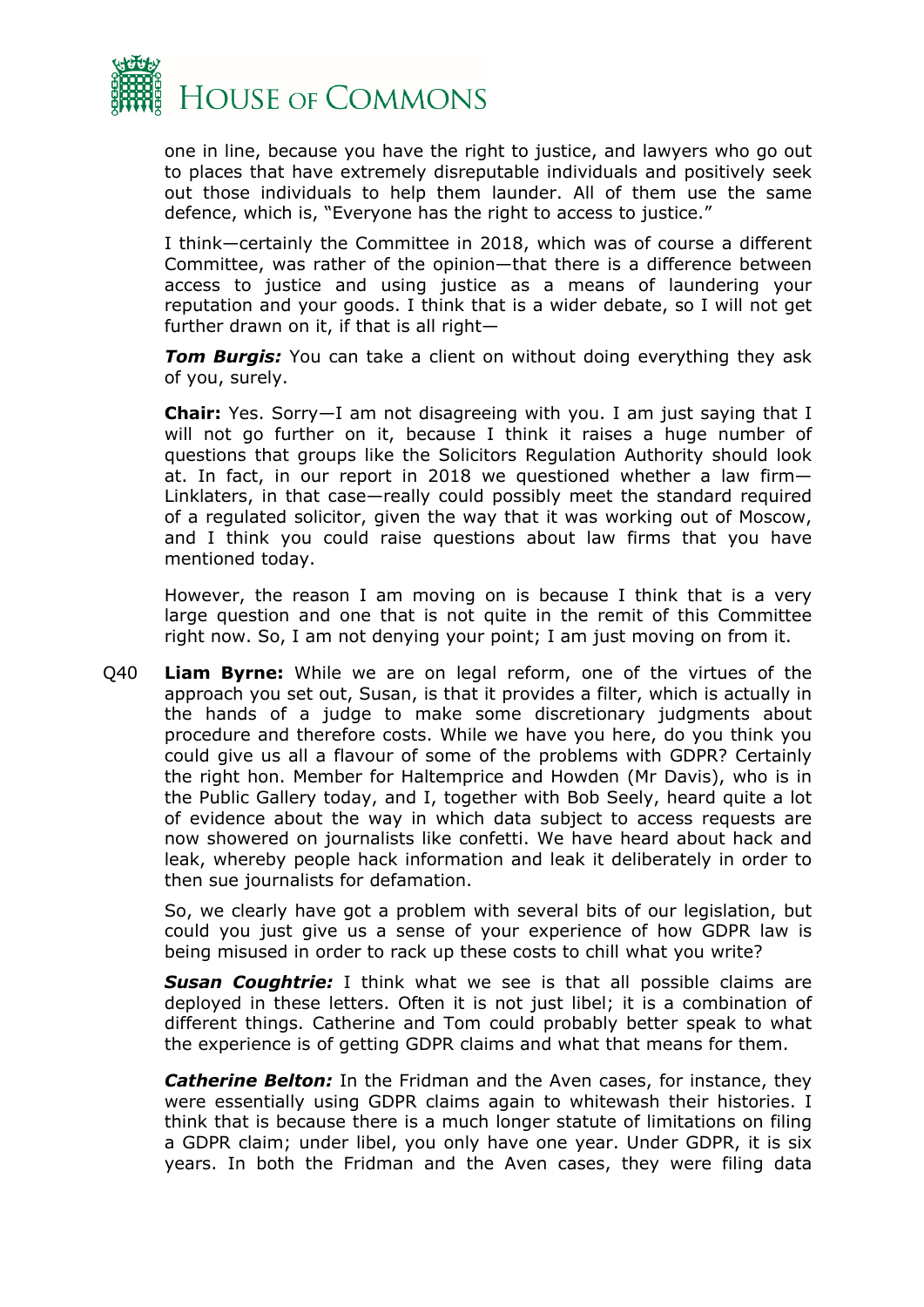

one in line, because you have the right to justice, and lawyers who go out to places that have extremely disreputable individuals and positively seek out those individuals to help them launder. All of them use the same defence, which is, "Everyone has the right to access to justice."

I think—certainly the Committee in 2018, which was of course a different Committee, was rather of the opinion—that there is a difference between access to justice and using justice as a means of laundering your reputation and your goods. I think that is a wider debate, so I will not get further drawn on it, if that is all right—

*Tom Burgis:* You can take a client on without doing everything they ask of you, surely.

**Chair:** Yes. Sorry—I am not disagreeing with you. I am just saying that I will not go further on it, because I think it raises a huge number of questions that groups like the Solicitors Regulation Authority should look at. In fact, in our report in 2018 we questioned whether a law firm— Linklaters, in that case—really could possibly meet the standard required of a regulated solicitor, given the way that it was working out of Moscow, and I think you could raise questions about law firms that you have mentioned today.

However, the reason I am moving on is because I think that is a very large question and one that is not quite in the remit of this Committee right now. So, I am not denying your point; I am just moving on from it.

Q40 **Liam Byrne:** While we are on legal reform, one of the virtues of the approach you set out, Susan, is that it provides a filter, which is actually in the hands of a judge to make some discretionary judgments about procedure and therefore costs. While we have you here, do you think you could give us all a flavour of some of the problems with GDPR? Certainly the right hon. Member for Haltemprice and Howden (Mr Davis), who is in the Public Gallery today, and I, together with Bob Seely, heard quite a lot of evidence about the way in which data subject to access requests are now showered on journalists like confetti. We have heard about hack and leak, whereby people hack information and leak it deliberately in order to then sue journalists for defamation.

So, we clearly have got a problem with several bits of our legislation, but could you just give us a sense of your experience of how GDPR law is being misused in order to rack up these costs to chill what you write?

**Susan Coughtrie:** I think what we see is that all possible claims are deployed in these letters. Often it is not just libel; it is a combination of different things. Catherine and Tom could probably better speak to what the experience is of getting GDPR claims and what that means for them.

*Catherine Belton:* In the Fridman and the Aven cases, for instance, they were essentially using GDPR claims again to whitewash their histories. I think that is because there is a much longer statute of limitations on filing a GDPR claim; under libel, you only have one year. Under GDPR, it is six years. In both the Fridman and the Aven cases, they were filing data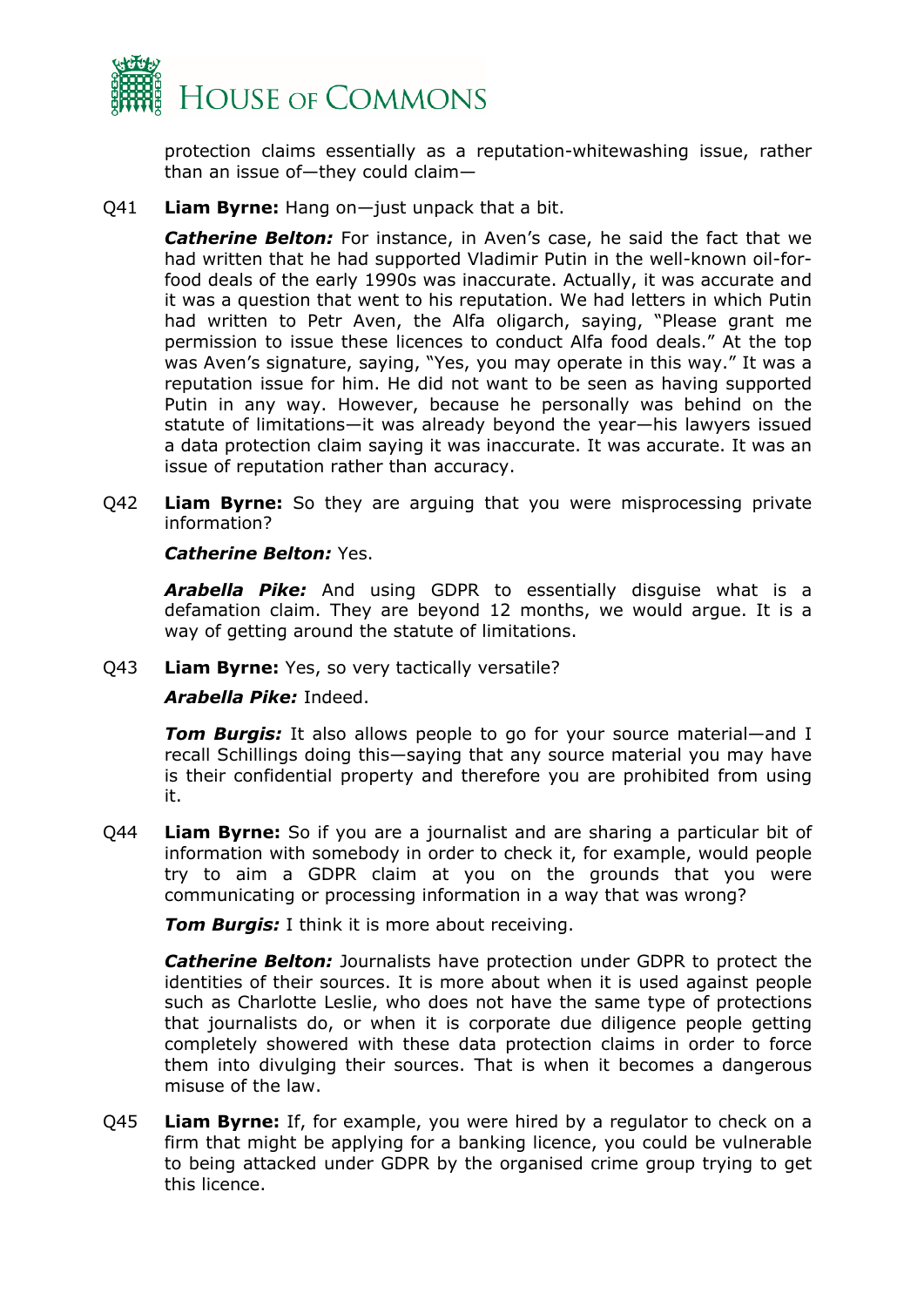

protection claims essentially as a reputation-whitewashing issue, rather than an issue of—they could claim—

Q41 **Liam Byrne:** Hang on—just unpack that a bit.

*Catherine Belton:* For instance, in Aven's case, he said the fact that we had written that he had supported Vladimir Putin in the well-known oil-forfood deals of the early 1990s was inaccurate. Actually, it was accurate and it was a question that went to his reputation. We had letters in which Putin had written to Petr Aven, the Alfa oligarch, saying, "Please grant me permission to issue these licences to conduct Alfa food deals." At the top was Aven's signature, saying, "Yes, you may operate in this way." It was a reputation issue for him. He did not want to be seen as having supported Putin in any way. However, because he personally was behind on the statute of limitations—it was already beyond the year—his lawyers issued a data protection claim saying it was inaccurate. It was accurate. It was an issue of reputation rather than accuracy.

Q42 **Liam Byrne:** So they are arguing that you were misprocessing private information?

#### *Catherine Belton:* Yes.

*Arabella Pike:* And using GDPR to essentially disguise what is a defamation claim. They are beyond 12 months, we would argue. It is a way of getting around the statute of limitations.

Q43 **Liam Byrne:** Yes, so very tactically versatile?

#### *Arabella Pike:* Indeed.

*Tom Burgis:* It also allows people to go for your source material—and I recall Schillings doing this—saying that any source material you may have is their confidential property and therefore you are prohibited from using it.

Q44 **Liam Byrne:** So if you are a journalist and are sharing a particular bit of information with somebody in order to check it, for example, would people try to aim a GDPR claim at you on the grounds that you were communicating or processing information in a way that was wrong?

*Tom Burgis:* I think it is more about receiving.

*Catherine Belton:* Journalists have protection under GDPR to protect the identities of their sources. It is more about when it is used against people such as Charlotte Leslie, who does not have the same type of protections that journalists do, or when it is corporate due diligence people getting completely showered with these data protection claims in order to force them into divulging their sources. That is when it becomes a dangerous misuse of the law.

Q45 **Liam Byrne:** If, for example, you were hired by a regulator to check on a firm that might be applying for a banking licence, you could be vulnerable to being attacked under GDPR by the organised crime group trying to get this licence.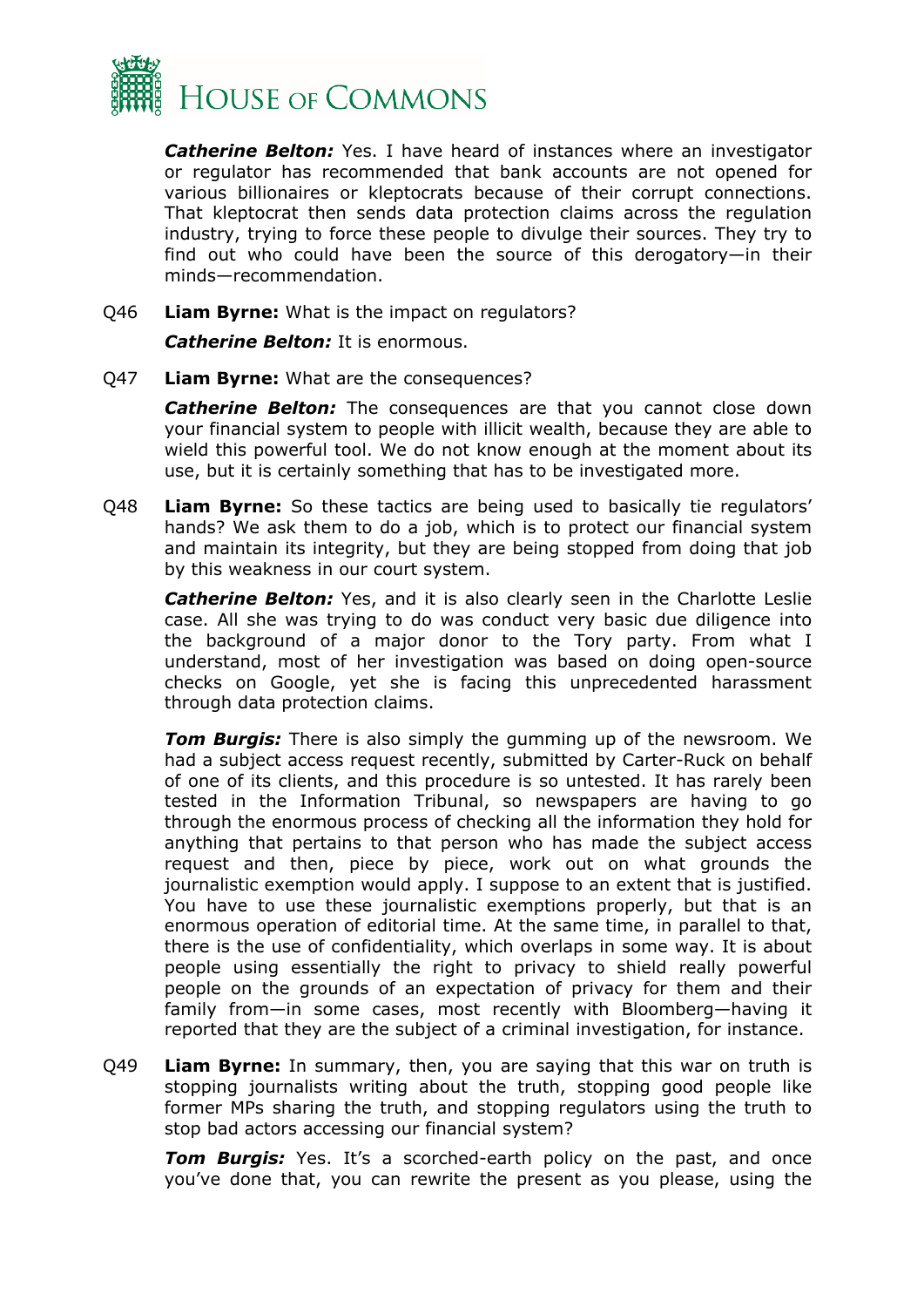

*Catherine Belton:* Yes. I have heard of instances where an investigator or regulator has recommended that bank accounts are not opened for various billionaires or kleptocrats because of their corrupt connections. That kleptocrat then sends data protection claims across the regulation industry, trying to force these people to divulge their sources. They try to find out who could have been the source of this derogatory—in their minds—recommendation.

Q46 **Liam Byrne:** What is the impact on regulators?

*Catherine Belton:* It is enormous.

Q47 **Liam Byrne:** What are the consequences?

**Catherine Belton:** The consequences are that you cannot close down your financial system to people with illicit wealth, because they are able to wield this powerful tool. We do not know enough at the moment about its use, but it is certainly something that has to be investigated more.

Q48 **Liam Byrne:** So these tactics are being used to basically tie regulators' hands? We ask them to do a job, which is to protect our financial system and maintain its integrity, but they are being stopped from doing that job by this weakness in our court system.

**Catherine Belton:** Yes, and it is also clearly seen in the Charlotte Leslie case. All she was trying to do was conduct very basic due diligence into the background of a major donor to the Tory party. From what I understand, most of her investigation was based on doing open-source checks on Google, yet she is facing this unprecedented harassment through data protection claims.

*Tom Burgis:* There is also simply the gumming up of the newsroom. We had a subject access request recently, submitted by Carter-Ruck on behalf of one of its clients, and this procedure is so untested. It has rarely been tested in the Information Tribunal, so newspapers are having to go through the enormous process of checking all the information they hold for anything that pertains to that person who has made the subject access request and then, piece by piece, work out on what grounds the journalistic exemption would apply. I suppose to an extent that is justified. You have to use these journalistic exemptions properly, but that is an enormous operation of editorial time. At the same time, in parallel to that, there is the use of confidentiality, which overlaps in some way. It is about people using essentially the right to privacy to shield really powerful people on the grounds of an expectation of privacy for them and their family from—in some cases, most recently with Bloomberg—having it reported that they are the subject of a criminal investigation, for instance.

Q49 **Liam Byrne:** In summary, then, you are saying that this war on truth is stopping journalists writing about the truth, stopping good people like former MPs sharing the truth, and stopping regulators using the truth to stop bad actors accessing our financial system?

**Tom Burgis:** Yes. It's a scorched-earth policy on the past, and once you've done that, you can rewrite the present as you please, using the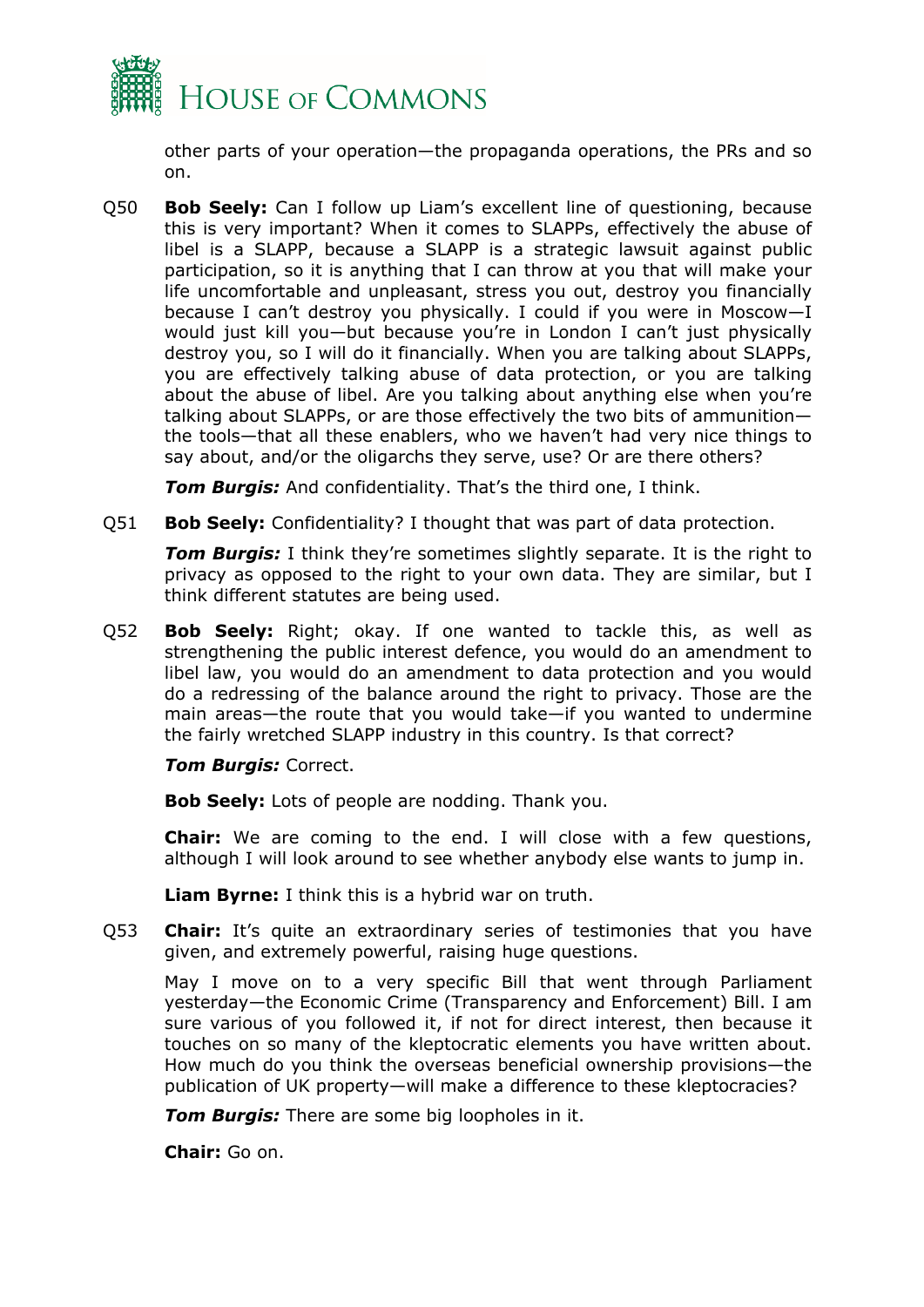

other parts of your operation—the propaganda operations, the PRs and so on.

Q50 **Bob Seely:** Can I follow up Liam's excellent line of questioning, because this is very important? When it comes to SLAPPs, effectively the abuse of libel is a SLAPP, because a SLAPP is a strategic lawsuit against public participation, so it is anything that I can throw at you that will make your life uncomfortable and unpleasant, stress you out, destroy you financially because I can't destroy you physically. I could if you were in Moscow—I would just kill you—but because you're in London I can't just physically destroy you, so I will do it financially. When you are talking about SLAPPs, you are effectively talking abuse of data protection, or you are talking about the abuse of libel. Are you talking about anything else when you're talking about SLAPPs, or are those effectively the two bits of ammunition the tools—that all these enablers, who we haven't had very nice things to say about, and/or the oligarchs they serve, use? Or are there others?

*Tom Burgis:* And confidentiality. That's the third one, I think.

Q51 **Bob Seely:** Confidentiality? I thought that was part of data protection.

*Tom Burgis:* I think they're sometimes slightly separate. It is the right to privacy as opposed to the right to your own data. They are similar, but I think different statutes are being used.

Q52 **Bob Seely:** Right; okay. If one wanted to tackle this, as well as strengthening the public interest defence, you would do an amendment to libel law, you would do an amendment to data protection and you would do a redressing of the balance around the right to privacy. Those are the main areas—the route that you would take—if you wanted to undermine the fairly wretched SLAPP industry in this country. Is that correct?

#### *Tom Burgis:* Correct.

**Bob Seely:** Lots of people are nodding. Thank you.

**Chair:** We are coming to the end. I will close with a few questions, although I will look around to see whether anybody else wants to jump in.

**Liam Byrne:** I think this is a hybrid war on truth.

Q53 **Chair:** It's quite an extraordinary series of testimonies that you have given, and extremely powerful, raising huge questions.

May I move on to a very specific Bill that went through Parliament yesterday—the Economic Crime (Transparency and Enforcement) Bill. I am sure various of you followed it, if not for direct interest, then because it touches on so many of the kleptocratic elements you have written about. How much do you think the overseas beneficial ownership provisions—the publication of UK property—will make a difference to these kleptocracies?

*Tom Burgis:* There are some big loopholes in it.

**Chair:** Go on.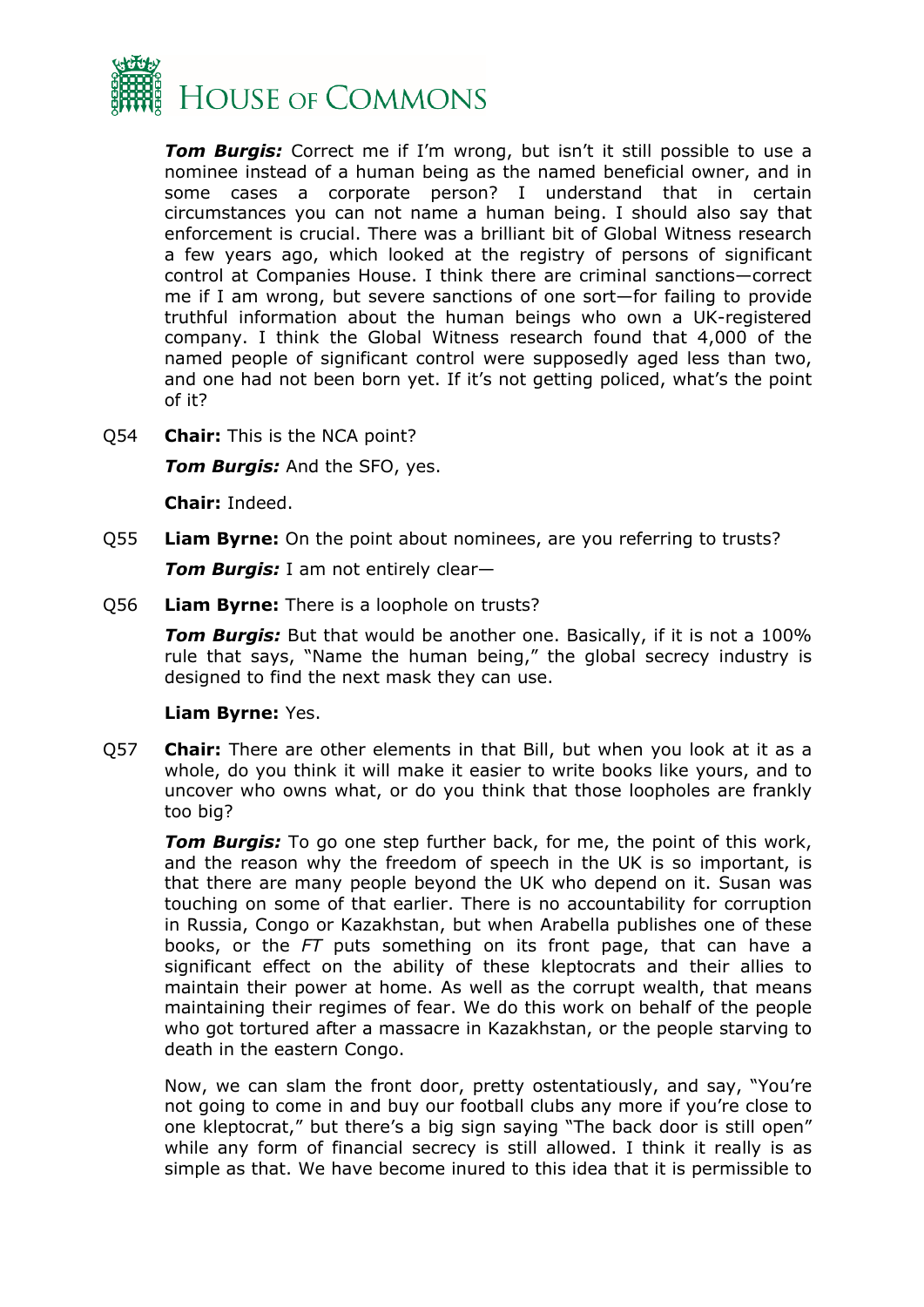

*Tom Burgis:* Correct me if I'm wrong, but isn't it still possible to use a nominee instead of a human being as the named beneficial owner, and in some cases a corporate person? I understand that in certain circumstances you can not name a human being. I should also say that enforcement is crucial. There was a brilliant bit of Global Witness research a few years ago, which looked at the registry of persons of significant control at Companies House. I think there are criminal sanctions—correct me if I am wrong, but severe sanctions of one sort—for failing to provide truthful information about the human beings who own a UK-registered company. I think the Global Witness research found that 4,000 of the named people of significant control were supposedly aged less than two, and one had not been born yet. If it's not getting policed, what's the point of it?

Q54 **Chair:** This is the NCA point?

*Tom Burgis:* And the SFO, yes.

**Chair:** Indeed.

Q55 **Liam Byrne:** On the point about nominees, are you referring to trusts?

*Tom Burgis:* I am not entirely clear—

Q56 **Liam Byrne:** There is a loophole on trusts?

*Tom Burgis:* But that would be another one. Basically, if it is not a 100% rule that says, "Name the human being," the global secrecy industry is designed to find the next mask they can use.

#### **Liam Byrne:** Yes.

Q57 **Chair:** There are other elements in that Bill, but when you look at it as a whole, do you think it will make it easier to write books like yours, and to uncover who owns what, or do you think that those loopholes are frankly too big?

*Tom Burgis:* To go one step further back, for me, the point of this work, and the reason why the freedom of speech in the UK is so important, is that there are many people beyond the UK who depend on it. Susan was touching on some of that earlier. There is no accountability for corruption in Russia, Congo or Kazakhstan, but when Arabella publishes one of these books, or the *FT* puts something on its front page, that can have a significant effect on the ability of these kleptocrats and their allies to maintain their power at home. As well as the corrupt wealth, that means maintaining their regimes of fear. We do this work on behalf of the people who got tortured after a massacre in Kazakhstan, or the people starving to death in the eastern Congo.

Now, we can slam the front door, pretty ostentatiously, and say, "You're not going to come in and buy our football clubs any more if you're close to one kleptocrat," but there's a big sign saying "The back door is still open" while any form of financial secrecy is still allowed. I think it really is as simple as that. We have become inured to this idea that it is permissible to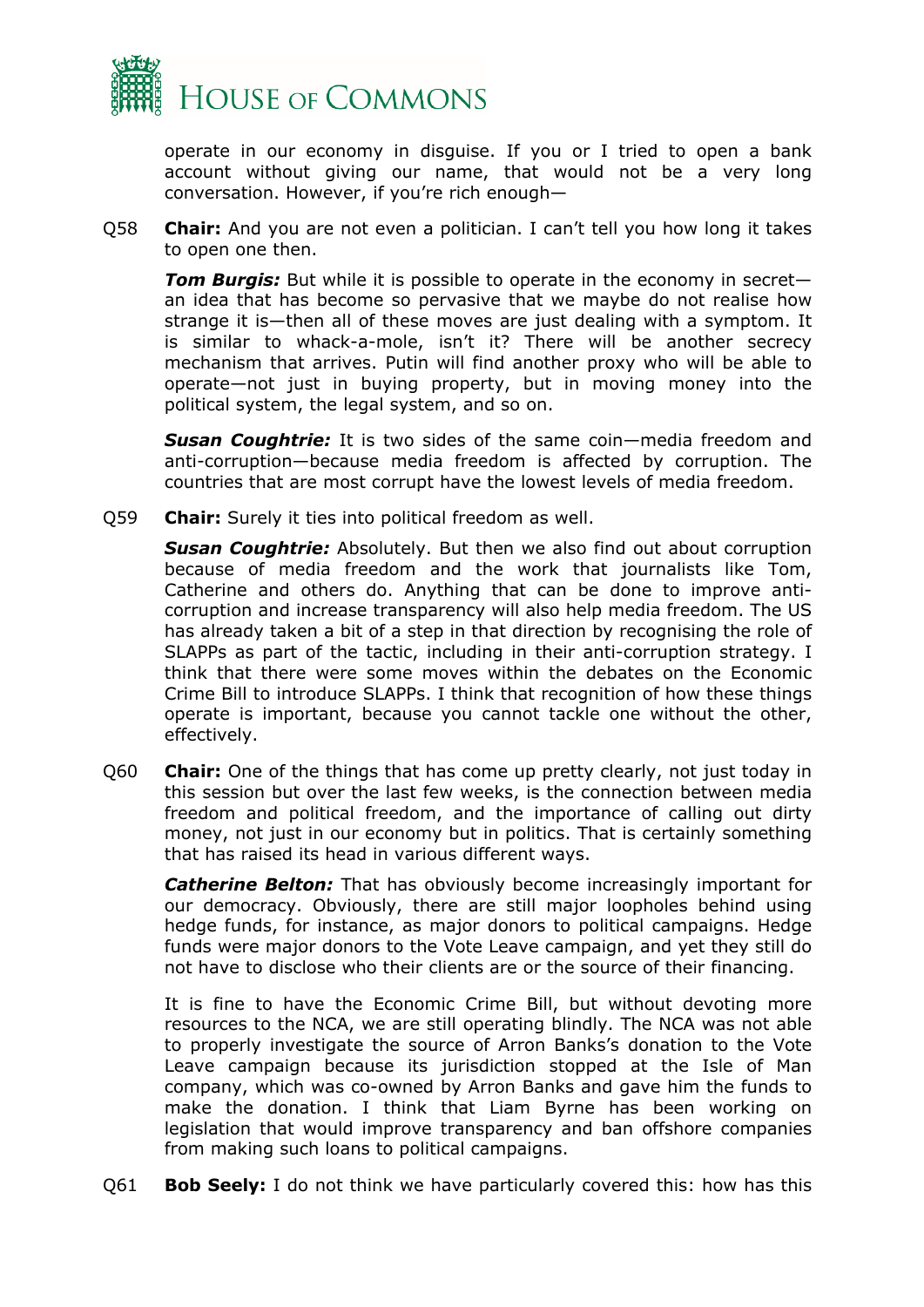

operate in our economy in disguise. If you or I tried to open a bank account without giving our name, that would not be a very long conversation. However, if you're rich enough—

Q58 **Chair:** And you are not even a politician. I can't tell you how long it takes to open one then.

*Tom Burgis:* But while it is possible to operate in the economy in secret an idea that has become so pervasive that we maybe do not realise how strange it is—then all of these moves are just dealing with a symptom. It is similar to whack-a-mole, isn't it? There will be another secrecy mechanism that arrives. Putin will find another proxy who will be able to operate—not just in buying property, but in moving money into the political system, the legal system, and so on.

*Susan Coughtrie:* It is two sides of the same coin—media freedom and anti-corruption—because media freedom is affected by corruption. The countries that are most corrupt have the lowest levels of media freedom.

Q59 **Chair:** Surely it ties into political freedom as well.

*Susan Coughtrie:* Absolutely. But then we also find out about corruption because of media freedom and the work that journalists like Tom, Catherine and others do. Anything that can be done to improve anticorruption and increase transparency will also help media freedom. The US has already taken a bit of a step in that direction by recognising the role of SLAPPs as part of the tactic, including in their anti-corruption strategy. I think that there were some moves within the debates on the Economic Crime Bill to introduce SLAPPs. I think that recognition of how these things operate is important, because you cannot tackle one without the other, effectively.

Q60 **Chair:** One of the things that has come up pretty clearly, not just today in this session but over the last few weeks, is the connection between media freedom and political freedom, and the importance of calling out dirty money, not just in our economy but in politics. That is certainly something that has raised its head in various different ways.

*Catherine Belton:* That has obviously become increasingly important for our democracy. Obviously, there are still major loopholes behind using hedge funds, for instance, as major donors to political campaigns. Hedge funds were major donors to the Vote Leave campaign, and yet they still do not have to disclose who their clients are or the source of their financing.

It is fine to have the Economic Crime Bill, but without devoting more resources to the NCA, we are still operating blindly. The NCA was not able to properly investigate the source of Arron Banks's donation to the Vote Leave campaign because its jurisdiction stopped at the Isle of Man company, which was co-owned by Arron Banks and gave him the funds to make the donation. I think that Liam Byrne has been working on legislation that would improve transparency and ban offshore companies from making such loans to political campaigns.

Q61 **Bob Seely:** I do not think we have particularly covered this: how has this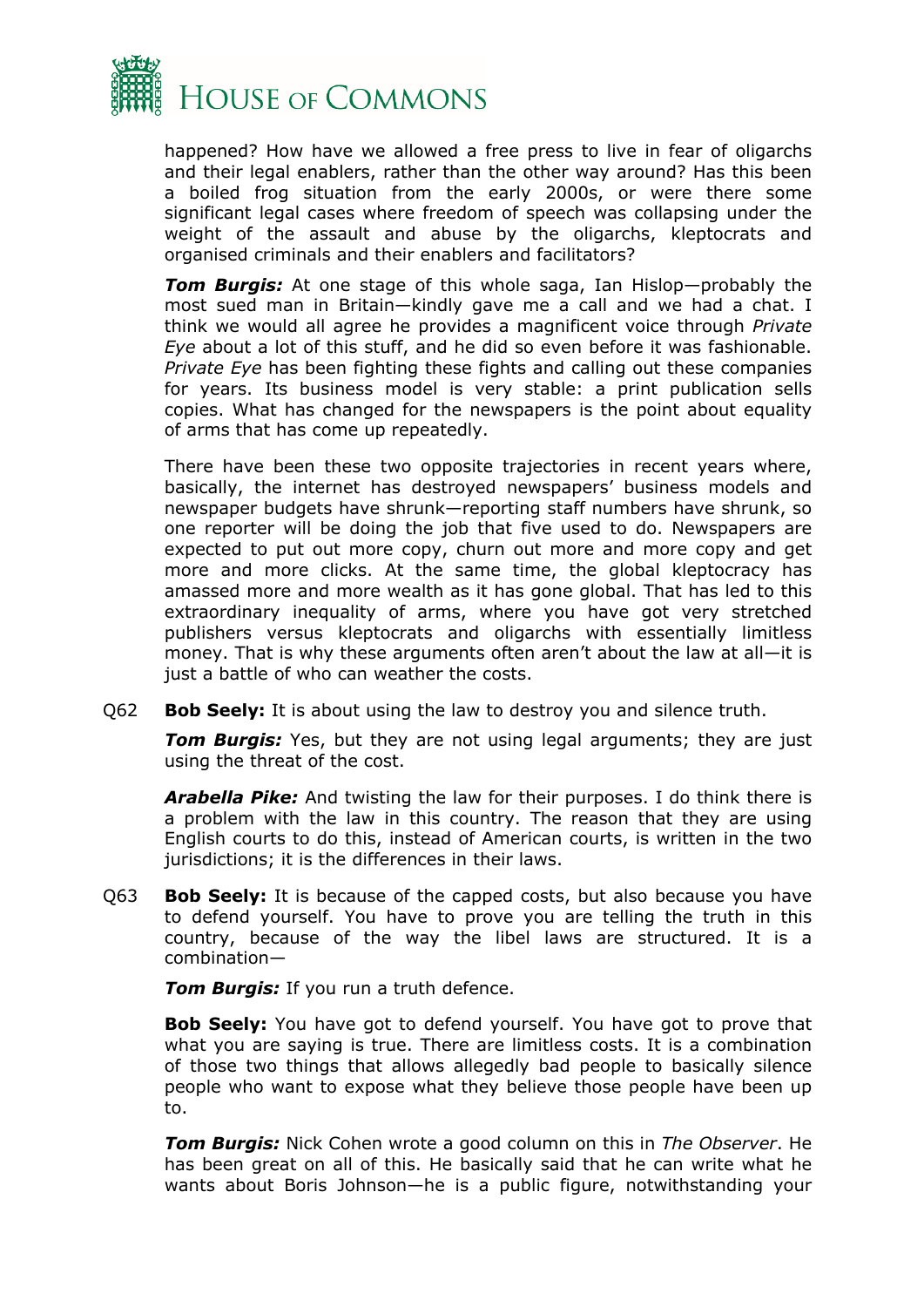

happened? How have we allowed a free press to live in fear of oligarchs and their legal enablers, rather than the other way around? Has this been a boiled frog situation from the early 2000s, or were there some significant legal cases where freedom of speech was collapsing under the weight of the assault and abuse by the oligarchs, kleptocrats and organised criminals and their enablers and facilitators?

*Tom Burgis:* At one stage of this whole saga, Ian Hislop—probably the most sued man in Britain—kindly gave me a call and we had a chat. I think we would all agree he provides a magnificent voice through *Private Eye* about a lot of this stuff, and he did so even before it was fashionable. *Private Eye* has been fighting these fights and calling out these companies for years. Its business model is very stable: a print publication sells copies. What has changed for the newspapers is the point about equality of arms that has come up repeatedly.

There have been these two opposite trajectories in recent years where, basically, the internet has destroyed newspapers' business models and newspaper budgets have shrunk—reporting staff numbers have shrunk, so one reporter will be doing the job that five used to do. Newspapers are expected to put out more copy, churn out more and more copy and get more and more clicks. At the same time, the global kleptocracy has amassed more and more wealth as it has gone global. That has led to this extraordinary inequality of arms, where you have got very stretched publishers versus kleptocrats and oligarchs with essentially limitless money. That is why these arguments often aren't about the law at all—it is just a battle of who can weather the costs.

Q62 **Bob Seely:** It is about using the law to destroy you and silence truth.

*Tom Burgis:* Yes, but they are not using legal arguments; they are just using the threat of the cost.

*Arabella Pike:* And twisting the law for their purposes. I do think there is a problem with the law in this country. The reason that they are using English courts to do this, instead of American courts, is written in the two jurisdictions; it is the differences in their laws.

Q63 **Bob Seely:** It is because of the capped costs, but also because you have to defend yourself. You have to prove you are telling the truth in this country, because of the way the libel laws are structured. It is a combination—

*Tom Burgis:* If you run a truth defence.

**Bob Seely:** You have got to defend yourself. You have got to prove that what you are saying is true. There are limitless costs. It is a combination of those two things that allows allegedly bad people to basically silence people who want to expose what they believe those people have been up to.

*Tom Burgis:* Nick Cohen wrote a good column on this in *The Observer*. He has been great on all of this. He basically said that he can write what he wants about Boris Johnson—he is a public figure, notwithstanding your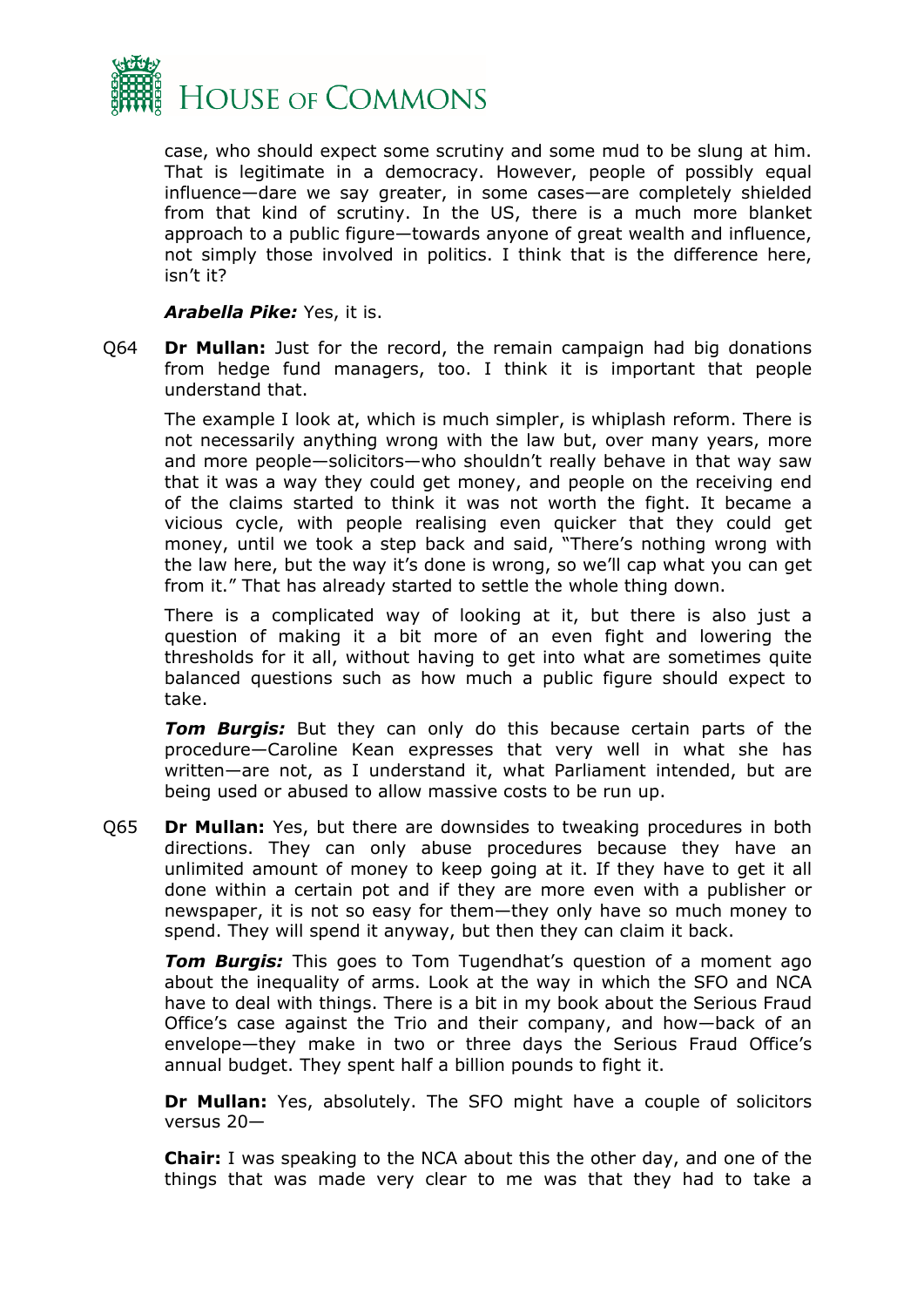

case, who should expect some scrutiny and some mud to be slung at him. That is legitimate in a democracy. However, people of possibly equal influence—dare we say greater, in some cases—are completely shielded from that kind of scrutiny. In the US, there is a much more blanket approach to a public figure—towards anyone of great wealth and influence, not simply those involved in politics. I think that is the difference here, isn't it?

#### *Arabella Pike:* Yes, it is.

Q64 **Dr Mullan:** Just for the record, the remain campaign had big donations from hedge fund managers, too. I think it is important that people understand that.

The example I look at, which is much simpler, is whiplash reform. There is not necessarily anything wrong with the law but, over many years, more and more people—solicitors—who shouldn't really behave in that way saw that it was a way they could get money, and people on the receiving end of the claims started to think it was not worth the fight. It became a vicious cycle, with people realising even quicker that they could get money, until we took a step back and said, "There's nothing wrong with the law here, but the way it's done is wrong, so we'll cap what you can get from it." That has already started to settle the whole thing down.

There is a complicated way of looking at it, but there is also just a question of making it a bit more of an even fight and lowering the thresholds for it all, without having to get into what are sometimes quite balanced questions such as how much a public figure should expect to take.

*Tom Burgis:* But they can only do this because certain parts of the procedure—Caroline Kean expresses that very well in what she has written—are not, as I understand it, what Parliament intended, but are being used or abused to allow massive costs to be run up.

Q65 **Dr Mullan:** Yes, but there are downsides to tweaking procedures in both directions. They can only abuse procedures because they have an unlimited amount of money to keep going at it. If they have to get it all done within a certain pot and if they are more even with a publisher or newspaper, it is not so easy for them—they only have so much money to spend. They will spend it anyway, but then they can claim it back.

*Tom Burgis:* This goes to Tom Tugendhat's question of a moment ago about the inequality of arms. Look at the way in which the SFO and NCA have to deal with things. There is a bit in my book about the Serious Fraud Office's case against the Trio and their company, and how—back of an envelope—they make in two or three days the Serious Fraud Office's annual budget. They spent half a billion pounds to fight it.

**Dr Mullan:** Yes, absolutely. The SFO might have a couple of solicitors versus 20—

**Chair:** I was speaking to the NCA about this the other day, and one of the things that was made very clear to me was that they had to take a